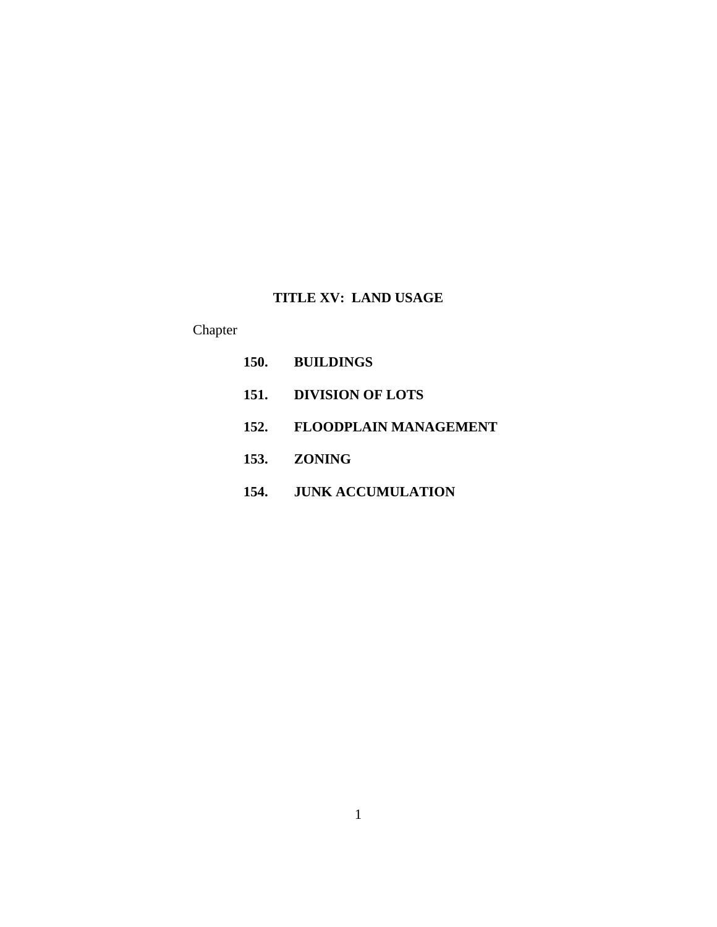## **TITLE XV: LAND USAGE**

# Chapter

| 150. BUILDINGS             |
|----------------------------|
| 151. DIVISION OF LOTS      |
| 152. FLOODPLAIN MANAGEMENT |
| 153. ZONING                |
| 154. JUNK ACCUMULATION     |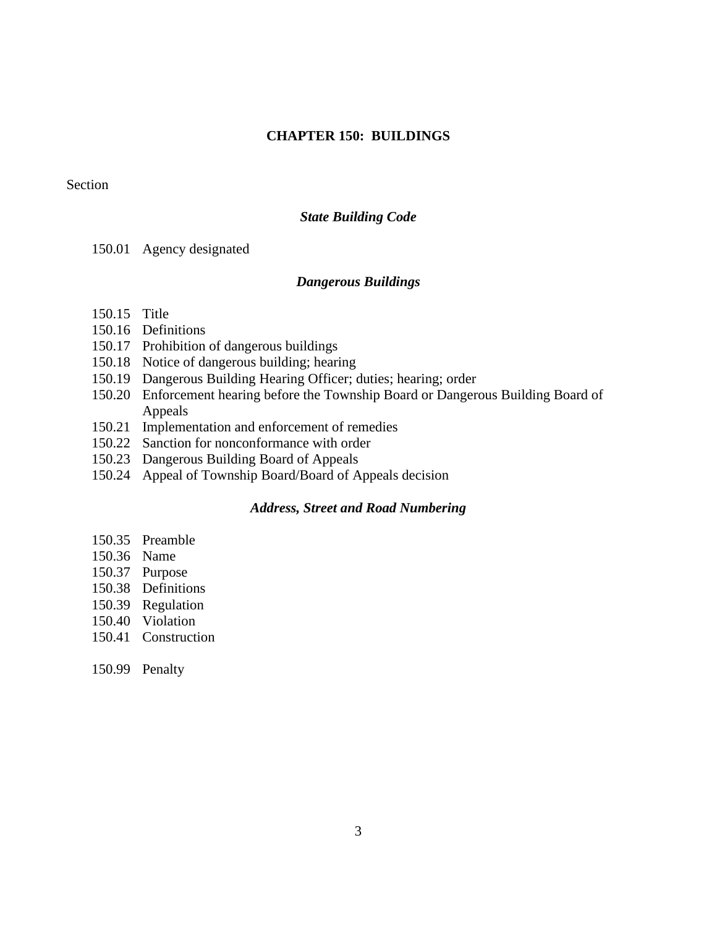## **CHAPTER 150: BUILDINGS**

### Section

### *State Building Code*

150.01 Agency designated

#### *Dangerous Buildings*

- 150.15 Title
- 150.16 Definitions
- 150.17 Prohibition of dangerous buildings
- 150.18 Notice of dangerous building; hearing
- 150.19 Dangerous Building Hearing Officer; duties; hearing; order
- 150.20 Enforcement hearing before the Township Board or Dangerous Building Board of Appeals
- 150.21 Implementation and enforcement of remedies
- 150.22 Sanction for nonconformance with order
- 150.23 Dangerous Building Board of Appeals
- 150.24 Appeal of Township Board/Board of Appeals decision

## *Address, Street and Road Numbering*

- 150.35 Preamble
- 150.36 Name
- 150.37 Purpose
- 150.38 Definitions
- 150.39 Regulation
- 150.40 Violation
- 150.41 Construction
- 150.99 Penalty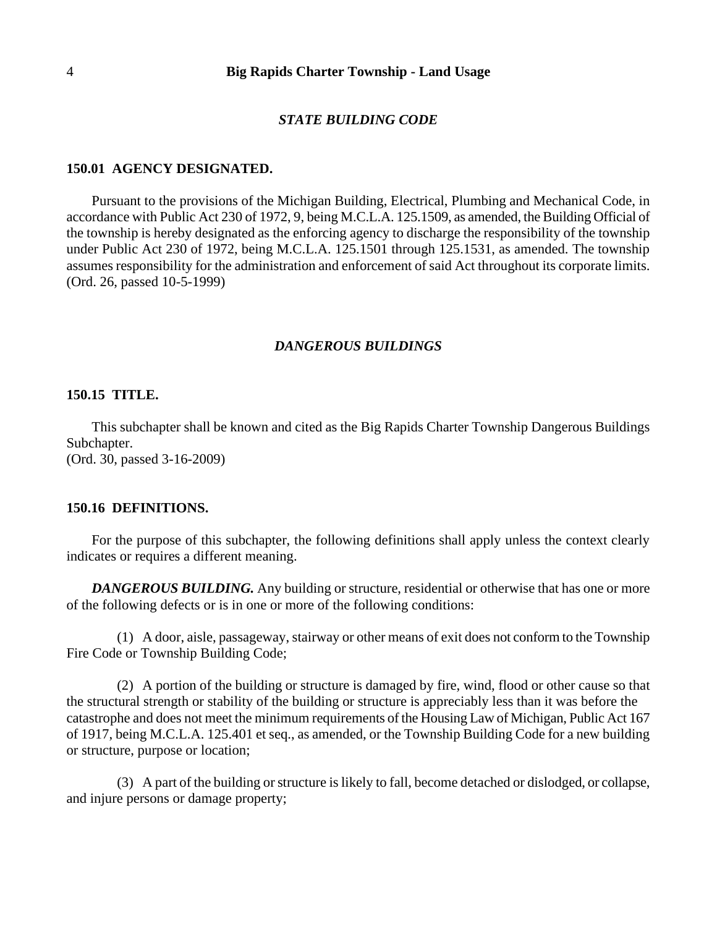#### *STATE BUILDING CODE*

#### **150.01 AGENCY DESIGNATED.**

Pursuant to the provisions of the Michigan Building, Electrical, Plumbing and Mechanical Code, in accordance with Public Act 230 of 1972, 9, being M.C.L.A. 125.1509, as amended, the Building Official of the township is hereby designated as the enforcing agency to discharge the responsibility of the township under Public Act 230 of 1972, being M.C.L.A. 125.1501 through 125.1531, as amended. The township assumes responsibility for the administration and enforcement of said Act throughout its corporate limits. (Ord. 26, passed 10-5-1999)

#### *DANGEROUS BUILDINGS*

## **150.15 TITLE.**

This subchapter shall be known and cited as the Big Rapids Charter Township Dangerous Buildings Subchapter. (Ord. 30, passed 3-16-2009)

#### **150.16 DEFINITIONS.**

For the purpose of this subchapter, the following definitions shall apply unless the context clearly indicates or requires a different meaning.

**DANGEROUS BUILDING.** Any building or structure, residential or otherwise that has one or more of the following defects or is in one or more of the following conditions:

(1) A door, aisle, passageway, stairway or other means of exit does not conform to the Township Fire Code or Township Building Code;

(2) A portion of the building or structure is damaged by fire, wind, flood or other cause so that the structural strength or stability of the building or structure is appreciably less than it was before the catastrophe and does not meet the minimum requirements of the Housing Law of Michigan, Public Act 167 of 1917, being M.C.L.A. 125.401 et seq., as amended, or the Township Building Code for a new building or structure, purpose or location;

(3) A part of the building or structure is likely to fall, become detached or dislodged, or collapse, and injure persons or damage property;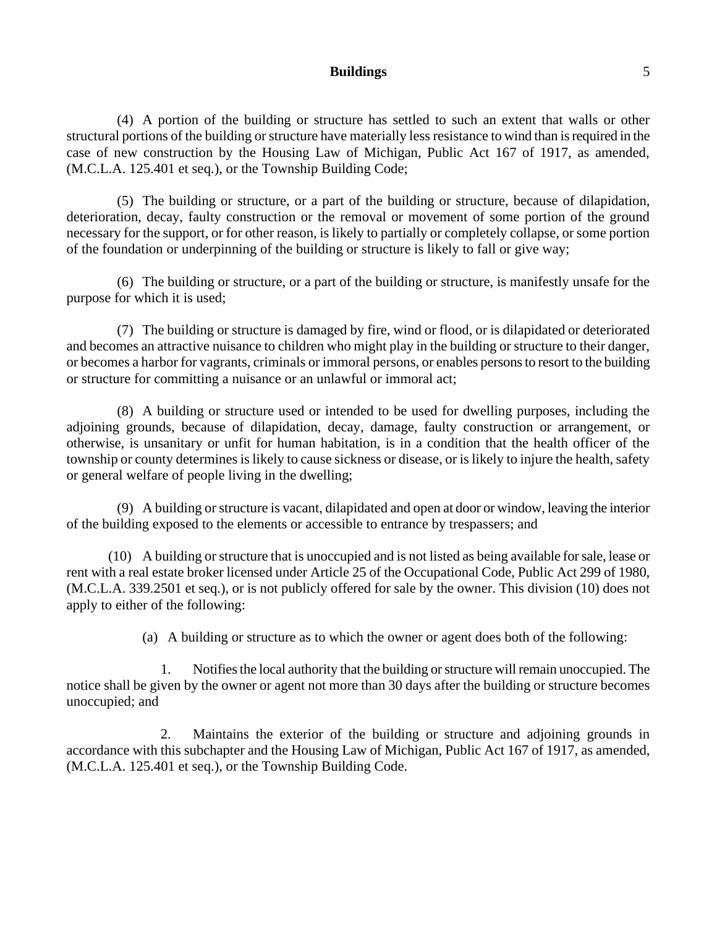### **Buildings** 5

(4) A portion of the building or structure has settled to such an extent that walls or other structural portions of the building or structure have materially less resistance to wind than is required in the case of new construction by the Housing Law of Michigan, Public Act 167 of 1917, as amended, (M.C.L.A. 125.401 et seq.), or the Township Building Code;

(5) The building or structure, or a part of the building or structure, because of dilapidation, deterioration, decay, faulty construction or the removal or movement of some portion of the ground necessary for the support, or for other reason, is likely to partially or completely collapse, or some portion of the foundation or underpinning of the building or structure is likely to fall or give way;

(6) The building or structure, or a part of the building or structure, is manifestly unsafe for the purpose for which it is used;

(7) The building or structure is damaged by fire, wind or flood, or is dilapidated or deteriorated and becomes an attractive nuisance to children who might play in the building or structure to their danger, or becomes a harbor for vagrants, criminals or immoral persons, or enables persons to resort to the building or structure for committing a nuisance or an unlawful or immoral act;

(8) A building or structure used or intended to be used for dwelling purposes, including the adjoining grounds, because of dilapidation, decay, damage, faulty construction or arrangement, or otherwise, is unsanitary or unfit for human habitation, is in a condition that the health officer of the township or county determines is likely to cause sickness or disease, or is likely to injure the health, safety or general welfare of people living in the dwelling;

(9) A building or structure is vacant, dilapidated and open at door or window, leaving the interior of the building exposed to the elements or accessible to entrance by trespassers; and

(10) A building or structure that is unoccupied and is not listed as being available for sale, lease or rent with a real estate broker licensed under Article 25 of the Occupational Code, Public Act 299 of 1980, (M.C.L.A. 339.2501 et seq.), or is not publicly offered for sale by the owner. This division (10) does not apply to either of the following:

(a) A building or structure as to which the owner or agent does both of the following:

1. Notifies the local authority that the building or structure will remain unoccupied. The notice shall be given by the owner or agent not more than 30 days after the building or structure becomes unoccupied; and

2. Maintains the exterior of the building or structure and adjoining grounds in accordance with this subchapter and the Housing Law of Michigan, Public Act 167 of 1917, as amended, (M.C.L.A. 125.401 et seq.), or the Township Building Code.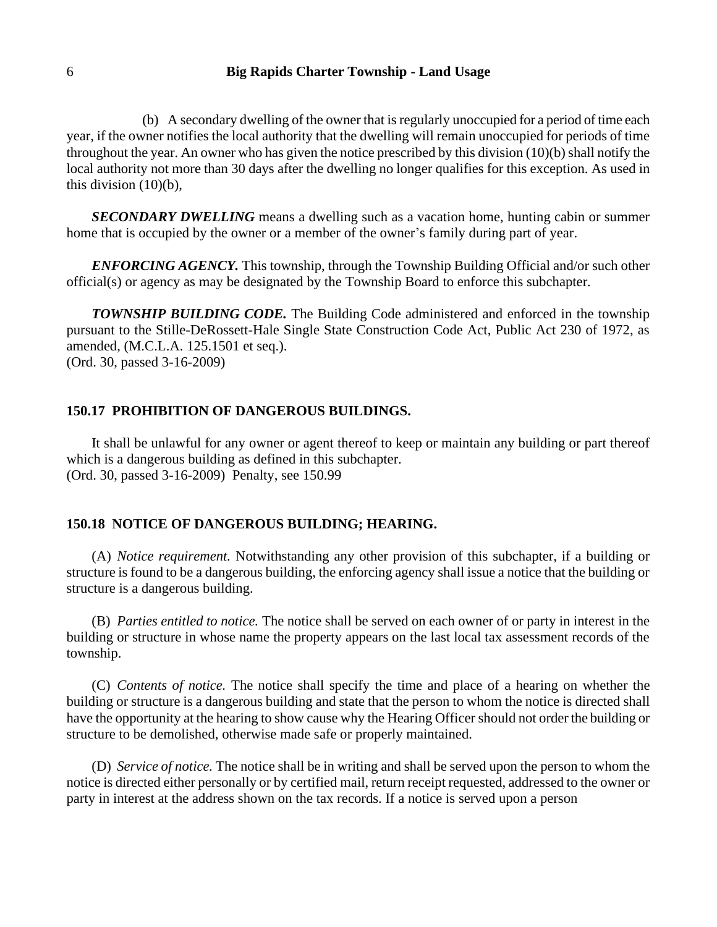(b) A secondary dwelling of the owner that is regularly unoccupied for a period of time each year, if the owner notifies the local authority that the dwelling will remain unoccupied for periods of time throughout the year. An owner who has given the notice prescribed by this division (10)(b) shall notify the local authority not more than 30 days after the dwelling no longer qualifies for this exception. As used in this division (10)(b),

*SECONDARY DWELLING* means a dwelling such as a vacation home, hunting cabin or summer home that is occupied by the owner or a member of the owner's family during part of year.

*ENFORCING AGENCY.* This township, through the Township Building Official and/or such other official(s) or agency as may be designated by the Township Board to enforce this subchapter.

*TOWNSHIP BUILDING CODE.* The Building Code administered and enforced in the township pursuant to the Stille-DeRossett-Hale Single State Construction Code Act, Public Act 230 of 1972, as amended, (M.C.L.A. 125.1501 et seq.). (Ord. 30, passed 3-16-2009)

#### **150.17 PROHIBITION OF DANGEROUS BUILDINGS.**

It shall be unlawful for any owner or agent thereof to keep or maintain any building or part thereof which is a dangerous building as defined in this subchapter. (Ord. 30, passed 3-16-2009) Penalty, see 150.99

## **150.18 NOTICE OF DANGEROUS BUILDING; HEARING.**

(A) *Notice requirement.* Notwithstanding any other provision of this subchapter, if a building or structure is found to be a dangerous building, the enforcing agency shall issue a notice that the building or structure is a dangerous building.

(B) *Parties entitled to notice.* The notice shall be served on each owner of or party in interest in the building or structure in whose name the property appears on the last local tax assessment records of the township.

(C) *Contents of notice.* The notice shall specify the time and place of a hearing on whether the building or structure is a dangerous building and state that the person to whom the notice is directed shall have the opportunity at the hearing to show cause why the Hearing Officer should not order the building or structure to be demolished, otherwise made safe or properly maintained.

(D) *Service of notice.* The notice shall be in writing and shall be served upon the person to whom the notice is directed either personally or by certified mail, return receipt requested, addressed to the owner or party in interest at the address shown on the tax records. If a notice is served upon a person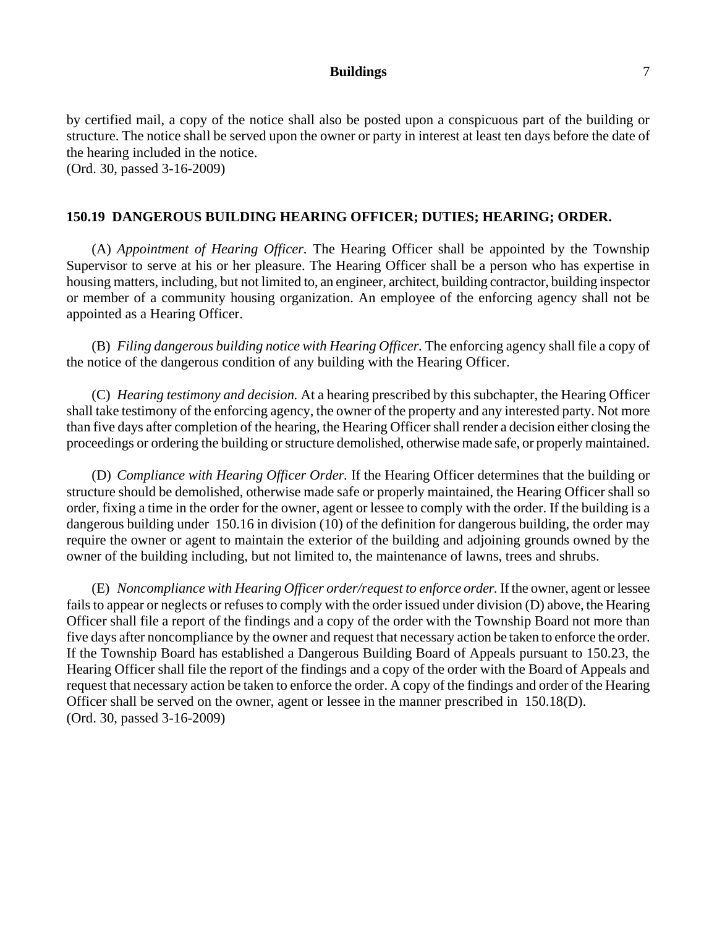### **Buildings** 7

by certified mail, a copy of the notice shall also be posted upon a conspicuous part of the building or structure. The notice shall be served upon the owner or party in interest at least ten days before the date of the hearing included in the notice. (Ord. 30, passed 3-16-2009)

## **150.19 DANGEROUS BUILDING HEARING OFFICER; DUTIES; HEARING; ORDER.**

(A) *Appointment of Hearing Officer.* The Hearing Officer shall be appointed by the Township Supervisor to serve at his or her pleasure. The Hearing Officer shall be a person who has expertise in housing matters, including, but not limited to, an engineer, architect, building contractor, building inspector or member of a community housing organization. An employee of the enforcing agency shall not be appointed as a Hearing Officer.

(B) *Filing dangerous building notice with Hearing Officer.* The enforcing agency shall file a copy of the notice of the dangerous condition of any building with the Hearing Officer.

(C) *Hearing testimony and decision.* At a hearing prescribed by this subchapter, the Hearing Officer shall take testimony of the enforcing agency, the owner of the property and any interested party. Not more than five days after completion of the hearing, the Hearing Officer shall render a decision either closing the proceedings or ordering the building or structure demolished, otherwise made safe, or properly maintained.

(D) *Compliance with Hearing Officer Order.* If the Hearing Officer determines that the building or structure should be demolished, otherwise made safe or properly maintained, the Hearing Officer shall so order, fixing a time in the order for the owner, agent or lessee to comply with the order. If the building is a dangerous building under 150.16 in division (10) of the definition for dangerous building, the order may require the owner or agent to maintain the exterior of the building and adjoining grounds owned by the owner of the building including, but not limited to, the maintenance of lawns, trees and shrubs.

(E) *Noncompliance with Hearing Officer order/request to enforce order.* If the owner, agent or lessee fails to appear or neglects or refuses to comply with the order issued under division (D) above, the Hearing Officer shall file a report of the findings and a copy of the order with the Township Board not more than five days after noncompliance by the owner and request that necessary action be taken to enforce the order. If the Township Board has established a Dangerous Building Board of Appeals pursuant to 150.23, the Hearing Officer shall file the report of the findings and a copy of the order with the Board of Appeals and request that necessary action be taken to enforce the order. A copy of the findings and order of the Hearing Officer shall be served on the owner, agent or lessee in the manner prescribed in 150.18(D). (Ord. 30, passed 3-16-2009)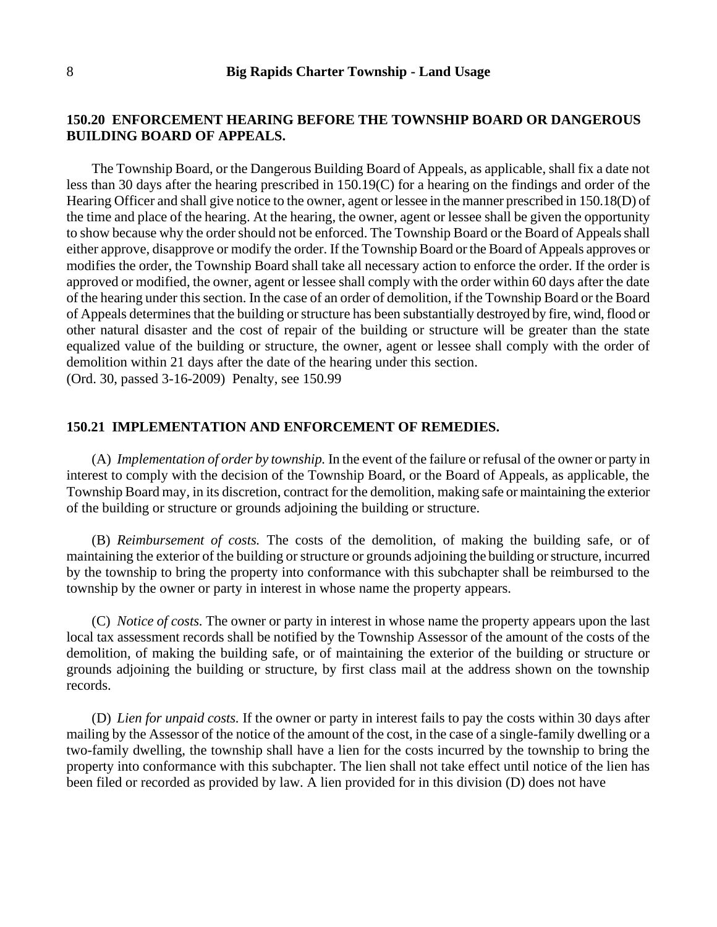## **150.20 ENFORCEMENT HEARING BEFORE THE TOWNSHIP BOARD OR DANGEROUS BUILDING BOARD OF APPEALS.**

The Township Board, or the Dangerous Building Board of Appeals, as applicable, shall fix a date not less than 30 days after the hearing prescribed in 150.19(C) for a hearing on the findings and order of the Hearing Officer and shall give notice to the owner, agent or lessee in the manner prescribed in 150.18(D) of the time and place of the hearing. At the hearing, the owner, agent or lessee shall be given the opportunity to show because why the order should not be enforced. The Township Board or the Board of Appeals shall either approve, disapprove or modify the order. If the Township Board or the Board of Appeals approves or modifies the order, the Township Board shall take all necessary action to enforce the order. If the order is approved or modified, the owner, agent or lessee shall comply with the order within 60 days after the date of the hearing under this section. In the case of an order of demolition, if the Township Board or the Board of Appeals determines that the building or structure has been substantially destroyed by fire, wind, flood or other natural disaster and the cost of repair of the building or structure will be greater than the state equalized value of the building or structure, the owner, agent or lessee shall comply with the order of demolition within 21 days after the date of the hearing under this section. (Ord. 30, passed 3-16-2009) Penalty, see 150.99

#### **150.21 IMPLEMENTATION AND ENFORCEMENT OF REMEDIES.**

(A) *Implementation of order by township.* In the event of the failure or refusal of the owner or party in interest to comply with the decision of the Township Board, or the Board of Appeals, as applicable, the Township Board may, in its discretion, contract for the demolition, making safe or maintaining the exterior of the building or structure or grounds adjoining the building or structure.

(B) *Reimbursement of costs.* The costs of the demolition, of making the building safe, or of maintaining the exterior of the building or structure or grounds adjoining the building or structure, incurred by the township to bring the property into conformance with this subchapter shall be reimbursed to the township by the owner or party in interest in whose name the property appears.

(C) *Notice of costs.* The owner or party in interest in whose name the property appears upon the last local tax assessment records shall be notified by the Township Assessor of the amount of the costs of the demolition, of making the building safe, or of maintaining the exterior of the building or structure or grounds adjoining the building or structure, by first class mail at the address shown on the township records.

(D) *Lien for unpaid costs.* If the owner or party in interest fails to pay the costs within 30 days after mailing by the Assessor of the notice of the amount of the cost, in the case of a single-family dwelling or a two-family dwelling, the township shall have a lien for the costs incurred by the township to bring the property into conformance with this subchapter. The lien shall not take effect until notice of the lien has been filed or recorded as provided by law. A lien provided for in this division (D) does not have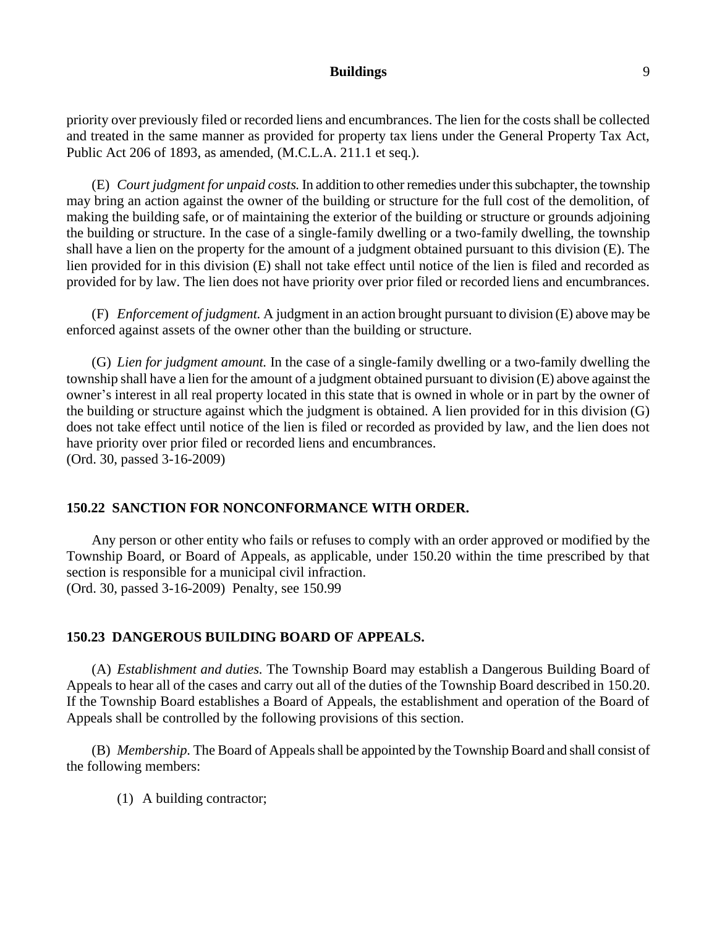### **Buildings** 9

priority over previously filed or recorded liens and encumbrances. The lien for the costs shall be collected and treated in the same manner as provided for property tax liens under the General Property Tax Act, Public Act 206 of 1893, as amended, (M.C.L.A. 211.1 et seq.).

(E) *Court judgment for unpaid costs.* In addition to other remedies under this subchapter, the township may bring an action against the owner of the building or structure for the full cost of the demolition, of making the building safe, or of maintaining the exterior of the building or structure or grounds adjoining the building or structure. In the case of a single-family dwelling or a two-family dwelling, the township shall have a lien on the property for the amount of a judgment obtained pursuant to this division (E). The lien provided for in this division (E) shall not take effect until notice of the lien is filed and recorded as provided for by law. The lien does not have priority over prior filed or recorded liens and encumbrances.

(F) *Enforcement of judgment.* A judgment in an action brought pursuant to division (E) above may be enforced against assets of the owner other than the building or structure.

(G) *Lien for judgment amount.* In the case of a single-family dwelling or a two-family dwelling the township shall have a lien for the amount of a judgment obtained pursuant to division (E) above against the owner's interest in all real property located in this state that is owned in whole or in part by the owner of the building or structure against which the judgment is obtained. A lien provided for in this division (G) does not take effect until notice of the lien is filed or recorded as provided by law, and the lien does not have priority over prior filed or recorded liens and encumbrances. (Ord. 30, passed 3-16-2009)

### **150.22 SANCTION FOR NONCONFORMANCE WITH ORDER.**

Any person or other entity who fails or refuses to comply with an order approved or modified by the Township Board, or Board of Appeals, as applicable, under 150.20 within the time prescribed by that section is responsible for a municipal civil infraction. (Ord. 30, passed 3-16-2009) Penalty, see 150.99

#### **150.23 DANGEROUS BUILDING BOARD OF APPEALS.**

(A) *Establishment and duties.* The Township Board may establish a Dangerous Building Board of Appeals to hear all of the cases and carry out all of the duties of the Township Board described in 150.20. If the Township Board establishes a Board of Appeals, the establishment and operation of the Board of Appeals shall be controlled by the following provisions of this section.

(B) *Membership.* The Board of Appeals shall be appointed by the Township Board and shall consist of the following members:

(1) A building contractor;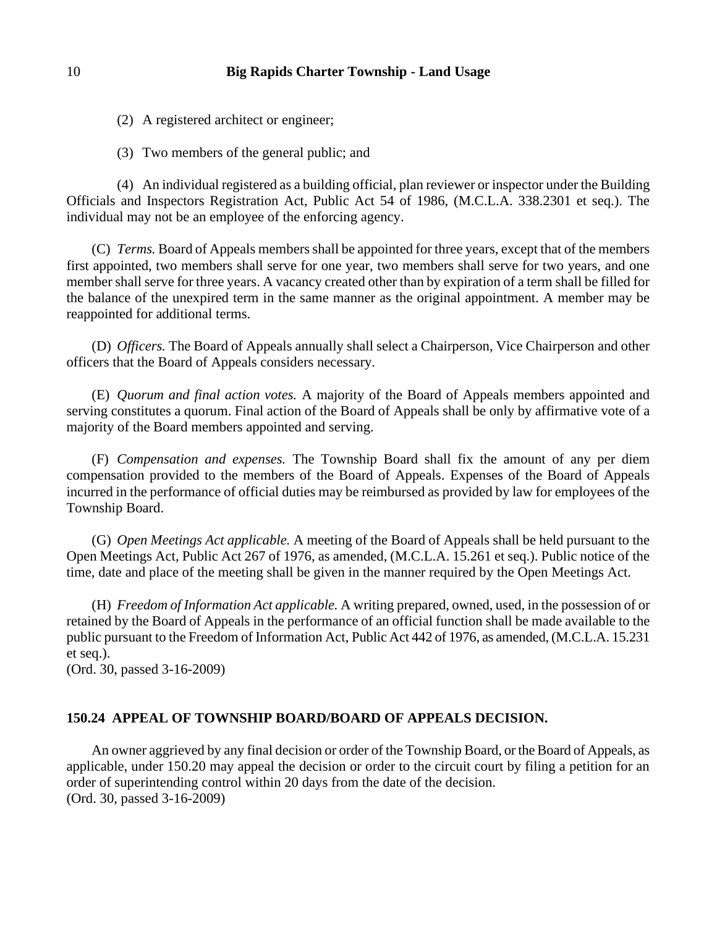(2) A registered architect or engineer;

(3) Two members of the general public; and

(4) An individual registered as a building official, plan reviewer or inspector under the Building Officials and Inspectors Registration Act, Public Act 54 of 1986, (M.C.L.A. 338.2301 et seq.). The individual may not be an employee of the enforcing agency.

(C) *Terms.* Board of Appeals members shall be appointed for three years, except that of the members first appointed, two members shall serve for one year, two members shall serve for two years, and one member shall serve for three years. A vacancy created other than by expiration of a term shall be filled for the balance of the unexpired term in the same manner as the original appointment. A member may be reappointed for additional terms.

(D) *Officers.* The Board of Appeals annually shall select a Chairperson, Vice Chairperson and other officers that the Board of Appeals considers necessary.

(E) *Quorum and final action votes.* A majority of the Board of Appeals members appointed and serving constitutes a quorum. Final action of the Board of Appeals shall be only by affirmative vote of a majority of the Board members appointed and serving.

(F) *Compensation and expenses.* The Township Board shall fix the amount of any per diem compensation provided to the members of the Board of Appeals. Expenses of the Board of Appeals incurred in the performance of official duties may be reimbursed as provided by law for employees of the Township Board.

(G) *Open Meetings Act applicable.* A meeting of the Board of Appeals shall be held pursuant to the Open Meetings Act, Public Act 267 of 1976, as amended, (M.C.L.A. 15.261 et seq.). Public notice of the time, date and place of the meeting shall be given in the manner required by the Open Meetings Act.

(H) *Freedom of Information Act applicable.* A writing prepared, owned, used, in the possession of or retained by the Board of Appeals in the performance of an official function shall be made available to the public pursuant to the Freedom of Information Act, Public Act 442 of 1976, as amended, (M.C.L.A. 15.231 et seq.).

(Ord. 30, passed 3-16-2009)

## **150.24 APPEAL OF TOWNSHIP BOARD/BOARD OF APPEALS DECISION.**

An owner aggrieved by any final decision or order of the Township Board, or the Board of Appeals, as applicable, under 150.20 may appeal the decision or order to the circuit court by filing a petition for an order of superintending control within 20 days from the date of the decision. (Ord. 30, passed 3-16-2009)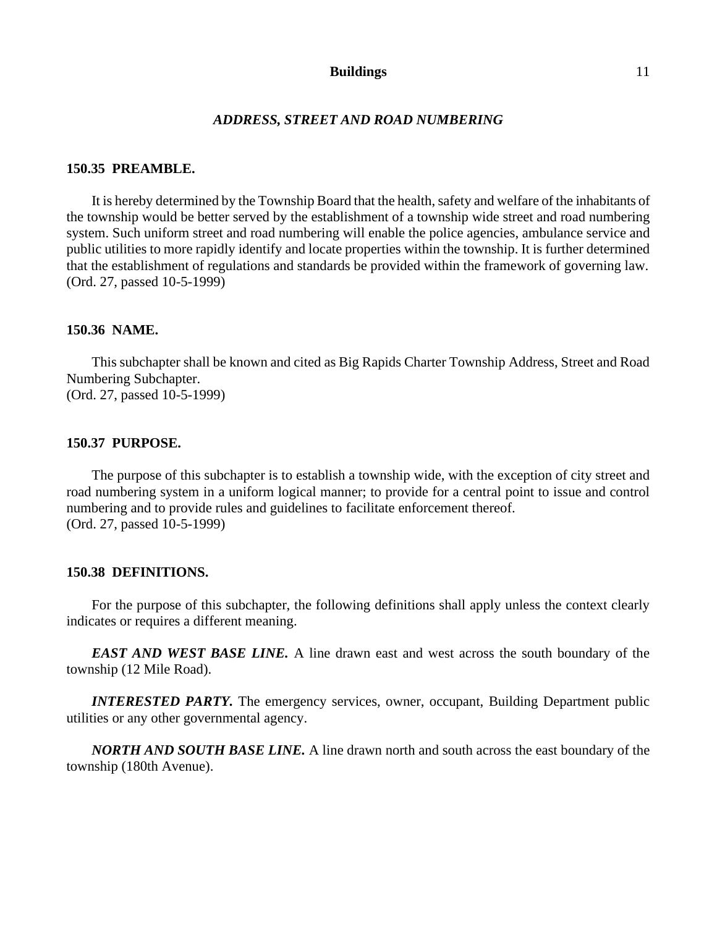#### **Buildings** 11

#### *ADDRESS, STREET AND ROAD NUMBERING*

## **150.35 PREAMBLE.**

It is hereby determined by the Township Board that the health, safety and welfare of the inhabitants of the township would be better served by the establishment of a township wide street and road numbering system. Such uniform street and road numbering will enable the police agencies, ambulance service and public utilities to more rapidly identify and locate properties within the township. It is further determined that the establishment of regulations and standards be provided within the framework of governing law. (Ord. 27, passed 10-5-1999)

## **150.36 NAME.**

This subchapter shall be known and cited as Big Rapids Charter Township Address, Street and Road Numbering Subchapter. (Ord. 27, passed 10-5-1999)

#### **150.37 PURPOSE.**

The purpose of this subchapter is to establish a township wide, with the exception of city street and road numbering system in a uniform logical manner; to provide for a central point to issue and control numbering and to provide rules and guidelines to facilitate enforcement thereof. (Ord. 27, passed 10-5-1999)

#### **150.38 DEFINITIONS.**

For the purpose of this subchapter, the following definitions shall apply unless the context clearly indicates or requires a different meaning.

*EAST AND WEST BASE LINE.* A line drawn east and west across the south boundary of the township (12 Mile Road).

*INTERESTED PARTY.* The emergency services, owner, occupant, Building Department public utilities or any other governmental agency.

*NORTH AND SOUTH BASE LINE.* A line drawn north and south across the east boundary of the township (180th Avenue).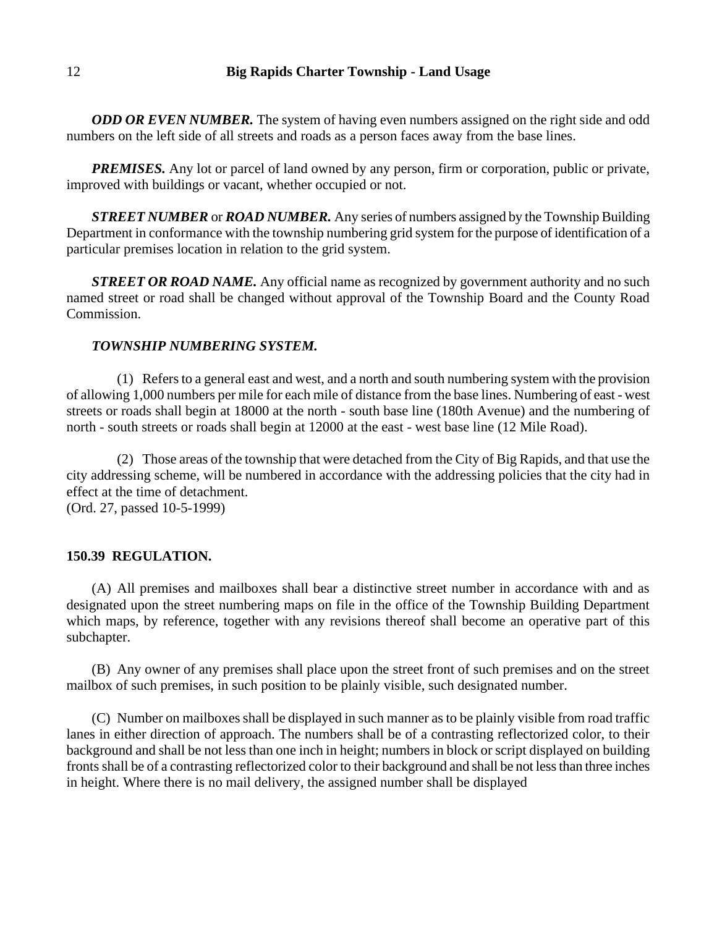*ODD OR EVEN NUMBER*. The system of having even numbers assigned on the right side and odd numbers on the left side of all streets and roads as a person faces away from the base lines.

*PREMISES.* Any lot or parcel of land owned by any person, firm or corporation, public or private, improved with buildings or vacant, whether occupied or not.

*STREET NUMBER* or *ROAD NUMBER.* Any series of numbers assigned by the Township Building Department in conformance with the township numbering grid system for the purpose of identification of a particular premises location in relation to the grid system.

*STREET OR ROAD NAME.* Any official name as recognized by government authority and no such named street or road shall be changed without approval of the Township Board and the County Road Commission.

## *TOWNSHIP NUMBERING SYSTEM.*

(1) Refers to a general east and west, and a north and south numbering system with the provision of allowing 1,000 numbers per mile for each mile of distance from the base lines. Numbering of east - west streets or roads shall begin at 18000 at the north - south base line (180th Avenue) and the numbering of north - south streets or roads shall begin at 12000 at the east - west base line (12 Mile Road).

(2) Those areas of the township that were detached from the City of Big Rapids, and that use the city addressing scheme, will be numbered in accordance with the addressing policies that the city had in effect at the time of detachment.

(Ord. 27, passed 10-5-1999)

### **150.39 REGULATION.**

(A) All premises and mailboxes shall bear a distinctive street number in accordance with and as designated upon the street numbering maps on file in the office of the Township Building Department which maps, by reference, together with any revisions thereof shall become an operative part of this subchapter.

(B) Any owner of any premises shall place upon the street front of such premises and on the street mailbox of such premises, in such position to be plainly visible, such designated number.

(C) Number on mailboxes shall be displayed in such manner as to be plainly visible from road traffic lanes in either direction of approach. The numbers shall be of a contrasting reflectorized color, to their background and shall be not less than one inch in height; numbers in block or script displayed on building fronts shall be of a contrasting reflectorized color to their background and shall be not less than three inches in height. Where there is no mail delivery, the assigned number shall be displayed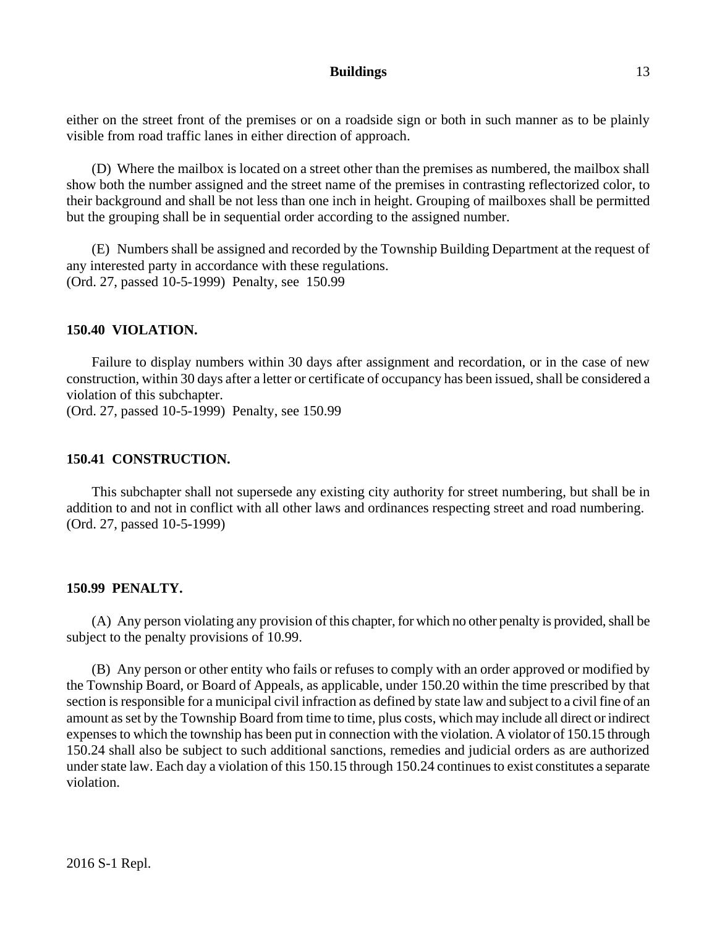## **Buildings** 13

either on the street front of the premises or on a roadside sign or both in such manner as to be plainly visible from road traffic lanes in either direction of approach.

(D) Where the mailbox is located on a street other than the premises as numbered, the mailbox shall show both the number assigned and the street name of the premises in contrasting reflectorized color, to their background and shall be not less than one inch in height. Grouping of mailboxes shall be permitted but the grouping shall be in sequential order according to the assigned number.

(E) Numbers shall be assigned and recorded by the Township Building Department at the request of any interested party in accordance with these regulations. (Ord. 27, passed 10-5-1999) Penalty, see 150.99

## **150.40 VIOLATION.**

Failure to display numbers within 30 days after assignment and recordation, or in the case of new construction, within 30 days after a letter or certificate of occupancy has been issued, shall be considered a violation of this subchapter.

(Ord. 27, passed 10-5-1999) Penalty, see 150.99

## **150.41 CONSTRUCTION.**

This subchapter shall not supersede any existing city authority for street numbering, but shall be in addition to and not in conflict with all other laws and ordinances respecting street and road numbering. (Ord. 27, passed 10-5-1999)

## **150.99 PENALTY.**

(A) Any person violating any provision of this chapter, for which no other penalty is provided, shall be subject to the penalty provisions of 10.99.

(B) Any person or other entity who fails or refuses to comply with an order approved or modified by the Township Board, or Board of Appeals, as applicable, under 150.20 within the time prescribed by that section is responsible for a municipal civil infraction as defined by state law and subject to a civil fine of an amount as set by the Township Board from time to time, plus costs, which may include all direct or indirect expenses to which the township has been put in connection with the violation. A violator of 150.15 through 150.24 shall also be subject to such additional sanctions, remedies and judicial orders as are authorized under state law. Each day a violation of this 150.15 through 150.24 continues to exist constitutes a separate violation.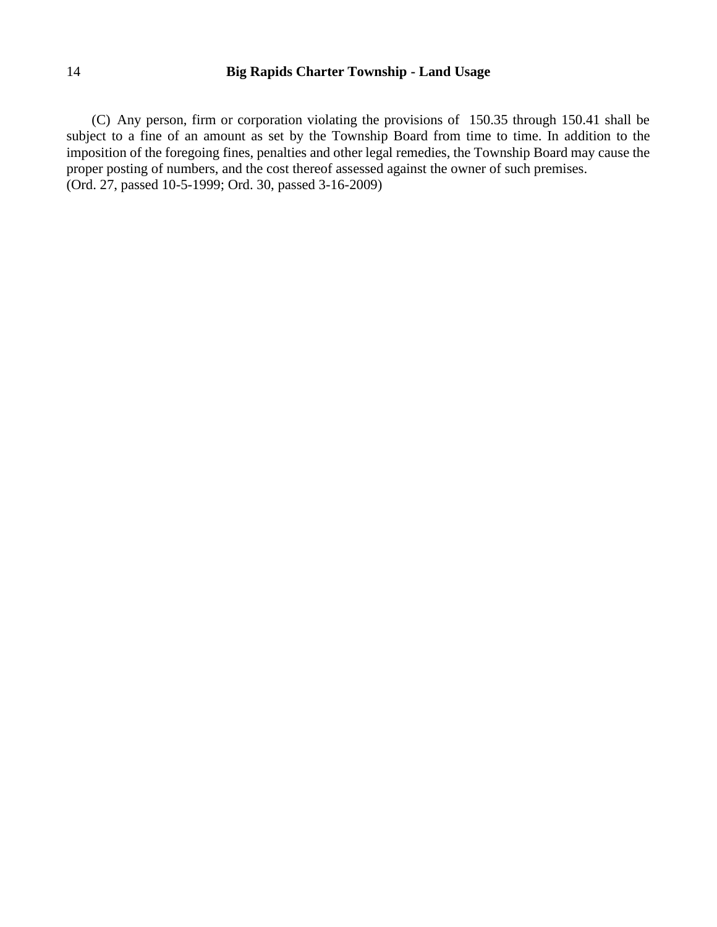(C) Any person, firm or corporation violating the provisions of 150.35 through 150.41 shall be subject to a fine of an amount as set by the Township Board from time to time. In addition to the imposition of the foregoing fines, penalties and other legal remedies, the Township Board may cause the proper posting of numbers, and the cost thereof assessed against the owner of such premises. (Ord. 27, passed 10-5-1999; Ord. 30, passed 3-16-2009)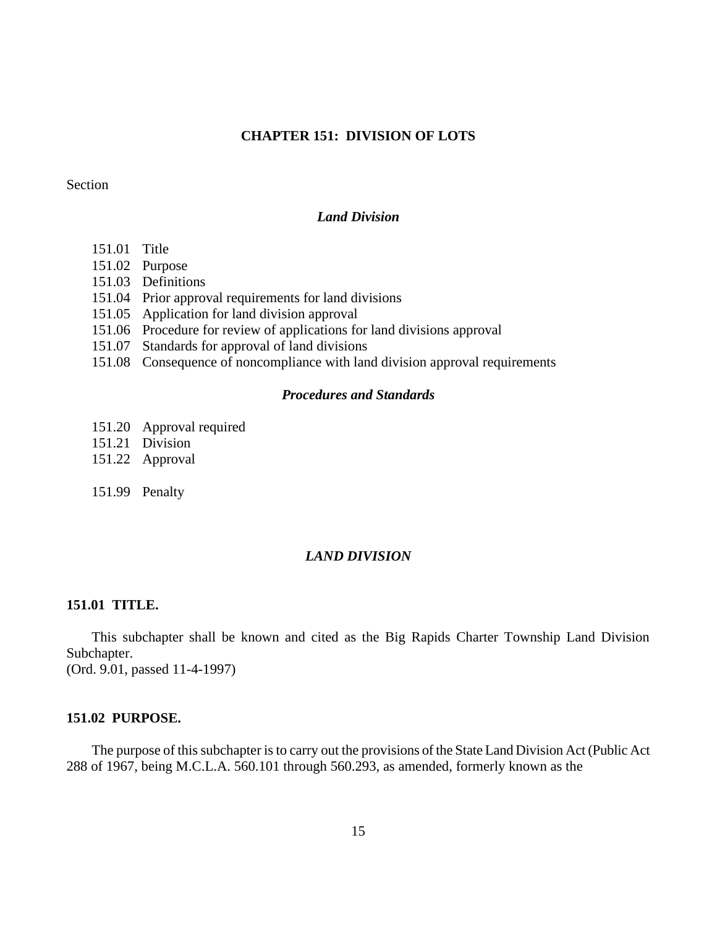## **CHAPTER 151: DIVISION OF LOTS**

### Section

#### *Land Division*

- 151.01 Title
- 151.02 Purpose
- 151.03 Definitions
- 151.04 Prior approval requirements for land divisions
- 151.05 Application for land division approval
- 151.06 Procedure for review of applications for land divisions approval
- 151.07 Standards for approval of land divisions
- 151.08 Consequence of noncompliance with land division approval requirements

### *Procedures and Standards*

- 151.20 Approval required
- 151.21 Division
- 151.22 Approval
- 151.99 Penalty

## *LAND DIVISION*

#### **151.01 TITLE.**

This subchapter shall be known and cited as the Big Rapids Charter Township Land Division Subchapter.

(Ord. 9.01, passed 11-4-1997)

#### **151.02 PURPOSE.**

The purpose of this subchapter is to carry out the provisions of the State Land Division Act (Public Act 288 of 1967, being M.C.L.A. 560.101 through 560.293, as amended, formerly known as the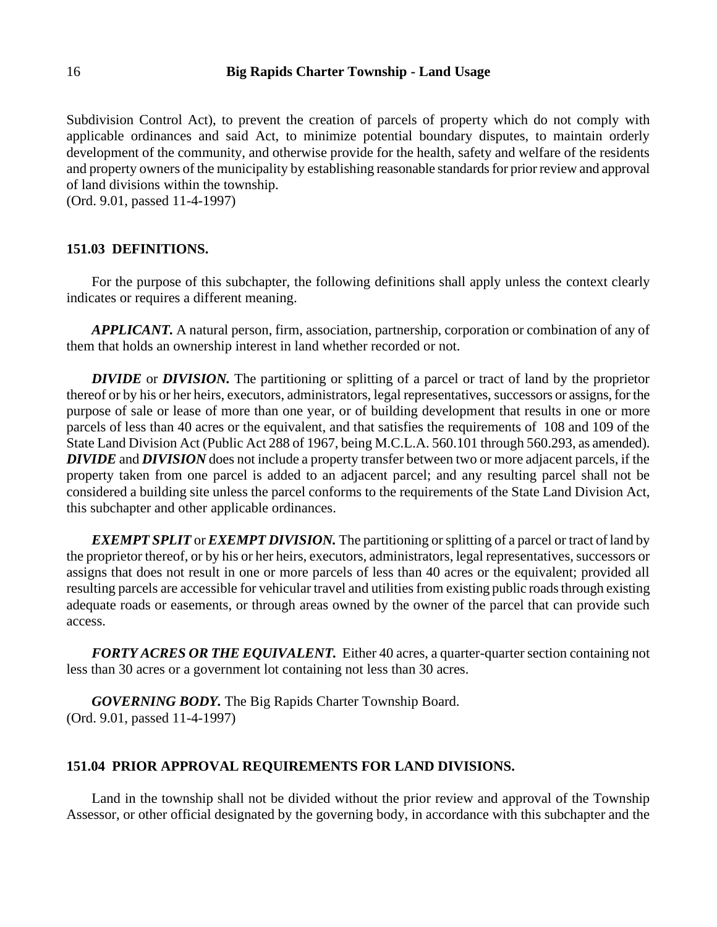Subdivision Control Act), to prevent the creation of parcels of property which do not comply with applicable ordinances and said Act, to minimize potential boundary disputes, to maintain orderly development of the community, and otherwise provide for the health, safety and welfare of the residents and property owners of the municipality by establishing reasonable standards for prior review and approval of land divisions within the township.

(Ord. 9.01, passed 11-4-1997)

#### **151.03 DEFINITIONS.**

For the purpose of this subchapter, the following definitions shall apply unless the context clearly indicates or requires a different meaning.

*APPLICANT.* A natural person, firm, association, partnership, corporation or combination of any of them that holds an ownership interest in land whether recorded or not.

*DIVIDE* or *DIVISION.* The partitioning or splitting of a parcel or tract of land by the proprietor thereof or by his or her heirs, executors, administrators, legal representatives, successors or assigns, for the purpose of sale or lease of more than one year, or of building development that results in one or more parcels of less than 40 acres or the equivalent, and that satisfies the requirements of 108 and 109 of the State Land Division Act (Public Act 288 of 1967, being M.C.L.A. 560.101 through 560.293, as amended). *DIVIDE* and *DIVISION* does not include a property transfer between two or more adjacent parcels, if the property taken from one parcel is added to an adjacent parcel; and any resulting parcel shall not be considered a building site unless the parcel conforms to the requirements of the State Land Division Act, this subchapter and other applicable ordinances.

*EXEMPT SPLIT* or *EXEMPT DIVISION.* The partitioning or splitting of a parcel or tract of land by the proprietor thereof, or by his or her heirs, executors, administrators, legal representatives, successors or assigns that does not result in one or more parcels of less than 40 acres or the equivalent; provided all resulting parcels are accessible for vehicular travel and utilities from existing public roads through existing adequate roads or easements, or through areas owned by the owner of the parcel that can provide such access.

*FORTY ACRES OR THE EQUIVALENT.* Either 40 acres, a quarter-quarter section containing not less than 30 acres or a government lot containing not less than 30 acres.

*GOVERNING BODY.* The Big Rapids Charter Township Board. (Ord. 9.01, passed 11-4-1997)

## **151.04 PRIOR APPROVAL REQUIREMENTS FOR LAND DIVISIONS.**

Land in the township shall not be divided without the prior review and approval of the Township Assessor, or other official designated by the governing body, in accordance with this subchapter and the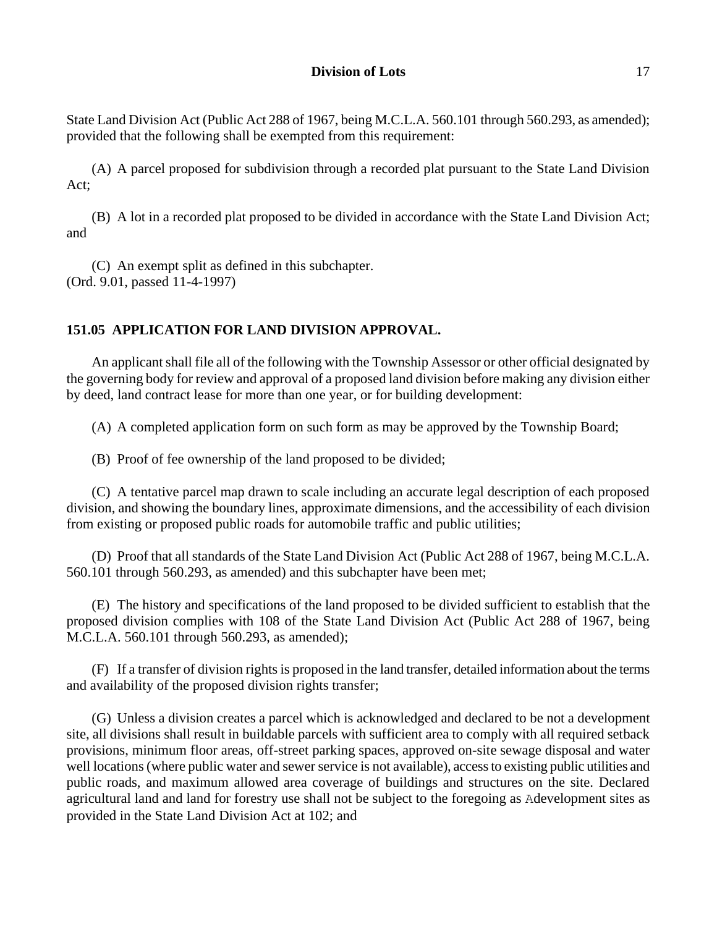State Land Division Act (Public Act 288 of 1967, being M.C.L.A. 560.101 through 560.293, as amended); provided that the following shall be exempted from this requirement:

(A) A parcel proposed for subdivision through a recorded plat pursuant to the State Land Division Act;

(B) A lot in a recorded plat proposed to be divided in accordance with the State Land Division Act; and

(C) An exempt split as defined in this subchapter. (Ord. 9.01, passed 11-4-1997)

## **151.05 APPLICATION FOR LAND DIVISION APPROVAL.**

An applicant shall file all of the following with the Township Assessor or other official designated by the governing body for review and approval of a proposed land division before making any division either by deed, land contract lease for more than one year, or for building development:

(A) A completed application form on such form as may be approved by the Township Board;

(B) Proof of fee ownership of the land proposed to be divided;

(C) A tentative parcel map drawn to scale including an accurate legal description of each proposed division, and showing the boundary lines, approximate dimensions, and the accessibility of each division from existing or proposed public roads for automobile traffic and public utilities;

(D) Proof that all standards of the State Land Division Act (Public Act 288 of 1967, being M.C.L.A. 560.101 through 560.293, as amended) and this subchapter have been met;

(E) The history and specifications of the land proposed to be divided sufficient to establish that the proposed division complies with 108 of the State Land Division Act (Public Act 288 of 1967, being M.C.L.A. 560.101 through 560.293, as amended);

(F) If a transfer of division rights is proposed in the land transfer, detailed information about the terms and availability of the proposed division rights transfer;

(G) Unless a division creates a parcel which is acknowledged and declared to be not a development site, all divisions shall result in buildable parcels with sufficient area to comply with all required setback provisions, minimum floor areas, off-street parking spaces, approved on-site sewage disposal and water well locations (where public water and sewer service is not available), access to existing public utilities and public roads, and maximum allowed area coverage of buildings and structures on the site. Declared agricultural land and land for forestry use shall not be subject to the foregoing as Adevelopment sites as provided in the State Land Division Act at 102; and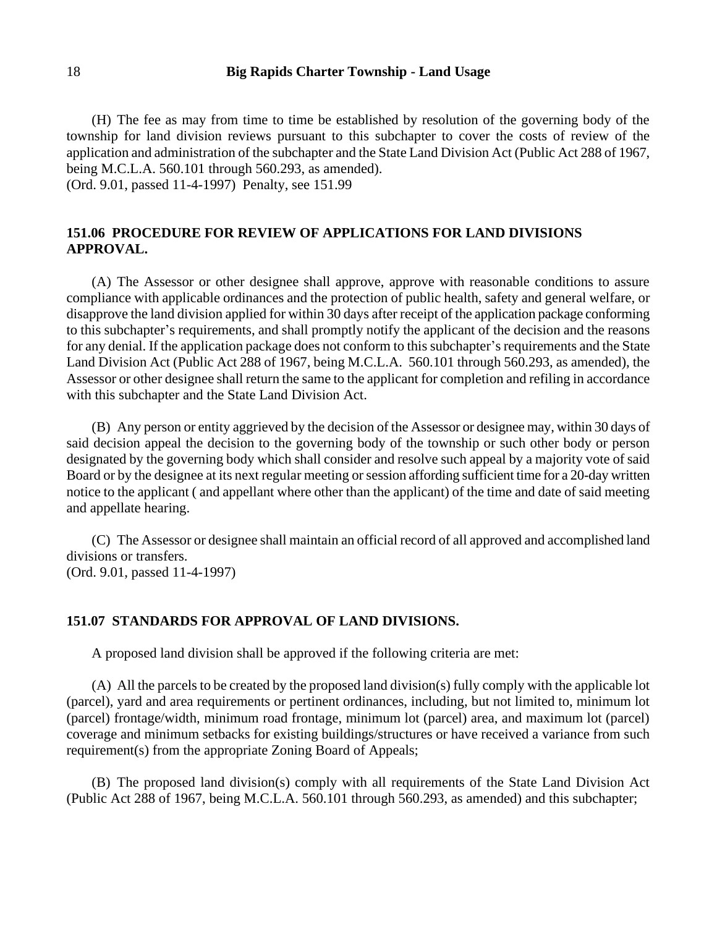(H) The fee as may from time to time be established by resolution of the governing body of the township for land division reviews pursuant to this subchapter to cover the costs of review of the application and administration of the subchapter and the State Land Division Act (Public Act 288 of 1967, being M.C.L.A. 560.101 through 560.293, as amended).

(Ord. 9.01, passed 11-4-1997) Penalty, see 151.99

## **151.06 PROCEDURE FOR REVIEW OF APPLICATIONS FOR LAND DIVISIONS APPROVAL.**

(A) The Assessor or other designee shall approve, approve with reasonable conditions to assure compliance with applicable ordinances and the protection of public health, safety and general welfare, or disapprove the land division applied for within 30 days after receipt of the application package conforming to this subchapter's requirements, and shall promptly notify the applicant of the decision and the reasons for any denial. If the application package does not conform to this subchapter's requirements and the State Land Division Act (Public Act 288 of 1967, being M.C.L.A. 560.101 through 560.293, as amended), the Assessor or other designee shall return the same to the applicant for completion and refiling in accordance with this subchapter and the State Land Division Act.

(B) Any person or entity aggrieved by the decision of the Assessor or designee may, within 30 days of said decision appeal the decision to the governing body of the township or such other body or person designated by the governing body which shall consider and resolve such appeal by a majority vote of said Board or by the designee at its next regular meeting or session affording sufficient time for a 20-day written notice to the applicant ( and appellant where other than the applicant) of the time and date of said meeting and appellate hearing.

(C) The Assessor or designee shall maintain an official record of all approved and accomplished land divisions or transfers. (Ord. 9.01, passed 11-4-1997)

#### **151.07 STANDARDS FOR APPROVAL OF LAND DIVISIONS.**

A proposed land division shall be approved if the following criteria are met:

(A) All the parcels to be created by the proposed land division(s) fully comply with the applicable lot (parcel), yard and area requirements or pertinent ordinances, including, but not limited to, minimum lot (parcel) frontage/width, minimum road frontage, minimum lot (parcel) area, and maximum lot (parcel) coverage and minimum setbacks for existing buildings/structures or have received a variance from such requirement(s) from the appropriate Zoning Board of Appeals;

(B) The proposed land division(s) comply with all requirements of the State Land Division Act (Public Act 288 of 1967, being M.C.L.A. 560.101 through 560.293, as amended) and this subchapter;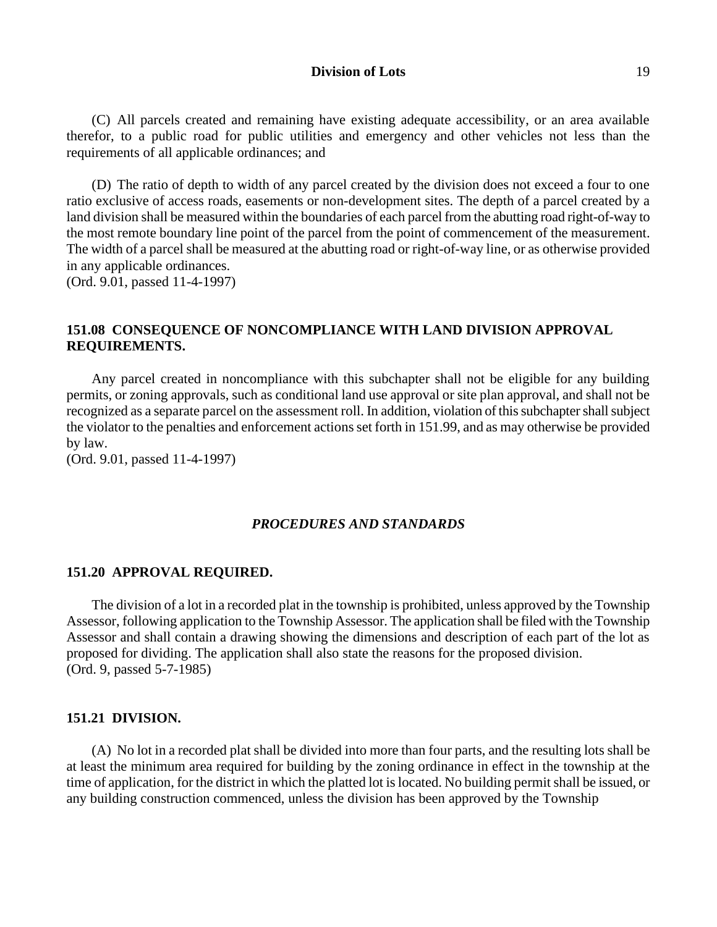#### **Division of Lots** 19

(C) All parcels created and remaining have existing adequate accessibility, or an area available therefor, to a public road for public utilities and emergency and other vehicles not less than the requirements of all applicable ordinances; and

(D) The ratio of depth to width of any parcel created by the division does not exceed a four to one ratio exclusive of access roads, easements or non-development sites. The depth of a parcel created by a land division shall be measured within the boundaries of each parcel from the abutting road right-of-way to the most remote boundary line point of the parcel from the point of commencement of the measurement. The width of a parcel shall be measured at the abutting road or right-of-way line, or as otherwise provided in any applicable ordinances. (Ord. 9.01, passed 11-4-1997)

## **151.08 CONSEQUENCE OF NONCOMPLIANCE WITH LAND DIVISION APPROVAL REQUIREMENTS.**

Any parcel created in noncompliance with this subchapter shall not be eligible for any building permits, or zoning approvals, such as conditional land use approval or site plan approval, and shall not be recognized as a separate parcel on the assessment roll. In addition, violation of this subchapter shall subject the violator to the penalties and enforcement actions set forth in 151.99, and as may otherwise be provided by law.

(Ord. 9.01, passed 11-4-1997)

### *PROCEDURES AND STANDARDS*

#### **151.20 APPROVAL REQUIRED.**

The division of a lot in a recorded plat in the township is prohibited, unless approved by the Township Assessor, following application to the Township Assessor. The application shall be filed with the Township Assessor and shall contain a drawing showing the dimensions and description of each part of the lot as proposed for dividing. The application shall also state the reasons for the proposed division. (Ord. 9, passed 5-7-1985)

## **151.21 DIVISION.**

(A) No lot in a recorded plat shall be divided into more than four parts, and the resulting lots shall be at least the minimum area required for building by the zoning ordinance in effect in the township at the time of application, for the district in which the platted lot is located. No building permit shall be issued, or any building construction commenced, unless the division has been approved by the Township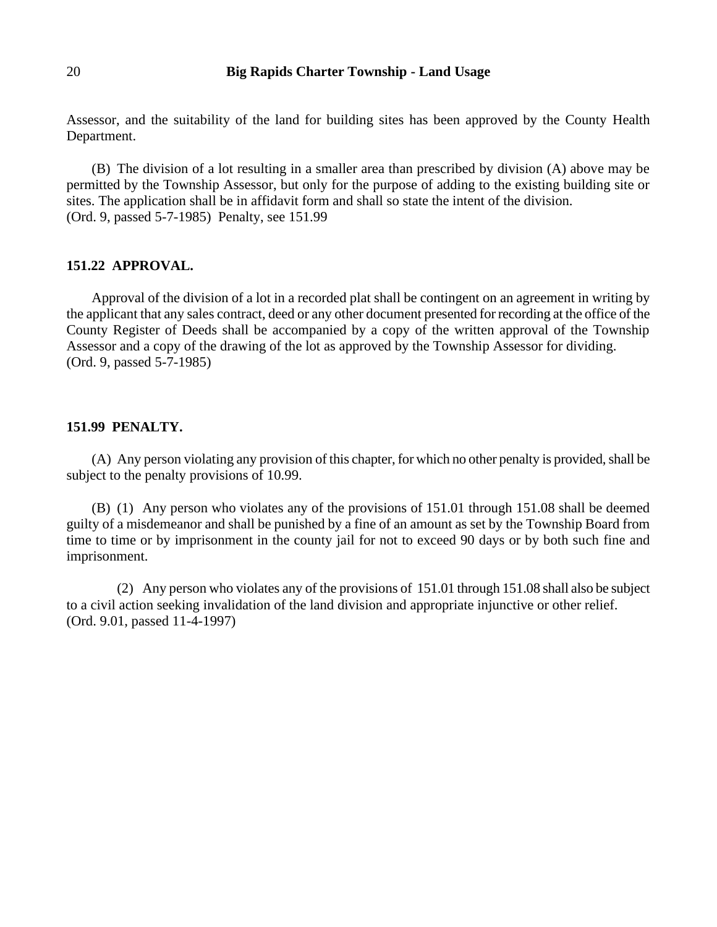Assessor, and the suitability of the land for building sites has been approved by the County Health Department.

(B) The division of a lot resulting in a smaller area than prescribed by division (A) above may be permitted by the Township Assessor, but only for the purpose of adding to the existing building site or sites. The application shall be in affidavit form and shall so state the intent of the division. (Ord. 9, passed 5-7-1985) Penalty, see 151.99

### **151.22 APPROVAL.**

Approval of the division of a lot in a recorded plat shall be contingent on an agreement in writing by the applicant that any sales contract, deed or any other document presented for recording at the office of the County Register of Deeds shall be accompanied by a copy of the written approval of the Township Assessor and a copy of the drawing of the lot as approved by the Township Assessor for dividing. (Ord. 9, passed 5-7-1985)

## **151.99 PENALTY.**

(A) Any person violating any provision of this chapter, for which no other penalty is provided, shall be subject to the penalty provisions of 10.99.

(B) (1) Any person who violates any of the provisions of 151.01 through 151.08 shall be deemed guilty of a misdemeanor and shall be punished by a fine of an amount as set by the Township Board from time to time or by imprisonment in the county jail for not to exceed 90 days or by both such fine and imprisonment.

(2) Any person who violates any of the provisions of 151.01 through 151.08 shall also be subject to a civil action seeking invalidation of the land division and appropriate injunctive or other relief. (Ord. 9.01, passed 11-4-1997)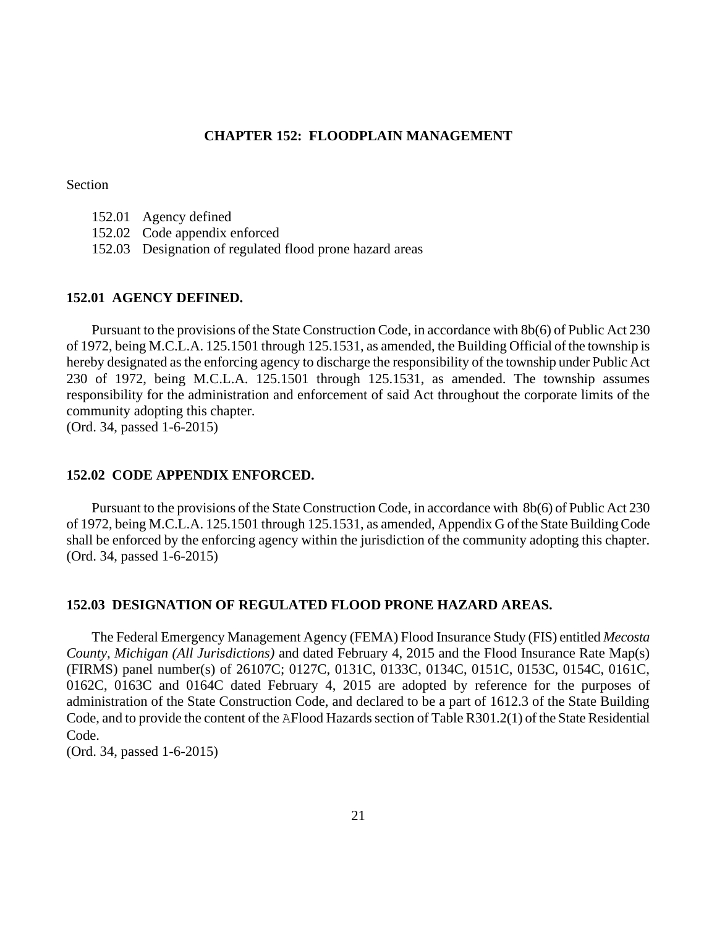#### **CHAPTER 152: FLOODPLAIN MANAGEMENT**

Section

- 152.01 Agency defined
- 152.02 Code appendix enforced
- 152.03 Designation of regulated flood prone hazard areas

#### **152.01 AGENCY DEFINED.**

Pursuant to the provisions of the State Construction Code, in accordance with 8b(6) of Public Act 230 of 1972, being M.C.L.A. 125.1501 through 125.1531, as amended, the Building Official of the township is hereby designated as the enforcing agency to discharge the responsibility of the township under Public Act 230 of 1972, being M.C.L.A. 125.1501 through 125.1531, as amended. The township assumes responsibility for the administration and enforcement of said Act throughout the corporate limits of the community adopting this chapter.

(Ord. 34, passed 1-6-2015)

#### **152.02 CODE APPENDIX ENFORCED.**

Pursuant to the provisions of the State Construction Code, in accordance with 8b(6) of Public Act 230 of 1972, being M.C.L.A. 125.1501 through 125.1531, as amended, Appendix G of the State Building Code shall be enforced by the enforcing agency within the jurisdiction of the community adopting this chapter. (Ord. 34, passed 1-6-2015)

#### **152.03 DESIGNATION OF REGULATED FLOOD PRONE HAZARD AREAS.**

The Federal Emergency Management Agency (FEMA) Flood Insurance Study (FIS) entitled *Mecosta County, Michigan (All Jurisdictions)* and dated February 4, 2015 and the Flood Insurance Rate Map(s) (FIRMS) panel number(s) of 26107C; 0127C, 0131C, 0133C, 0134C, 0151C, 0153C, 0154C, 0161C, 0162C, 0163C and 0164C dated February 4, 2015 are adopted by reference for the purposes of administration of the State Construction Code, and declared to be a part of 1612.3 of the State Building Code, and to provide the content of the AFlood Hazards section of Table R301.2(1) of the State Residential Code.

(Ord. 34, passed 1-6-2015)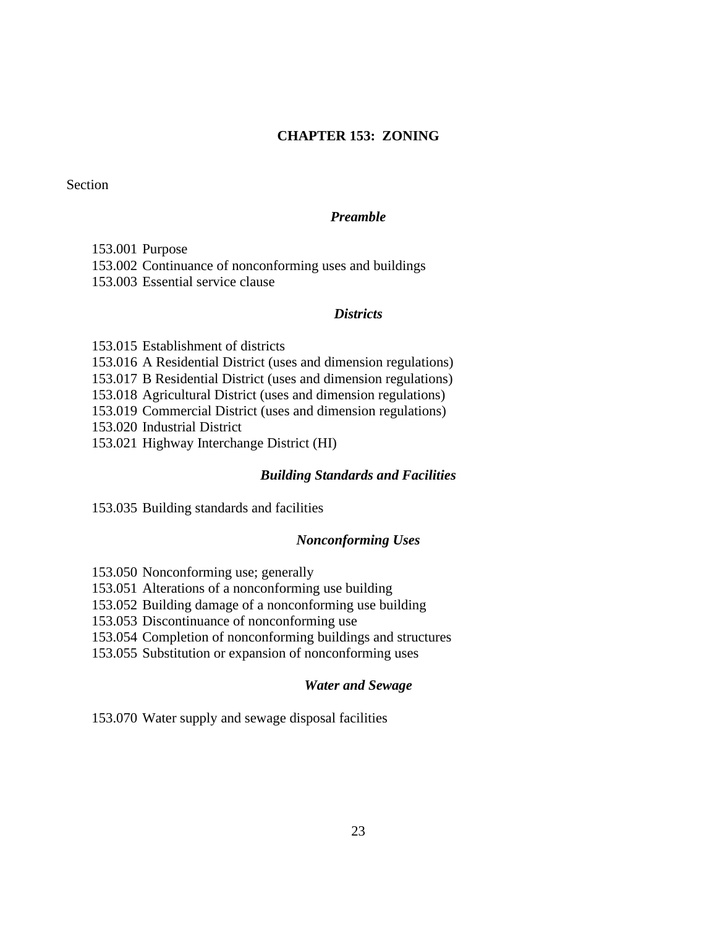## **CHAPTER 153: ZONING**

Section

#### *Preamble*

### 153.001 Purpose

153.002 Continuance of nonconforming uses and buildings

153.003 Essential service clause

#### *Districts*

153.015 Establishment of districts 153.016 A Residential District (uses and dimension regulations) 153.017 B Residential District (uses and dimension regulations) 153.018 Agricultural District (uses and dimension regulations) 153.019 Commercial District (uses and dimension regulations) 153.020 Industrial District 153.021 Highway Interchange District (HI)

### *Building Standards and Facilities*

153.035 Building standards and facilities

### *Nonconforming Uses*

153.050 Nonconforming use; generally

153.051 Alterations of a nonconforming use building

153.052 Building damage of a nonconforming use building

153.053 Discontinuance of nonconforming use

153.054 Completion of nonconforming buildings and structures

153.055 Substitution or expansion of nonconforming uses

## *Water and Sewage*

153.070 Water supply and sewage disposal facilities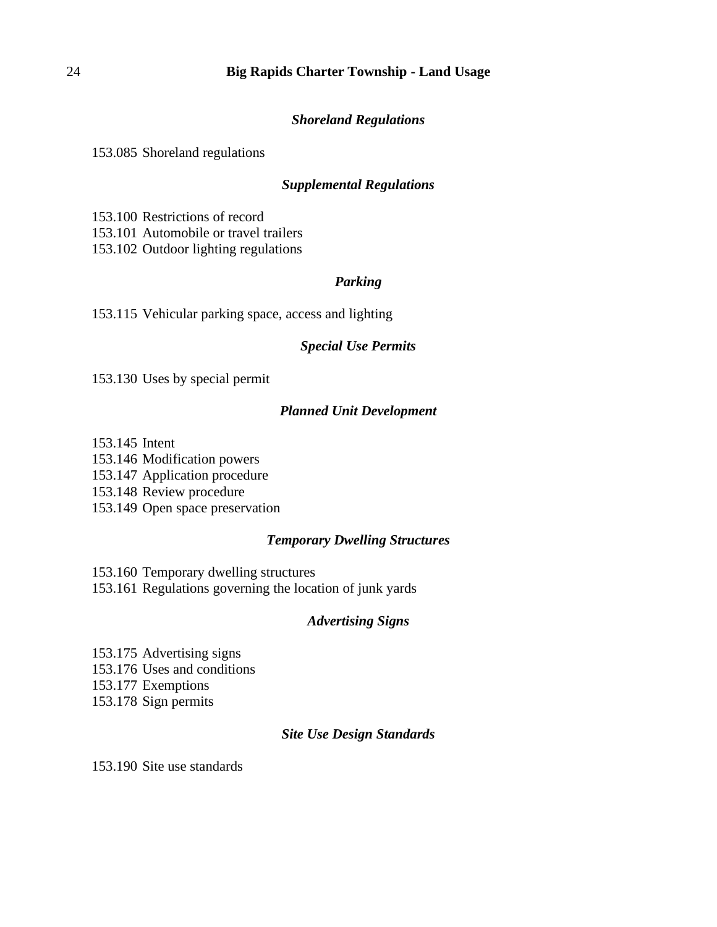## *Shoreland Regulations*

153.085 Shoreland regulations

## *Supplemental Regulations*

153.100 Restrictions of record 153.101 Automobile or travel trailers

153.102 Outdoor lighting regulations

## *Parking*

153.115 Vehicular parking space, access and lighting

## *Special Use Permits*

153.130 Uses by special permit

## *Planned Unit Development*

153.145 Intent

153.146 Modification powers

153.147 Application procedure

153.148 Review procedure

153.149 Open space preservation

## *Temporary Dwelling Structures*

153.160 Temporary dwelling structures 153.161 Regulations governing the location of junk yards

## *Advertising Signs*

153.175 Advertising signs 153.176 Uses and conditions 153.177 Exemptions 153.178 Sign permits

## *Site Use Design Standards*

153.190 Site use standards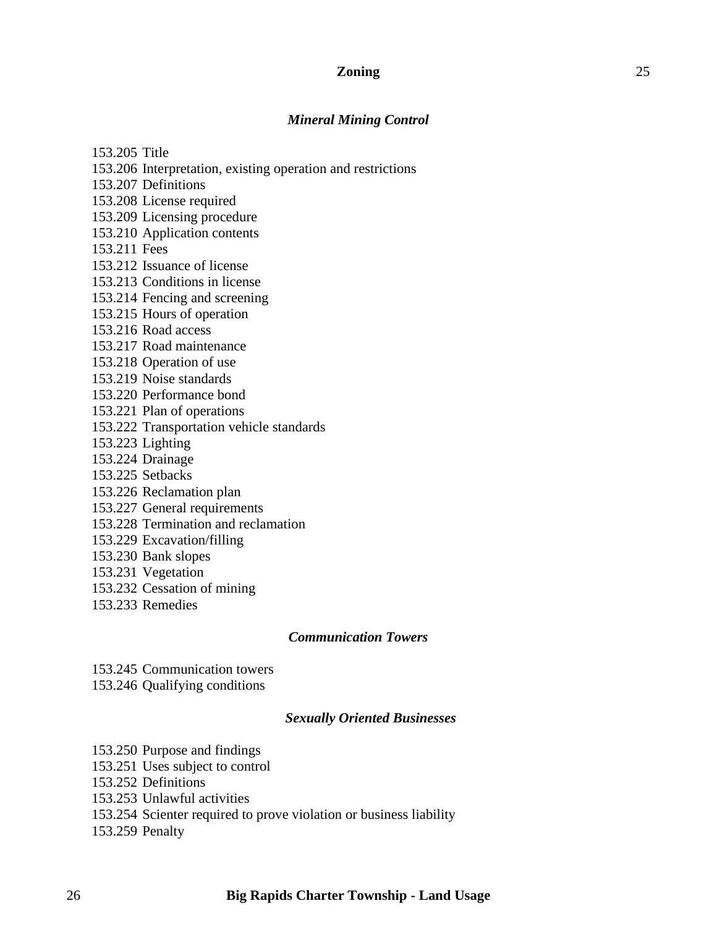### **Zoning** 25

#### *Mineral Mining Control*

153.205 Title

- 153.206 Interpretation, existing operation and restrictions
- 153.207 Definitions
- 153.208 License required

153.209 Licensing procedure

153.210 Application contents

153.211 Fees

- 153.212 Issuance of license
- 153.213 Conditions in license
- 153.214 Fencing and screening
- 153.215 Hours of operation
- 153.216 Road access
- 153.217 Road maintenance
- 153.218 Operation of use
- 153.219 Noise standards
- 153.220 Performance bond
- 153.221 Plan of operations
- 153.222 Transportation vehicle standards
- 153.223 Lighting
- 153.224 Drainage
- 153.225 Setbacks
- 153.226 Reclamation plan
- 153.227 General requirements
- 153.228 Termination and reclamation
- 153.229 Excavation/filling
- 153.230 Bank slopes
- 153.231 Vegetation
- 153.232 Cessation of mining
- 153.233 Remedies

## *Communication Towers*

153.245 Communication towers 153.246 Qualifying conditions

### *Sexually Oriented Businesses*

- 153.250 Purpose and findings
- 153.251 Uses subject to control
- 153.252 Definitions
- 153.253 Unlawful activities
- 153.254 Scienter required to prove violation or business liability
- 153.259 Penalty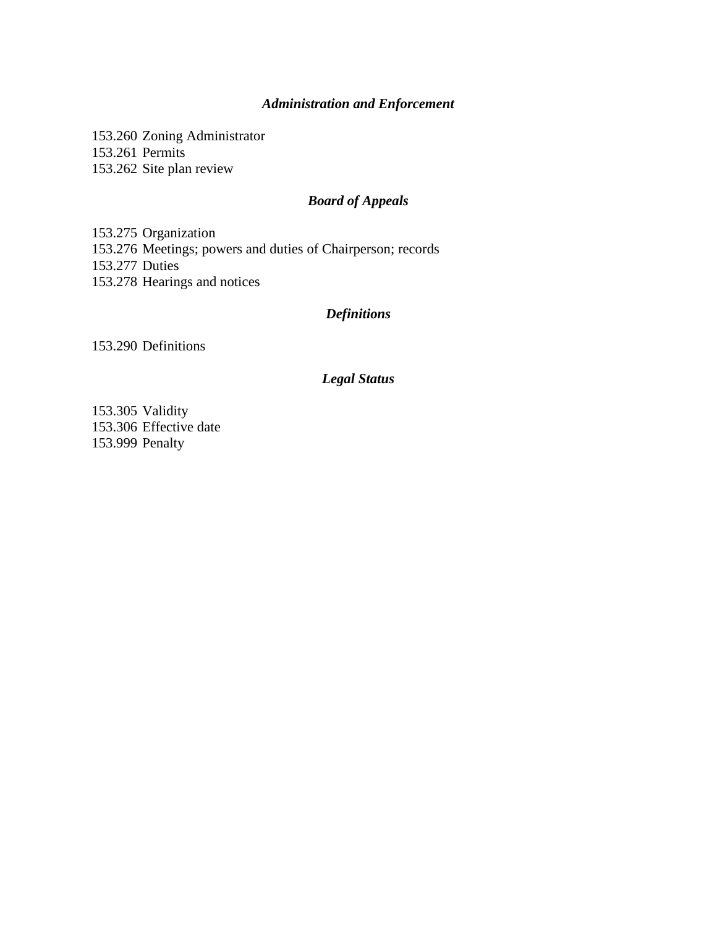## *Administration and Enforcement*

153.260 Zoning Administrator 153.261 Permits 153.262 Site plan review

## *Board of Appeals*

153.275 Organization 153.276 Meetings; powers and duties of Chairperson; records 153.277 Duties 153.278 Hearings and notices

## *Definitions*

153.290 Definitions

## *Legal Status*

153.305 Validity 153.306 Effective date 153.999 Penalty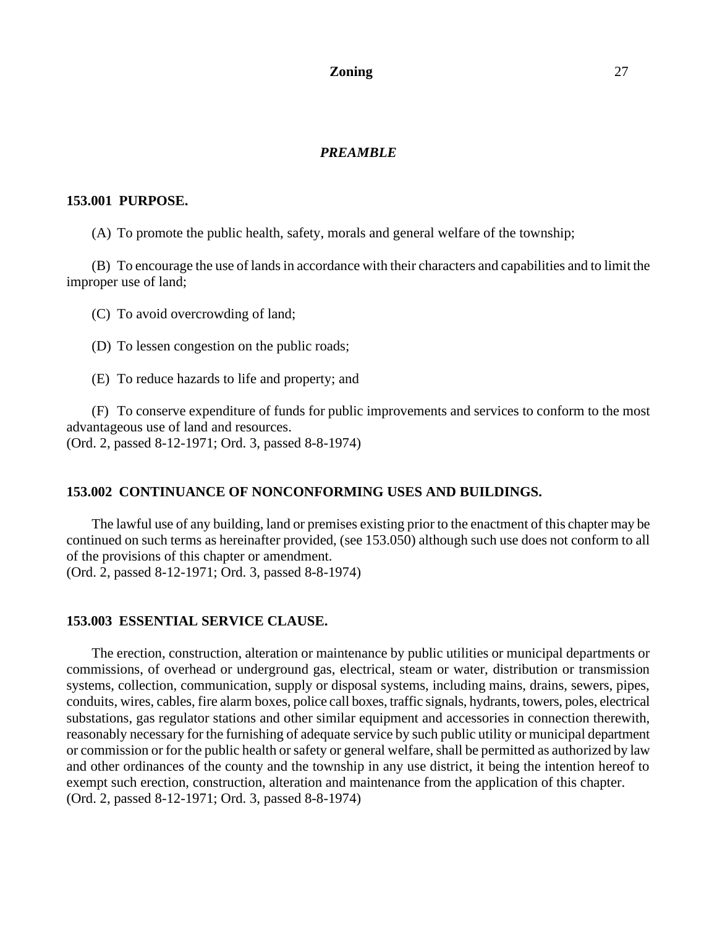### **Zoning** 27

### *PREAMBLE*

#### **153.001 PURPOSE.**

(A) To promote the public health, safety, morals and general welfare of the township;

(B) To encourage the use of lands in accordance with their characters and capabilities and to limit the improper use of land;

(C) To avoid overcrowding of land;

(D) To lessen congestion on the public roads;

(E) To reduce hazards to life and property; and

(F) To conserve expenditure of funds for public improvements and services to conform to the most advantageous use of land and resources. (Ord. 2, passed 8-12-1971; Ord. 3, passed 8-8-1974)

#### **153.002 CONTINUANCE OF NONCONFORMING USES AND BUILDINGS.**

The lawful use of any building, land or premises existing prior to the enactment of this chapter may be continued on such terms as hereinafter provided, (see 153.050) although such use does not conform to all of the provisions of this chapter or amendment. (Ord. 2, passed 8-12-1971; Ord. 3, passed 8-8-1974)

#### **153.003 ESSENTIAL SERVICE CLAUSE.**

The erection, construction, alteration or maintenance by public utilities or municipal departments or commissions, of overhead or underground gas, electrical, steam or water, distribution or transmission systems, collection, communication, supply or disposal systems, including mains, drains, sewers, pipes, conduits, wires, cables, fire alarm boxes, police call boxes, traffic signals, hydrants, towers, poles, electrical substations, gas regulator stations and other similar equipment and accessories in connection therewith, reasonably necessary for the furnishing of adequate service by such public utility or municipal department or commission or for the public health or safety or general welfare, shall be permitted as authorized by law and other ordinances of the county and the township in any use district, it being the intention hereof to exempt such erection, construction, alteration and maintenance from the application of this chapter. (Ord. 2, passed 8-12-1971; Ord. 3, passed 8-8-1974)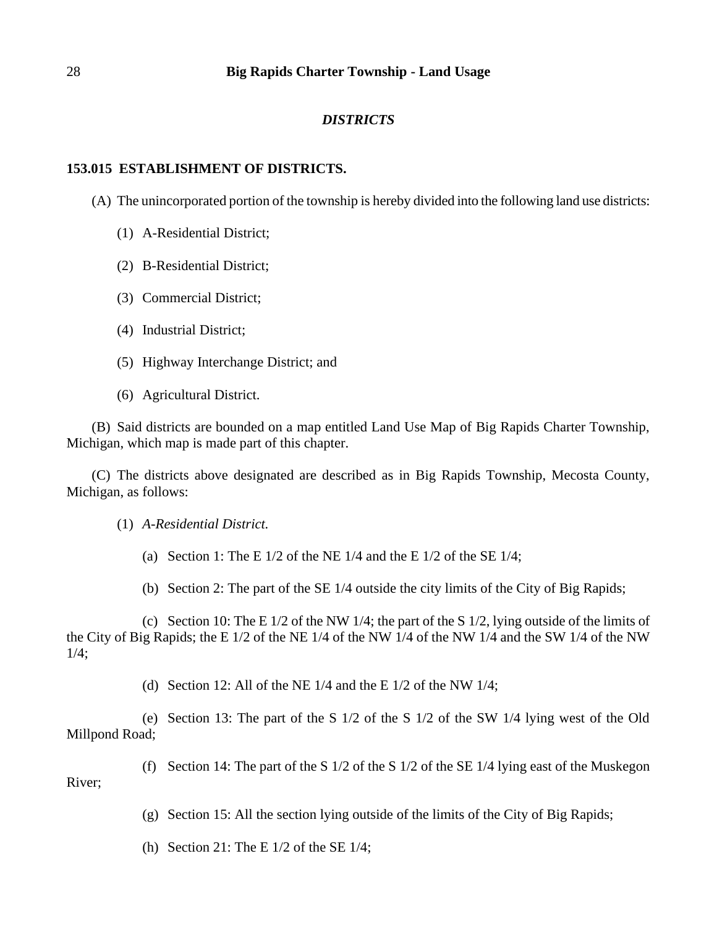## *DISTRICTS*

## **153.015 ESTABLISHMENT OF DISTRICTS.**

(A) The unincorporated portion of the township is hereby divided into the following land use districts:

- (1) A-Residential District;
- (2) B-Residential District;
- (3) Commercial District;
- (4) Industrial District;
- (5) Highway Interchange District; and
- (6) Agricultural District.

(B) Said districts are bounded on a map entitled Land Use Map of Big Rapids Charter Township, Michigan, which map is made part of this chapter.

(C) The districts above designated are described as in Big Rapids Township, Mecosta County, Michigan, as follows:

(1) *A-Residential District.*

(a) Section 1: The E  $1/2$  of the NE  $1/4$  and the E  $1/2$  of the SE  $1/4$ ;

(b) Section 2: The part of the SE 1/4 outside the city limits of the City of Big Rapids;

(c) Section 10: The E  $1/2$  of the NW  $1/4$ ; the part of the S  $1/2$ , lying outside of the limits of the City of Big Rapids; the E 1/2 of the NE 1/4 of the NW 1/4 of the NW 1/4 and the SW 1/4 of the NW  $1/4$ :

(d) Section 12: All of the NE  $1/4$  and the E  $1/2$  of the NW  $1/4$ ;

(e) Section 13: The part of the S 1/2 of the S 1/2 of the SW 1/4 lying west of the Old Millpond Road;

(f) Section 14: The part of the S 1/2 of the S 1/2 of the SE 1/4 lying east of the Muskegon River;

(g) Section 15: All the section lying outside of the limits of the City of Big Rapids;

(h) Section 21: The E  $1/2$  of the SE  $1/4$ ;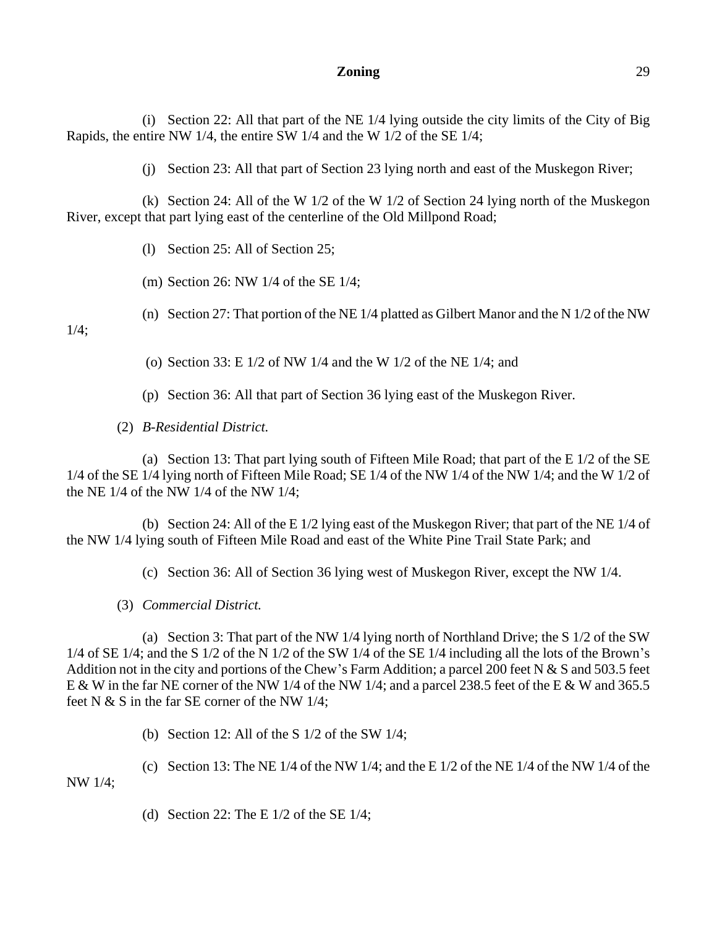#### **Zoning** 29

(i) Section 22: All that part of the NE 1/4 lying outside the city limits of the City of Big Rapids, the entire NW 1/4, the entire SW 1/4 and the W 1/2 of the SE 1/4;

(j) Section 23: All that part of Section 23 lying north and east of the Muskegon River;

(k) Section 24: All of the W 1/2 of the W 1/2 of Section 24 lying north of the Muskegon River, except that part lying east of the centerline of the Old Millpond Road;

(l) Section 25: All of Section 25;

(m) Section 26: NW 1/4 of the SE 1/4;

(n) Section 27: That portion of the NE 1/4 platted as Gilbert Manor and the N 1/2 of the NW

 $1/4$ :

(o) Section 33: E 1/2 of NW 1/4 and the W 1/2 of the NE 1/4; and

(p) Section 36: All that part of Section 36 lying east of the Muskegon River.

(2) *B-Residential District.*

(a) Section 13: That part lying south of Fifteen Mile Road; that part of the E 1/2 of the SE 1/4 of the SE 1/4 lying north of Fifteen Mile Road; SE 1/4 of the NW 1/4 of the NW 1/4; and the W 1/2 of the NE 1/4 of the NW 1/4 of the NW 1/4;

(b) Section 24: All of the E 1/2 lying east of the Muskegon River; that part of the NE 1/4 of the NW 1/4 lying south of Fifteen Mile Road and east of the White Pine Trail State Park; and

(c) Section 36: All of Section 36 lying west of Muskegon River, except the NW 1/4.

(3) *Commercial District.*

(a) Section 3: That part of the NW 1/4 lying north of Northland Drive; the S 1/2 of the SW 1/4 of SE 1/4; and the S 1/2 of the N 1/2 of the SW 1/4 of the SE 1/4 including all the lots of the Brown's Addition not in the city and portions of the Chew's Farm Addition; a parcel 200 feet N & S and 503.5 feet E & W in the far NE corner of the NW 1/4 of the NW 1/4; and a parcel 238.5 feet of the E & W and 365.5 feet N & S in the far SE corner of the NW 1/4;

(b) Section 12: All of the S 1/2 of the SW 1/4;

(c) Section 13: The NE  $1/4$  of the NW  $1/4$ ; and the E  $1/2$  of the NE  $1/4$  of the NW  $1/4$  of the NW 1/4;

(d) Section 22: The E  $1/2$  of the SE  $1/4$ ;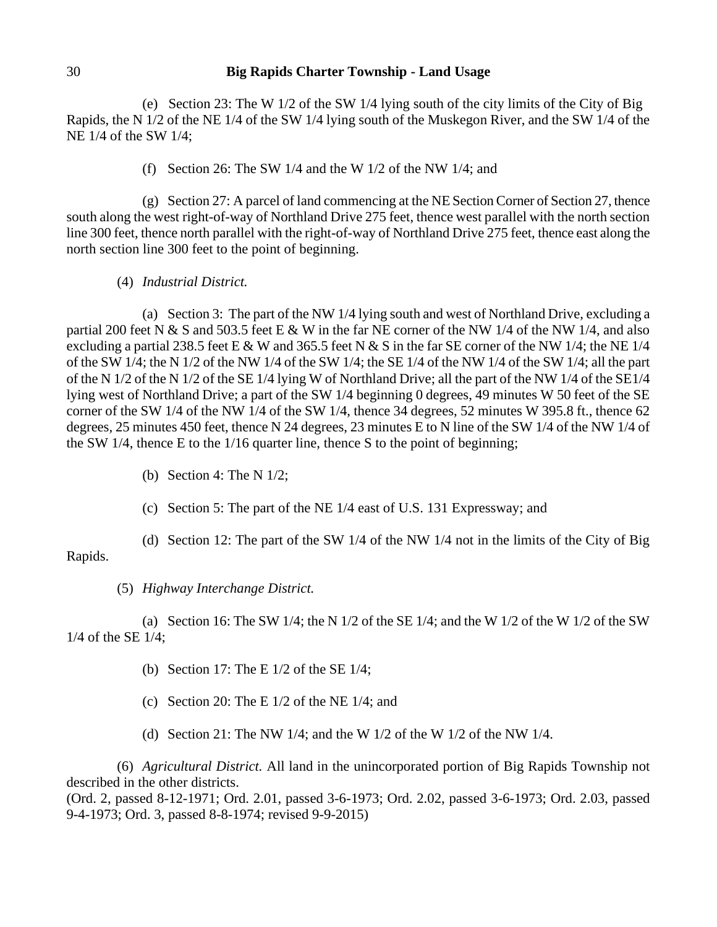(e) Section 23: The W 1/2 of the SW 1/4 lying south of the city limits of the City of Big Rapids, the N 1/2 of the NE 1/4 of the SW 1/4 lying south of the Muskegon River, and the SW 1/4 of the NE 1/4 of the SW 1/4;

(f) Section 26: The SW 1/4 and the W 1/2 of the NW 1/4; and

(g) Section 27: A parcel of land commencing at the NE Section Corner of Section 27, thence south along the west right-of-way of Northland Drive 275 feet, thence west parallel with the north section line 300 feet, thence north parallel with the right-of-way of Northland Drive 275 feet, thence east along the north section line 300 feet to the point of beginning.

(4) *Industrial District.*

(a) Section 3: The part of the NW 1/4 lying south and west of Northland Drive, excluding a partial 200 feet N & S and 503.5 feet E & W in the far NE corner of the NW 1/4 of the NW 1/4, and also excluding a partial 238.5 feet E & W and 365.5 feet N & S in the far SE corner of the NW 1/4; the NE 1/4 of the SW  $1/4$ ; the N  $1/2$  of the NW  $1/4$  of the SW  $1/4$ ; the SE  $1/4$  of the NW  $1/4$  of the SW  $1/4$ ; all the part of the N 1/2 of the N 1/2 of the SE 1/4 lying W of Northland Drive; all the part of the NW 1/4 of the SE1/4 lying west of Northland Drive; a part of the SW 1/4 beginning 0 degrees, 49 minutes W 50 feet of the SE corner of the SW 1/4 of the NW 1/4 of the SW 1/4, thence 34 degrees, 52 minutes W 395.8 ft., thence 62 degrees, 25 minutes 450 feet, thence N 24 degrees, 23 minutes E to N line of the SW 1/4 of the NW 1/4 of the SW 1/4, thence E to the 1/16 quarter line, thence S to the point of beginning;

- (b) Section 4: The N 1/2;
- (c) Section 5: The part of the NE 1/4 east of U.S. 131 Expressway; and

(d) Section 12: The part of the SW 1/4 of the NW 1/4 not in the limits of the City of Big Rapids.

## (5) *Highway Interchange District.*

(a) Section 16: The SW 1/4; the N 1/2 of the SE 1/4; and the W 1/2 of the W 1/2 of the SW 1/4 of the SE 1/4;

- (b) Section 17: The E 1/2 of the SE 1/4;
- (c) Section 20: The E 1/2 of the NE 1/4; and
- (d) Section 21: The NW 1/4; and the W 1/2 of the W 1/2 of the NW 1/4.

(6) *Agricultural District.* All land in the unincorporated portion of Big Rapids Township not described in the other districts.

(Ord. 2, passed 8-12-1971; Ord. 2.01, passed 3-6-1973; Ord. 2.02, passed 3-6-1973; Ord. 2.03, passed 9-4-1973; Ord. 3, passed 8-8-1974; revised 9-9-2015)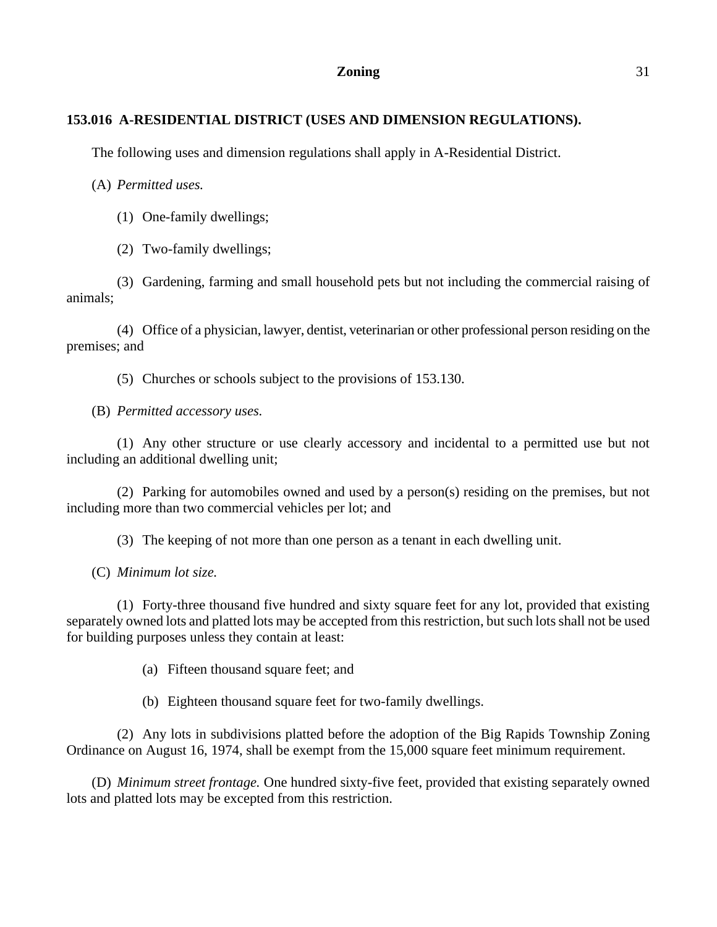## **Zoning** 31

## **153.016 A-RESIDENTIAL DISTRICT (USES AND DIMENSION REGULATIONS).**

The following uses and dimension regulations shall apply in A-Residential District.

(A) *Permitted uses.*

- (1) One-family dwellings;
- (2) Two-family dwellings;

(3) Gardening, farming and small household pets but not including the commercial raising of animals;

(4) Office of a physician, lawyer, dentist, veterinarian or other professional person residing on the premises; and

(5) Churches or schools subject to the provisions of 153.130.

(B) *Permitted accessory uses.*

(1) Any other structure or use clearly accessory and incidental to a permitted use but not including an additional dwelling unit;

(2) Parking for automobiles owned and used by a person(s) residing on the premises, but not including more than two commercial vehicles per lot; and

(3) The keeping of not more than one person as a tenant in each dwelling unit.

(C) *Minimum lot size.*

(1) Forty-three thousand five hundred and sixty square feet for any lot, provided that existing separately owned lots and platted lots may be accepted from this restriction, but such lots shall not be used for building purposes unless they contain at least:

(a) Fifteen thousand square feet; and

(b) Eighteen thousand square feet for two-family dwellings.

(2) Any lots in subdivisions platted before the adoption of the Big Rapids Township Zoning Ordinance on August 16, 1974, shall be exempt from the 15,000 square feet minimum requirement.

(D) *Minimum street frontage.* One hundred sixty-five feet, provided that existing separately owned lots and platted lots may be excepted from this restriction.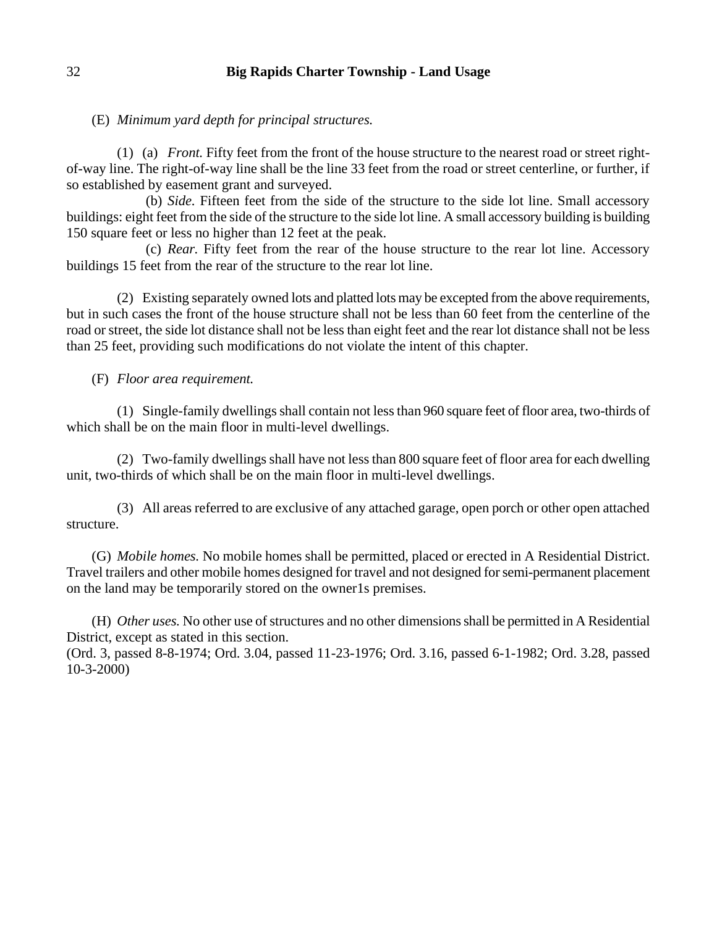(E) *Minimum yard depth for principal structures.*

(1) (a) *Front.* Fifty feet from the front of the house structure to the nearest road or street rightof-way line. The right-of-way line shall be the line 33 feet from the road or street centerline, or further, if so established by easement grant and surveyed.

(b) *Side.* Fifteen feet from the side of the structure to the side lot line. Small accessory buildings: eight feet from the side of the structure to the side lot line. A small accessory building is building 150 square feet or less no higher than 12 feet at the peak.

(c) *Rear.* Fifty feet from the rear of the house structure to the rear lot line. Accessory buildings 15 feet from the rear of the structure to the rear lot line.

(2) Existing separately owned lots and platted lots may be excepted from the above requirements, but in such cases the front of the house structure shall not be less than 60 feet from the centerline of the road or street, the side lot distance shall not be less than eight feet and the rear lot distance shall not be less than 25 feet, providing such modifications do not violate the intent of this chapter.

(F) *Floor area requirement.*

(1) Single-family dwellings shall contain not less than 960 square feet of floor area, two-thirds of which shall be on the main floor in multi-level dwellings.

(2) Two-family dwellings shall have not less than 800 square feet of floor area for each dwelling unit, two-thirds of which shall be on the main floor in multi-level dwellings.

(3) All areas referred to are exclusive of any attached garage, open porch or other open attached structure.

(G) *Mobile homes.* No mobile homes shall be permitted, placed or erected in A Residential District. Travel trailers and other mobile homes designed for travel and not designed for semi-permanent placement on the land may be temporarily stored on the owner1s premises.

(H) *Other uses.* No other use of structures and no other dimensions shall be permitted in A Residential District, except as stated in this section.

(Ord. 3, passed 8-8-1974; Ord. 3.04, passed 11-23-1976; Ord. 3.16, passed 6-1-1982; Ord. 3.28, passed 10-3-2000)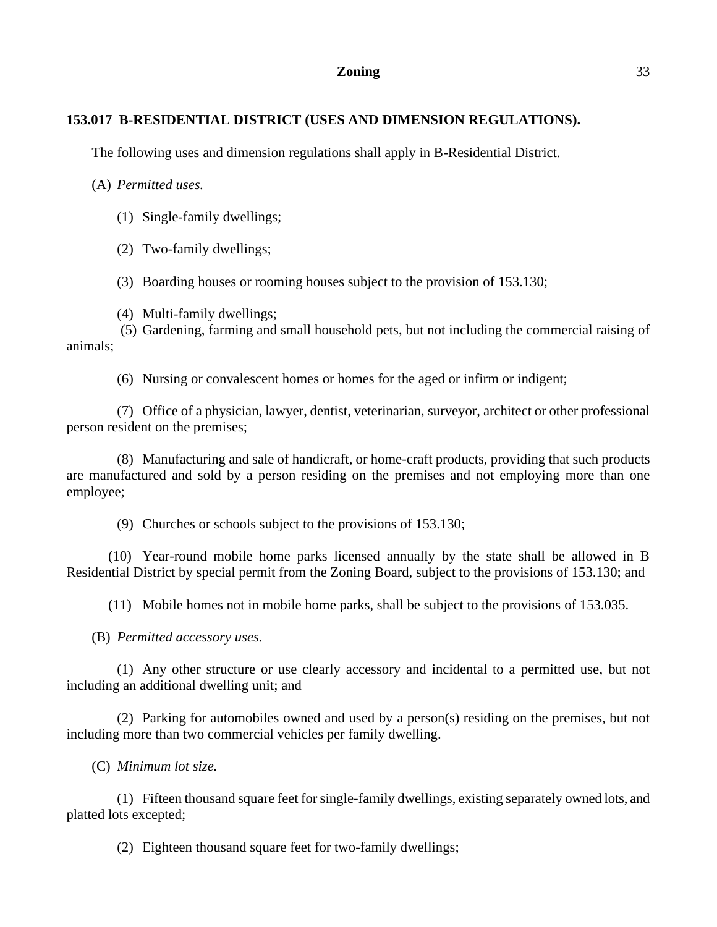### **Zoning** 33

## **153.017 B-RESIDENTIAL DISTRICT (USES AND DIMENSION REGULATIONS).**

The following uses and dimension regulations shall apply in B-Residential District.

(A) *Permitted uses.*

- (1) Single-family dwellings;
- (2) Two-family dwellings;
- (3) Boarding houses or rooming houses subject to the provision of 153.130;
- (4) Multi-family dwellings;

(5) Gardening, farming and small household pets, but not including the commercial raising of animals;

(6) Nursing or convalescent homes or homes for the aged or infirm or indigent;

(7) Office of a physician, lawyer, dentist, veterinarian, surveyor, architect or other professional person resident on the premises;

(8) Manufacturing and sale of handicraft, or home-craft products, providing that such products are manufactured and sold by a person residing on the premises and not employing more than one employee;

(9) Churches or schools subject to the provisions of 153.130;

(10) Year-round mobile home parks licensed annually by the state shall be allowed in B Residential District by special permit from the Zoning Board, subject to the provisions of 153.130; and

(11) Mobile homes not in mobile home parks, shall be subject to the provisions of 153.035.

(B) *Permitted accessory uses.*

(1) Any other structure or use clearly accessory and incidental to a permitted use, but not including an additional dwelling unit; and

(2) Parking for automobiles owned and used by a person(s) residing on the premises, but not including more than two commercial vehicles per family dwelling.

(C) *Minimum lot size.*

(1) Fifteen thousand square feet for single-family dwellings, existing separately owned lots, and platted lots excepted;

(2) Eighteen thousand square feet for two-family dwellings;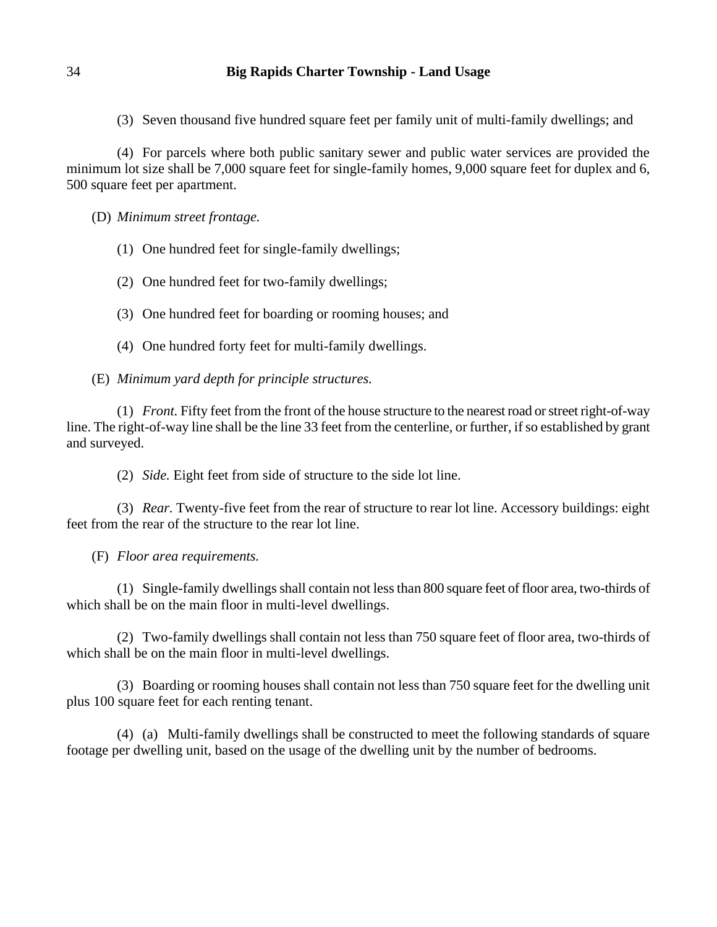(3) Seven thousand five hundred square feet per family unit of multi-family dwellings; and

(4) For parcels where both public sanitary sewer and public water services are provided the minimum lot size shall be 7,000 square feet for single-family homes, 9,000 square feet for duplex and 6, 500 square feet per apartment.

(D) *Minimum street frontage.*

- (1) One hundred feet for single-family dwellings;
- (2) One hundred feet for two-family dwellings;
- (3) One hundred feet for boarding or rooming houses; and
- (4) One hundred forty feet for multi-family dwellings.
- (E) *Minimum yard depth for principle structures.*

(1) *Front.* Fifty feet from the front of the house structure to the nearest road or street right-of-way line. The right-of-way line shall be the line 33 feet from the centerline, or further, if so established by grant and surveyed.

(2) *Side.* Eight feet from side of structure to the side lot line.

(3) *Rear.* Twenty-five feet from the rear of structure to rear lot line. Accessory buildings: eight feet from the rear of the structure to the rear lot line.

(F) *Floor area requirements.*

(1) Single-family dwellings shall contain not less than 800 square feet of floor area, two-thirds of which shall be on the main floor in multi-level dwellings.

(2) Two-family dwellings shall contain not less than 750 square feet of floor area, two-thirds of which shall be on the main floor in multi-level dwellings.

(3) Boarding or rooming houses shall contain not less than 750 square feet for the dwelling unit plus 100 square feet for each renting tenant.

(4) (a) Multi-family dwellings shall be constructed to meet the following standards of square footage per dwelling unit, based on the usage of the dwelling unit by the number of bedrooms.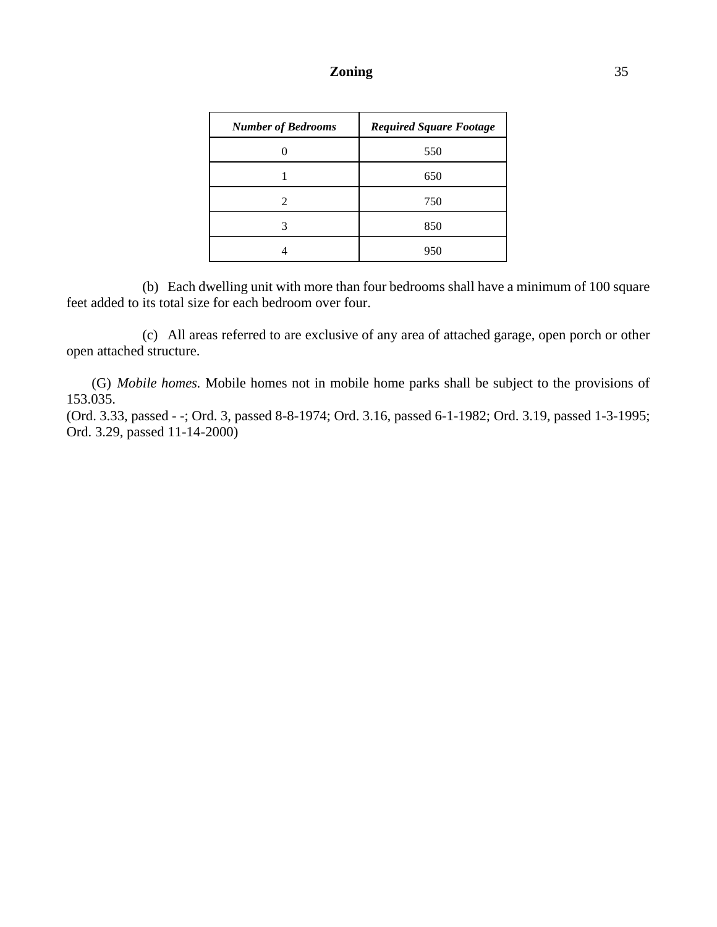## **Zoning** 35

| <b>Number of Bedrooms</b> | <b>Required Square Footage</b> |
|---------------------------|--------------------------------|
|                           | 550                            |
|                           | 650                            |
| $\mathfrak{D}$            | 750                            |
| 3                         | 850                            |
|                           | 951                            |

(b) Each dwelling unit with more than four bedrooms shall have a minimum of 100 square feet added to its total size for each bedroom over four.

(c) All areas referred to are exclusive of any area of attached garage, open porch or other open attached structure.

(G) *Mobile homes.* Mobile homes not in mobile home parks shall be subject to the provisions of 153.035.

(Ord. 3.33, passed - -; Ord. 3, passed 8-8-1974; Ord. 3.16, passed 6-1-1982; Ord. 3.19, passed 1-3-1995; Ord. 3.29, passed 11-14-2000)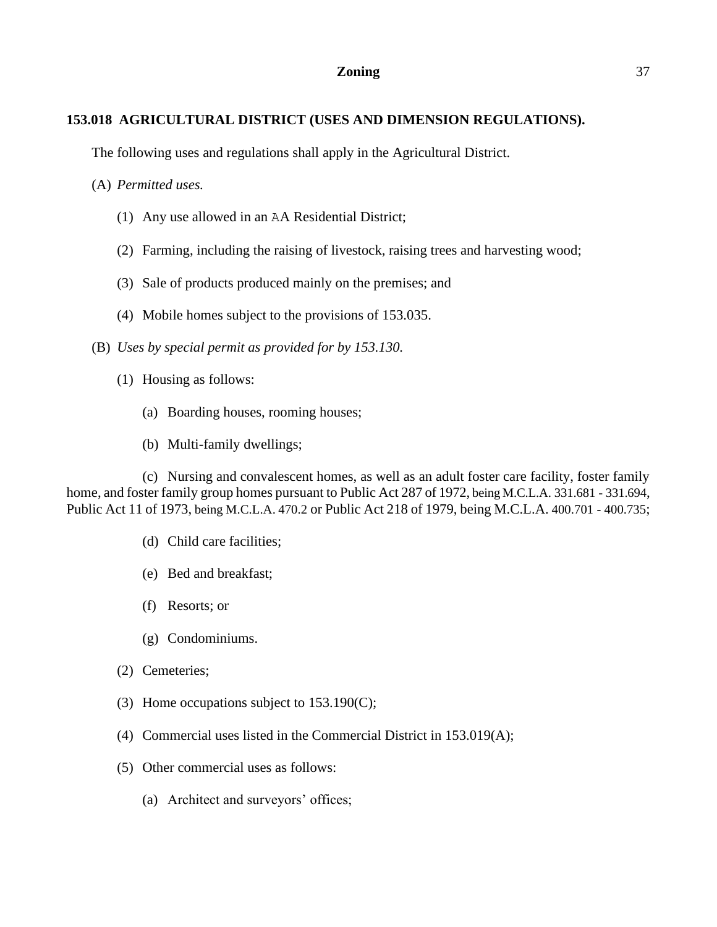## **153.018 AGRICULTURAL DISTRICT (USES AND DIMENSION REGULATIONS).**

The following uses and regulations shall apply in the Agricultural District.

(A) *Permitted uses.*

- (1) Any use allowed in an AA Residential District;
- (2) Farming, including the raising of livestock, raising trees and harvesting wood;
- (3) Sale of products produced mainly on the premises; and
- (4) Mobile homes subject to the provisions of 153.035.
- (B) *Uses by special permit as provided for by 153.130.*
	- (1) Housing as follows:
		- (a) Boarding houses, rooming houses;
		- (b) Multi-family dwellings;

(c) Nursing and convalescent homes, as well as an adult foster care facility, foster family home, and foster family group homes pursuant to Public Act 287 of 1972, being M.C.L.A. 331.681 - 331.694, Public Act 11 of 1973, being M.C.L.A. 470.2 or Public Act 218 of 1979, being M.C.L.A. 400.701 - 400.735;

- (d) Child care facilities;
- (e) Bed and breakfast;
- (f) Resorts; or
- (g) Condominiums.
- (2) Cemeteries;
- (3) Home occupations subject to 153.190(C);
- (4) Commercial uses listed in the Commercial District in 153.019(A);
- (5) Other commercial uses as follows:
	- (a) Architect and surveyors' offices;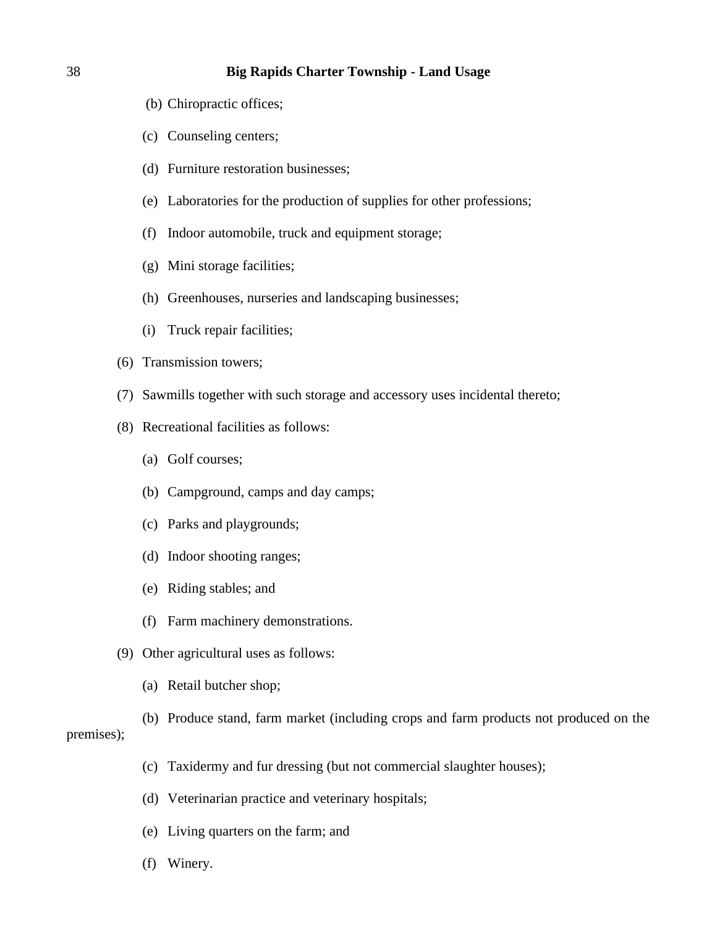- (b) Chiropractic offices;
- (c) Counseling centers;
- (d) Furniture restoration businesses;
- (e) Laboratories for the production of supplies for other professions;
- (f) Indoor automobile, truck and equipment storage;
- (g) Mini storage facilities;
- (h) Greenhouses, nurseries and landscaping businesses;
- (i) Truck repair facilities;
- (6) Transmission towers;
- (7) Sawmills together with such storage and accessory uses incidental thereto;
- (8) Recreational facilities as follows:
	- (a) Golf courses;
	- (b) Campground, camps and day camps;
	- (c) Parks and playgrounds;
	- (d) Indoor shooting ranges;
	- (e) Riding stables; and
	- (f) Farm machinery demonstrations.
- (9) Other agricultural uses as follows:
	- (a) Retail butcher shop;
- (b) Produce stand, farm market (including crops and farm products not produced on the premises);
	- (c) Taxidermy and fur dressing (but not commercial slaughter houses);
	- (d) Veterinarian practice and veterinary hospitals;
	- (e) Living quarters on the farm; and
	- (f) Winery.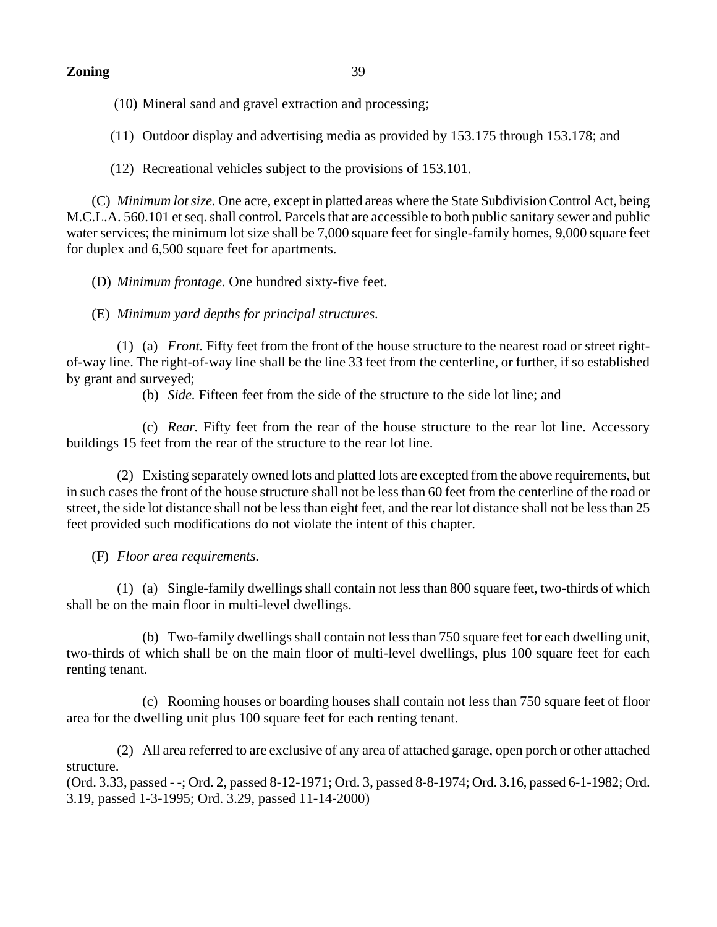(10) Mineral sand and gravel extraction and processing;

(11) Outdoor display and advertising media as provided by 153.175 through 153.178; and

(12) Recreational vehicles subject to the provisions of 153.101.

(C) *Minimum lot size.* One acre, except in platted areas where the State Subdivision Control Act, being M.C.L.A. 560.101 et seq. shall control. Parcels that are accessible to both public sanitary sewer and public water services; the minimum lot size shall be 7,000 square feet for single-family homes, 9,000 square feet for duplex and 6,500 square feet for apartments.

(D) *Minimum frontage.* One hundred sixty-five feet.

(E) *Minimum yard depths for principal structures.*

(1) (a) *Front.* Fifty feet from the front of the house structure to the nearest road or street rightof-way line. The right-of-way line shall be the line 33 feet from the centerline, or further, if so established by grant and surveyed;

(b) *Side.* Fifteen feet from the side of the structure to the side lot line; and

(c) *Rear.* Fifty feet from the rear of the house structure to the rear lot line. Accessory buildings 15 feet from the rear of the structure to the rear lot line.

(2) Existing separately owned lots and platted lots are excepted from the above requirements, but in such cases the front of the house structure shall not be less than 60 feet from the centerline of the road or street, the side lot distance shall not be less than eight feet, and the rear lot distance shall not be less than 25 feet provided such modifications do not violate the intent of this chapter.

(F) *Floor area requirements.*

(1) (a) Single-family dwellings shall contain not less than 800 square feet, two-thirds of which shall be on the main floor in multi-level dwellings.

(b) Two-family dwellings shall contain not less than 750 square feet for each dwelling unit, two-thirds of which shall be on the main floor of multi-level dwellings, plus 100 square feet for each renting tenant.

(c) Rooming houses or boarding houses shall contain not less than 750 square feet of floor area for the dwelling unit plus 100 square feet for each renting tenant.

(2) All area referred to are exclusive of any area of attached garage, open porch or other attached structure.

(Ord. 3.33, passed - -; Ord. 2, passed 8-12-1971; Ord. 3, passed 8-8-1974; Ord. 3.16, passed 6-1-1982; Ord. 3.19, passed 1-3-1995; Ord. 3.29, passed 11-14-2000)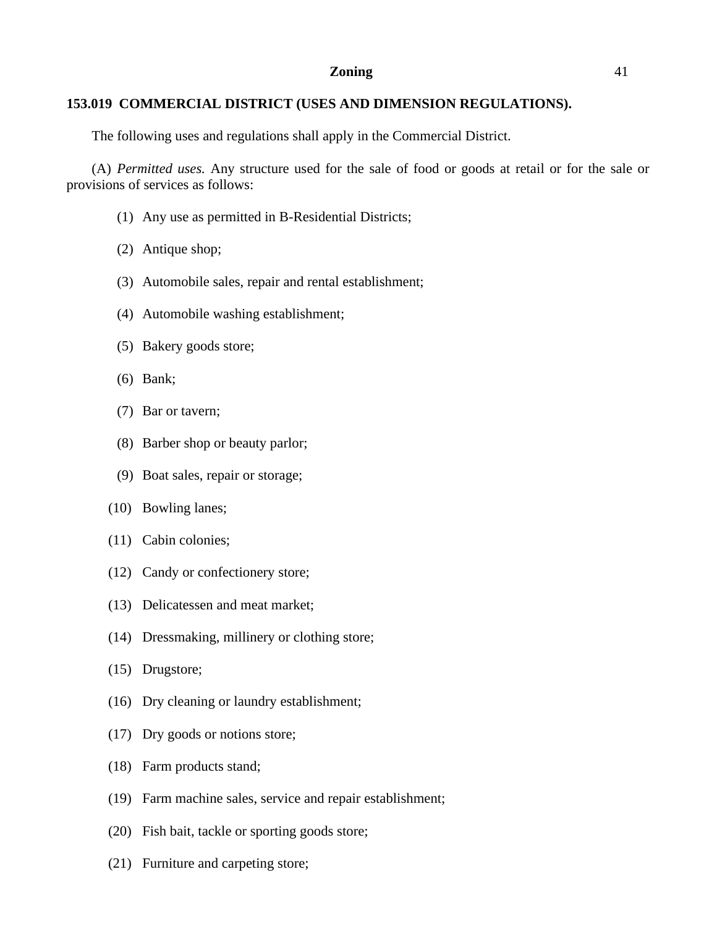## **153.019 COMMERCIAL DISTRICT (USES AND DIMENSION REGULATIONS).**

The following uses and regulations shall apply in the Commercial District.

(A) *Permitted uses.* Any structure used for the sale of food or goods at retail or for the sale or provisions of services as follows:

- (1) Any use as permitted in B-Residential Districts;
- (2) Antique shop;
- (3) Automobile sales, repair and rental establishment;
- (4) Automobile washing establishment;
- (5) Bakery goods store;
- (6) Bank;
- (7) Bar or tavern;
- (8) Barber shop or beauty parlor;
- (9) Boat sales, repair or storage;
- (10) Bowling lanes;
- (11) Cabin colonies;
- (12) Candy or confectionery store;
- (13) Delicatessen and meat market;
- (14) Dressmaking, millinery or clothing store;
- (15) Drugstore;
- (16) Dry cleaning or laundry establishment;
- (17) Dry goods or notions store;
- (18) Farm products stand;
- (19) Farm machine sales, service and repair establishment;
- (20) Fish bait, tackle or sporting goods store;
- (21) Furniture and carpeting store;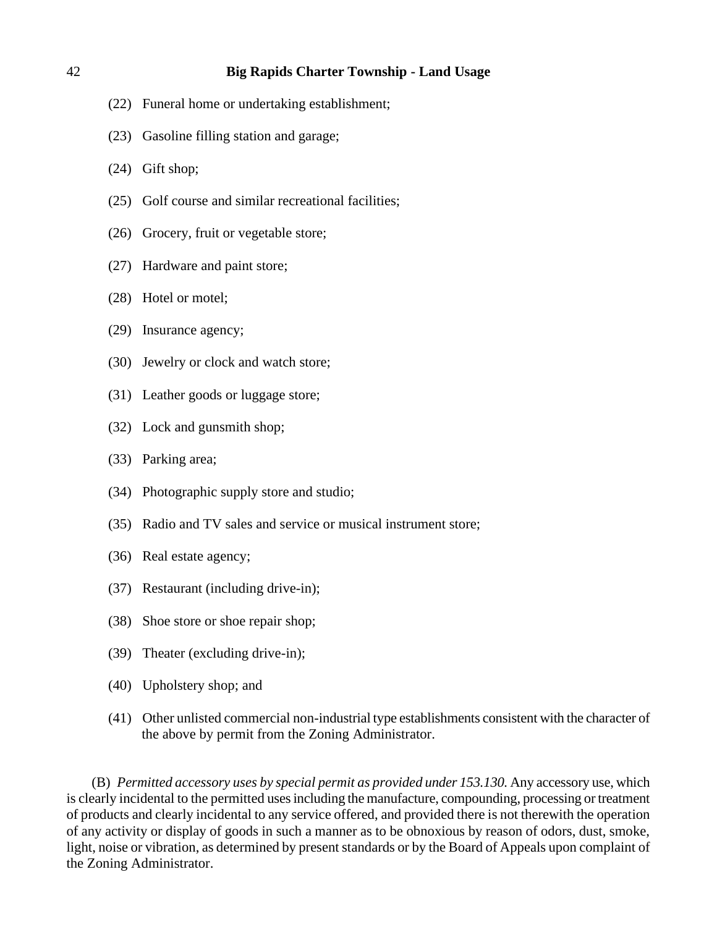- (22) Funeral home or undertaking establishment;
- (23) Gasoline filling station and garage;
- (24) Gift shop;
- (25) Golf course and similar recreational facilities;
- (26) Grocery, fruit or vegetable store;
- (27) Hardware and paint store;
- (28) Hotel or motel;
- (29) Insurance agency;
- (30) Jewelry or clock and watch store;
- (31) Leather goods or luggage store;
- (32) Lock and gunsmith shop;
- (33) Parking area;
- (34) Photographic supply store and studio;
- (35) Radio and TV sales and service or musical instrument store;
- (36) Real estate agency;
- (37) Restaurant (including drive-in);
- (38) Shoe store or shoe repair shop;
- (39) Theater (excluding drive-in);
- (40) Upholstery shop; and
- (41) Other unlisted commercial non-industrial type establishments consistent with the character of the above by permit from the Zoning Administrator.

(B) *Permitted accessory uses by special permit as provided under 153.130.* Any accessory use, which is clearly incidental to the permitted uses including the manufacture, compounding, processing or treatment of products and clearly incidental to any service offered, and provided there is not therewith the operation of any activity or display of goods in such a manner as to be obnoxious by reason of odors, dust, smoke, light, noise or vibration, as determined by present standards or by the Board of Appeals upon complaint of the Zoning Administrator.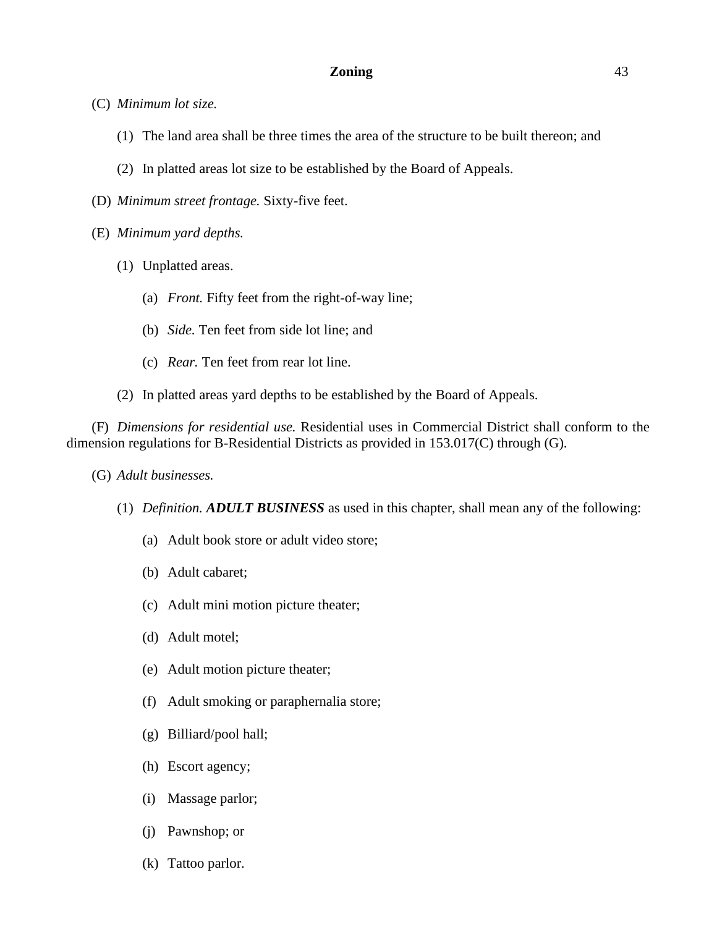- (C) *Minimum lot size.*
	- (1) The land area shall be three times the area of the structure to be built thereon; and
	- (2) In platted areas lot size to be established by the Board of Appeals.
- (D) *Minimum street frontage.* Sixty-five feet.
- (E) *Minimum yard depths.*
	- (1) Unplatted areas.
		- (a) *Front.* Fifty feet from the right-of-way line;
		- (b) *Side.* Ten feet from side lot line; and
		- (c) *Rear.* Ten feet from rear lot line.
	- (2) In platted areas yard depths to be established by the Board of Appeals.

(F) *Dimensions for residential use.* Residential uses in Commercial District shall conform to the dimension regulations for B-Residential Districts as provided in 153.017(C) through (G).

- (G) *Adult businesses.*
	- (1) *Definition. ADULT BUSINESS* as used in this chapter, shall mean any of the following:
		- (a) Adult book store or adult video store;
		- (b) Adult cabaret;
		- (c) Adult mini motion picture theater;
		- (d) Adult motel;
		- (e) Adult motion picture theater;
		- (f) Adult smoking or paraphernalia store;
		- (g) Billiard/pool hall;
		- (h) Escort agency;
		- (i) Massage parlor;
		- (j) Pawnshop; or
		- (k) Tattoo parlor.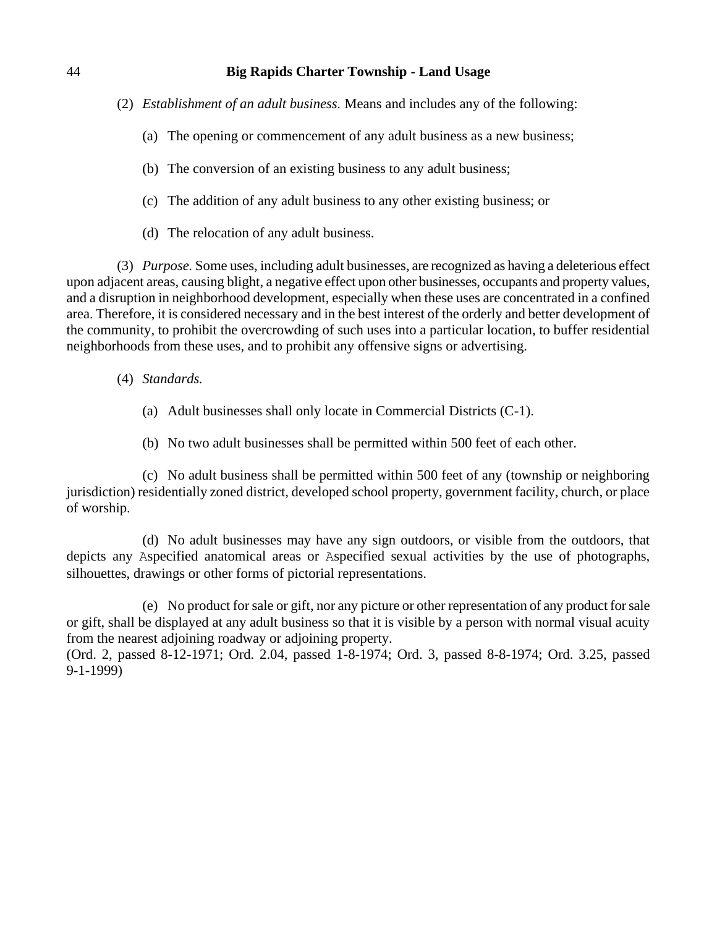- (2) *Establishment of an adult business.* Means and includes any of the following:
	- (a) The opening or commencement of any adult business as a new business;
	- (b) The conversion of an existing business to any adult business;
	- (c) The addition of any adult business to any other existing business; or
	- (d) The relocation of any adult business.

(3) *Purpose.* Some uses, including adult businesses, are recognized as having a deleterious effect upon adjacent areas, causing blight, a negative effect upon other businesses, occupants and property values, and a disruption in neighborhood development, especially when these uses are concentrated in a confined area. Therefore, it is considered necessary and in the best interest of the orderly and better development of the community, to prohibit the overcrowding of such uses into a particular location, to buffer residential neighborhoods from these uses, and to prohibit any offensive signs or advertising.

- (4) *Standards.*
	- (a) Adult businesses shall only locate in Commercial Districts (C-1).
	- (b) No two adult businesses shall be permitted within 500 feet of each other.

(c) No adult business shall be permitted within 500 feet of any (township or neighboring jurisdiction) residentially zoned district, developed school property, government facility, church, or place of worship.

(d) No adult businesses may have any sign outdoors, or visible from the outdoors, that depicts any Aspecified anatomical areas or Aspecified sexual activities by the use of photographs, silhouettes, drawings or other forms of pictorial representations.

(e) No product for sale or gift, nor any picture or other representation of any product for sale or gift, shall be displayed at any adult business so that it is visible by a person with normal visual acuity from the nearest adjoining roadway or adjoining property.

(Ord. 2, passed 8-12-1971; Ord. 2.04, passed 1-8-1974; Ord. 3, passed 8-8-1974; Ord. 3.25, passed 9-1-1999)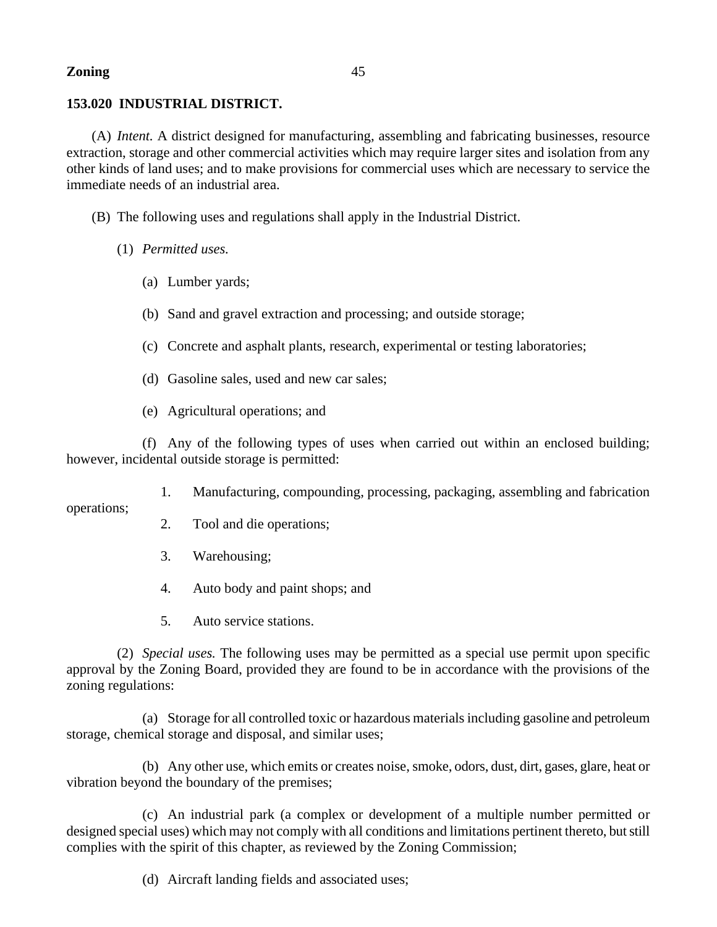# **153.020 INDUSTRIAL DISTRICT.**

(A) *Intent.* A district designed for manufacturing, assembling and fabricating businesses, resource extraction, storage and other commercial activities which may require larger sites and isolation from any other kinds of land uses; and to make provisions for commercial uses which are necessary to service the immediate needs of an industrial area.

(B) The following uses and regulations shall apply in the Industrial District.

- (1) *Permitted uses.*
	- (a) Lumber yards;
	- (b) Sand and gravel extraction and processing; and outside storage;
	- (c) Concrete and asphalt plants, research, experimental or testing laboratories;
	- (d) Gasoline sales, used and new car sales;
	- (e) Agricultural operations; and

(f) Any of the following types of uses when carried out within an enclosed building; however, incidental outside storage is permitted:

1. Manufacturing, compounding, processing, packaging, assembling and fabrication

operations;

- 2. Tool and die operations;
- 3. Warehousing;
- 4. Auto body and paint shops; and
- 5. Auto service stations.

(2) *Special uses.* The following uses may be permitted as a special use permit upon specific approval by the Zoning Board, provided they are found to be in accordance with the provisions of the zoning regulations:

(a) Storage for all controlled toxic or hazardous materials including gasoline and petroleum storage, chemical storage and disposal, and similar uses;

(b) Any other use, which emits or creates noise, smoke, odors, dust, dirt, gases, glare, heat or vibration beyond the boundary of the premises;

(c) An industrial park (a complex or development of a multiple number permitted or designed special uses) which may not comply with all conditions and limitations pertinent thereto, but still complies with the spirit of this chapter, as reviewed by the Zoning Commission;

(d) Aircraft landing fields and associated uses;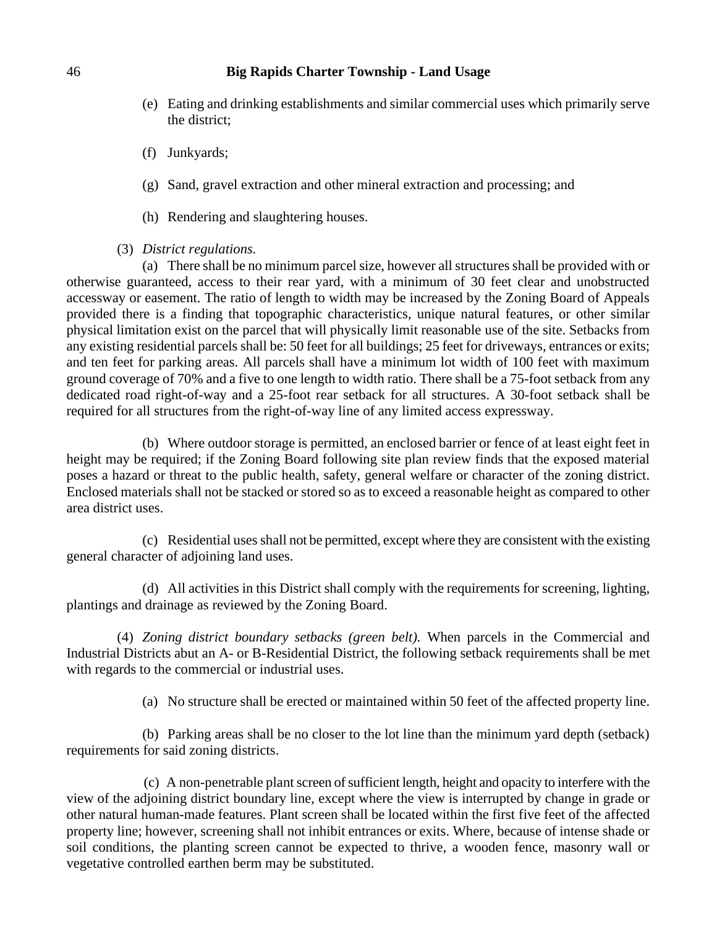- (e) Eating and drinking establishments and similar commercial uses which primarily serve the district;
- (f) Junkyards;
- (g) Sand, gravel extraction and other mineral extraction and processing; and
- (h) Rendering and slaughtering houses.
- (3) *District regulations.*

(a) There shall be no minimum parcel size, however all structures shall be provided with or otherwise guaranteed, access to their rear yard, with a minimum of 30 feet clear and unobstructed accessway or easement. The ratio of length to width may be increased by the Zoning Board of Appeals provided there is a finding that topographic characteristics, unique natural features, or other similar physical limitation exist on the parcel that will physically limit reasonable use of the site. Setbacks from any existing residential parcels shall be: 50 feet for all buildings; 25 feet for driveways, entrances or exits; and ten feet for parking areas. All parcels shall have a minimum lot width of 100 feet with maximum ground coverage of 70% and a five to one length to width ratio. There shall be a 75-foot setback from any dedicated road right-of-way and a 25-foot rear setback for all structures. A 30-foot setback shall be required for all structures from the right-of-way line of any limited access expressway.

(b) Where outdoor storage is permitted, an enclosed barrier or fence of at least eight feet in height may be required; if the Zoning Board following site plan review finds that the exposed material poses a hazard or threat to the public health, safety, general welfare or character of the zoning district. Enclosed materials shall not be stacked or stored so as to exceed a reasonable height as compared to other area district uses.

(c) Residential uses shall not be permitted, except where they are consistent with the existing general character of adjoining land uses.

(d) All activities in this District shall comply with the requirements for screening, lighting, plantings and drainage as reviewed by the Zoning Board.

(4) *Zoning district boundary setbacks (green belt).* When parcels in the Commercial and Industrial Districts abut an A- or B-Residential District, the following setback requirements shall be met with regards to the commercial or industrial uses.

(a) No structure shall be erected or maintained within 50 feet of the affected property line.

(b) Parking areas shall be no closer to the lot line than the minimum yard depth (setback) requirements for said zoning districts.

 (c) A non-penetrable plant screen of sufficient length, height and opacity to interfere with the view of the adjoining district boundary line, except where the view is interrupted by change in grade or other natural human-made features. Plant screen shall be located within the first five feet of the affected property line; however, screening shall not inhibit entrances or exits. Where, because of intense shade or soil conditions, the planting screen cannot be expected to thrive, a wooden fence, masonry wall or vegetative controlled earthen berm may be substituted.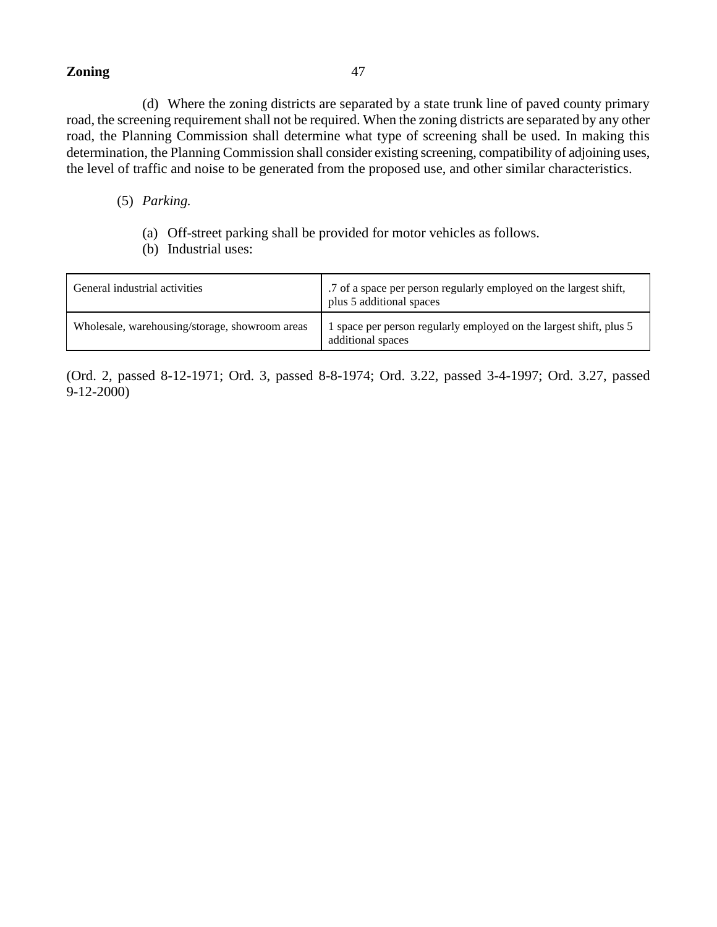(d) Where the zoning districts are separated by a state trunk line of paved county primary road, the screening requirement shall not be required. When the zoning districts are separated by any other road, the Planning Commission shall determine what type of screening shall be used. In making this determination, the Planning Commission shall consider existing screening, compatibility of adjoining uses, the level of traffic and noise to be generated from the proposed use, and other similar characteristics.

### (5) *Parking.*

- (a) Off-street parking shall be provided for motor vehicles as follows.
- (b) Industrial uses:

| General industrial activities                  | '.7 of a space per person regularly employed on the largest shift,<br>plus 5 additional spaces |
|------------------------------------------------|------------------------------------------------------------------------------------------------|
| Wholesale, warehousing/storage, showroom areas | 1 space per person regularly employed on the largest shift, plus 5<br>additional spaces        |

(Ord. 2, passed 8-12-1971; Ord. 3, passed 8-8-1974; Ord. 3.22, passed 3-4-1997; Ord. 3.27, passed 9-12-2000)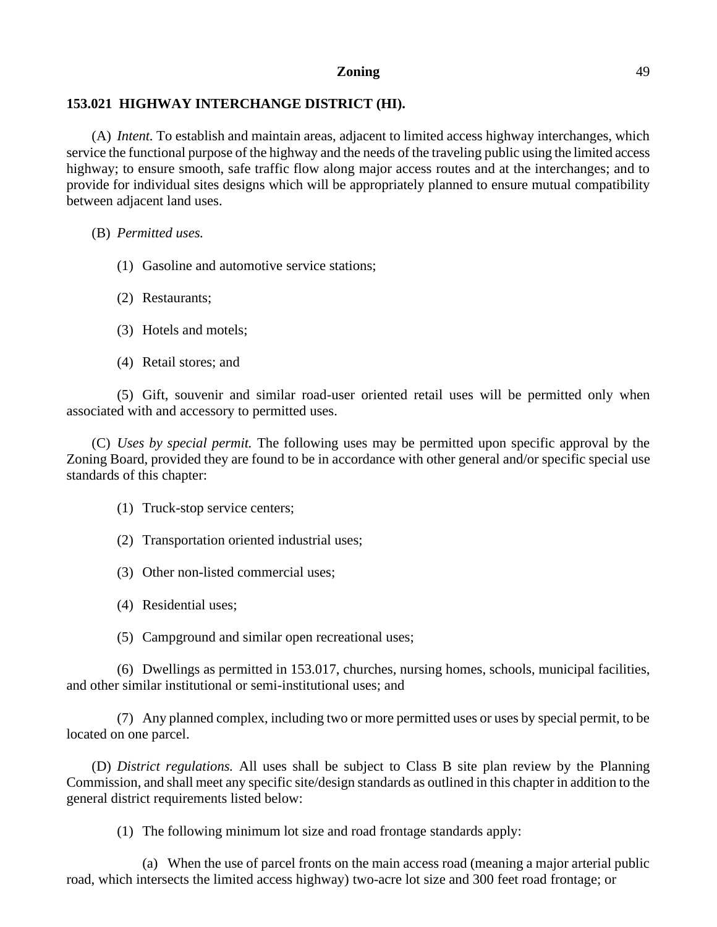# **153.021 HIGHWAY INTERCHANGE DISTRICT (HI).**

(A) *Intent.* To establish and maintain areas, adjacent to limited access highway interchanges, which service the functional purpose of the highway and the needs of the traveling public using the limited access highway; to ensure smooth, safe traffic flow along major access routes and at the interchanges; and to provide for individual sites designs which will be appropriately planned to ensure mutual compatibility between adjacent land uses.

(B) *Permitted uses.*

- (1) Gasoline and automotive service stations;
- (2) Restaurants;
- (3) Hotels and motels;
- (4) Retail stores; and

(5) Gift, souvenir and similar road-user oriented retail uses will be permitted only when associated with and accessory to permitted uses.

(C) *Uses by special permit.* The following uses may be permitted upon specific approval by the Zoning Board, provided they are found to be in accordance with other general and/or specific special use standards of this chapter:

(1) Truck-stop service centers;

- (2) Transportation oriented industrial uses;
- (3) Other non-listed commercial uses;
- (4) Residential uses;
- (5) Campground and similar open recreational uses;

(6) Dwellings as permitted in 153.017, churches, nursing homes, schools, municipal facilities, and other similar institutional or semi-institutional uses; and

(7) Any planned complex, including two or more permitted uses or uses by special permit, to be located on one parcel.

(D) *District regulations.* All uses shall be subject to Class B site plan review by the Planning Commission, and shall meet any specific site/design standards as outlined in this chapter in addition to the general district requirements listed below:

(1) The following minimum lot size and road frontage standards apply:

(a) When the use of parcel fronts on the main access road (meaning a major arterial public road, which intersects the limited access highway) two-acre lot size and 300 feet road frontage; or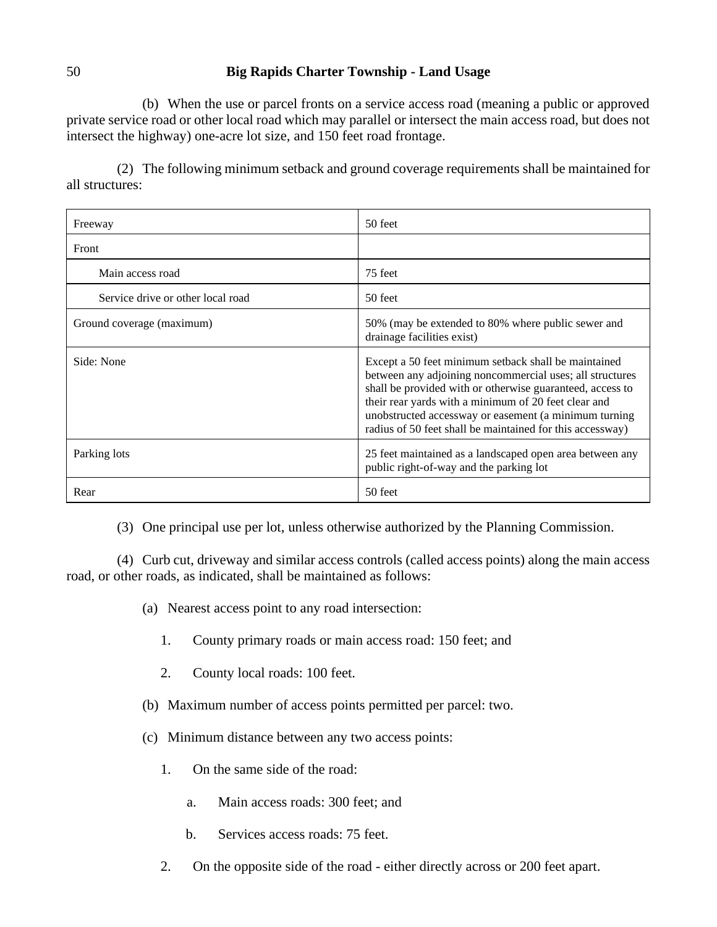(b) When the use or parcel fronts on a service access road (meaning a public or approved private service road or other local road which may parallel or intersect the main access road, but does not intersect the highway) one-acre lot size, and 150 feet road frontage.

(2) The following minimum setback and ground coverage requirements shall be maintained for all structures:

| Freeway                           | 50 feet                                                                                                                                                                                                                                                                                                                                                     |
|-----------------------------------|-------------------------------------------------------------------------------------------------------------------------------------------------------------------------------------------------------------------------------------------------------------------------------------------------------------------------------------------------------------|
| Front                             |                                                                                                                                                                                                                                                                                                                                                             |
| Main access road                  | 75 feet                                                                                                                                                                                                                                                                                                                                                     |
| Service drive or other local road | 50 feet                                                                                                                                                                                                                                                                                                                                                     |
| Ground coverage (maximum)         | 50% (may be extended to 80% where public sewer and<br>drainage facilities exist)                                                                                                                                                                                                                                                                            |
| Side: None                        | Except a 50 feet minimum setback shall be maintained<br>between any adjoining noncommercial uses; all structures<br>shall be provided with or otherwise guaranteed, access to<br>their rear yards with a minimum of 20 feet clear and<br>unobstructed accessway or easement (a minimum turning<br>radius of 50 feet shall be maintained for this accessway) |
| Parking lots                      | 25 feet maintained as a landscaped open area between any<br>public right-of-way and the parking lot                                                                                                                                                                                                                                                         |
| Rear                              | 50 feet                                                                                                                                                                                                                                                                                                                                                     |

(3) One principal use per lot, unless otherwise authorized by the Planning Commission.

(4) Curb cut, driveway and similar access controls (called access points) along the main access road, or other roads, as indicated, shall be maintained as follows:

- (a) Nearest access point to any road intersection:
	- 1. County primary roads or main access road: 150 feet; and
	- 2. County local roads: 100 feet.
- (b) Maximum number of access points permitted per parcel: two.
- (c) Minimum distance between any two access points:
	- 1. On the same side of the road:
		- a. Main access roads: 300 feet; and
		- b. Services access roads: 75 feet.
	- 2. On the opposite side of the road either directly across or 200 feet apart.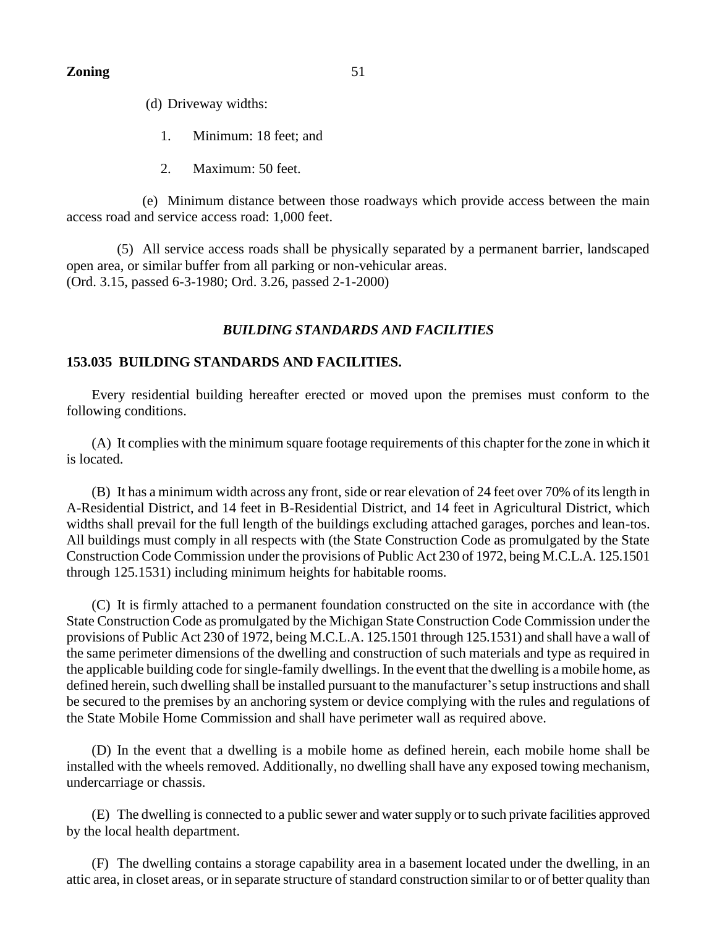(d) Driveway widths:

- 1. Minimum: 18 feet; and
- 2. Maximum: 50 feet.

(e) Minimum distance between those roadways which provide access between the main access road and service access road: 1,000 feet.

(5) All service access roads shall be physically separated by a permanent barrier, landscaped open area, or similar buffer from all parking or non-vehicular areas. (Ord. 3.15, passed 6-3-1980; Ord. 3.26, passed 2-1-2000)

# *BUILDING STANDARDS AND FACILITIES*

# **153.035 BUILDING STANDARDS AND FACILITIES.**

Every residential building hereafter erected or moved upon the premises must conform to the following conditions.

(A) It complies with the minimum square footage requirements of this chapter for the zone in which it is located.

(B) It has a minimum width across any front, side or rear elevation of 24 feet over 70% of its length in A-Residential District, and 14 feet in B-Residential District, and 14 feet in Agricultural District, which widths shall prevail for the full length of the buildings excluding attached garages, porches and lean-tos. All buildings must comply in all respects with (the State Construction Code as promulgated by the State Construction Code Commission under the provisions of Public Act 230 of 1972, being M.C.L.A. 125.1501 through 125.1531) including minimum heights for habitable rooms.

(C) It is firmly attached to a permanent foundation constructed on the site in accordance with (the State Construction Code as promulgated by the Michigan State Construction Code Commission under the provisions of Public Act 230 of 1972, being M.C.L.A. 125.1501 through 125.1531) and shall have a wall of the same perimeter dimensions of the dwelling and construction of such materials and type as required in the applicable building code for single-family dwellings. In the event that the dwelling is a mobile home, as defined herein, such dwelling shall be installed pursuant to the manufacturer's setup instructions and shall be secured to the premises by an anchoring system or device complying with the rules and regulations of the State Mobile Home Commission and shall have perimeter wall as required above.

(D) In the event that a dwelling is a mobile home as defined herein, each mobile home shall be installed with the wheels removed. Additionally, no dwelling shall have any exposed towing mechanism, undercarriage or chassis.

(E) The dwelling is connected to a public sewer and water supply or to such private facilities approved by the local health department.

(F) The dwelling contains a storage capability area in a basement located under the dwelling, in an attic area, in closet areas, or in separate structure of standard construction similar to or of better quality than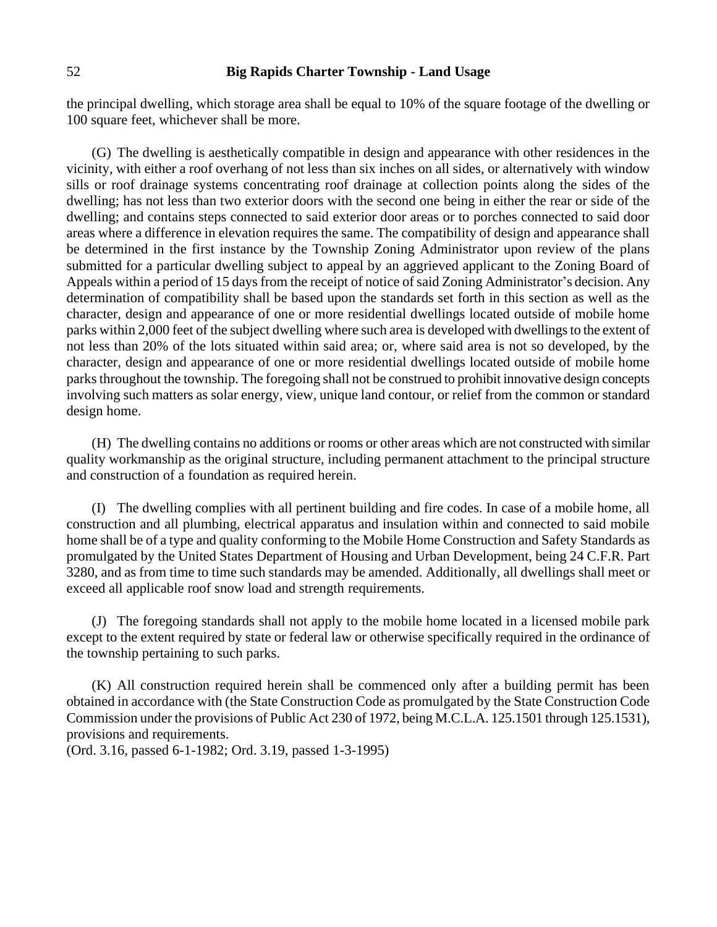the principal dwelling, which storage area shall be equal to 10% of the square footage of the dwelling or 100 square feet, whichever shall be more.

(G) The dwelling is aesthetically compatible in design and appearance with other residences in the vicinity, with either a roof overhang of not less than six inches on all sides, or alternatively with window sills or roof drainage systems concentrating roof drainage at collection points along the sides of the dwelling; has not less than two exterior doors with the second one being in either the rear or side of the dwelling; and contains steps connected to said exterior door areas or to porches connected to said door areas where a difference in elevation requires the same. The compatibility of design and appearance shall be determined in the first instance by the Township Zoning Administrator upon review of the plans submitted for a particular dwelling subject to appeal by an aggrieved applicant to the Zoning Board of Appeals within a period of 15 days from the receipt of notice of said Zoning Administrator's decision. Any determination of compatibility shall be based upon the standards set forth in this section as well as the character, design and appearance of one or more residential dwellings located outside of mobile home parks within 2,000 feet of the subject dwelling where such area is developed with dwellings to the extent of not less than 20% of the lots situated within said area; or, where said area is not so developed, by the character, design and appearance of one or more residential dwellings located outside of mobile home parks throughout the township. The foregoing shall not be construed to prohibit innovative design concepts involving such matters as solar energy, view, unique land contour, or relief from the common or standard design home.

(H) The dwelling contains no additions or rooms or other areas which are not constructed with similar quality workmanship as the original structure, including permanent attachment to the principal structure and construction of a foundation as required herein.

(I) The dwelling complies with all pertinent building and fire codes. In case of a mobile home, all construction and all plumbing, electrical apparatus and insulation within and connected to said mobile home shall be of a type and quality conforming to the Mobile Home Construction and Safety Standards as promulgated by the United States Department of Housing and Urban Development, being 24 C.F.R. Part 3280, and as from time to time such standards may be amended. Additionally, all dwellings shall meet or exceed all applicable roof snow load and strength requirements.

(J) The foregoing standards shall not apply to the mobile home located in a licensed mobile park except to the extent required by state or federal law or otherwise specifically required in the ordinance of the township pertaining to such parks.

(K) All construction required herein shall be commenced only after a building permit has been obtained in accordance with (the State Construction Code as promulgated by the State Construction Code Commission under the provisions of Public Act 230 of 1972, being M.C.L.A. 125.1501 through 125.1531), provisions and requirements.

(Ord. 3.16, passed 6-1-1982; Ord. 3.19, passed 1-3-1995)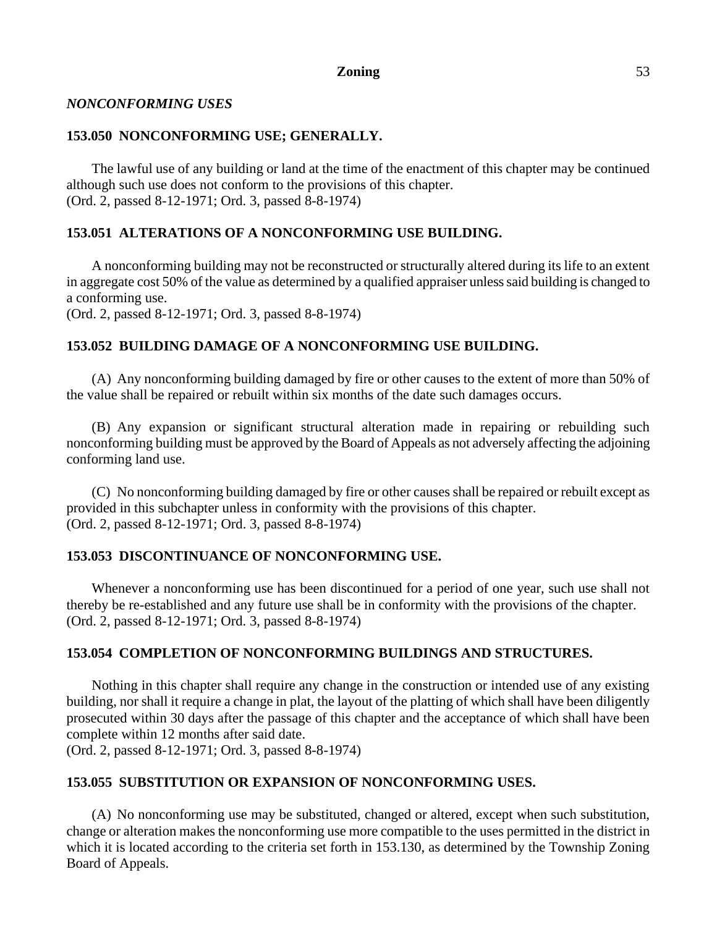# *NONCONFORMING USES*

# **153.050 NONCONFORMING USE; GENERALLY.**

The lawful use of any building or land at the time of the enactment of this chapter may be continued although such use does not conform to the provisions of this chapter. (Ord. 2, passed 8-12-1971; Ord. 3, passed 8-8-1974)

# **153.051 ALTERATIONS OF A NONCONFORMING USE BUILDING.**

A nonconforming building may not be reconstructed or structurally altered during its life to an extent in aggregate cost 50% of the value as determined by a qualified appraiser unless said building is changed to a conforming use.

(Ord. 2, passed 8-12-1971; Ord. 3, passed 8-8-1974)

# **153.052 BUILDING DAMAGE OF A NONCONFORMING USE BUILDING.**

(A) Any nonconforming building damaged by fire or other causes to the extent of more than 50% of the value shall be repaired or rebuilt within six months of the date such damages occurs.

(B) Any expansion or significant structural alteration made in repairing or rebuilding such nonconforming building must be approved by the Board of Appeals as not adversely affecting the adjoining conforming land use.

(C) No nonconforming building damaged by fire or other causes shall be repaired or rebuilt except as provided in this subchapter unless in conformity with the provisions of this chapter. (Ord. 2, passed 8-12-1971; Ord. 3, passed 8-8-1974)

# **153.053 DISCONTINUANCE OF NONCONFORMING USE.**

Whenever a nonconforming use has been discontinued for a period of one year, such use shall not thereby be re-established and any future use shall be in conformity with the provisions of the chapter. (Ord. 2, passed 8-12-1971; Ord. 3, passed 8-8-1974)

# **153.054 COMPLETION OF NONCONFORMING BUILDINGS AND STRUCTURES.**

Nothing in this chapter shall require any change in the construction or intended use of any existing building, nor shall it require a change in plat, the layout of the platting of which shall have been diligently prosecuted within 30 days after the passage of this chapter and the acceptance of which shall have been complete within 12 months after said date.

(Ord. 2, passed 8-12-1971; Ord. 3, passed 8-8-1974)

# **153.055 SUBSTITUTION OR EXPANSION OF NONCONFORMING USES.**

(A) No nonconforming use may be substituted, changed or altered, except when such substitution, change or alteration makes the nonconforming use more compatible to the uses permitted in the district in which it is located according to the criteria set forth in 153.130, as determined by the Township Zoning Board of Appeals.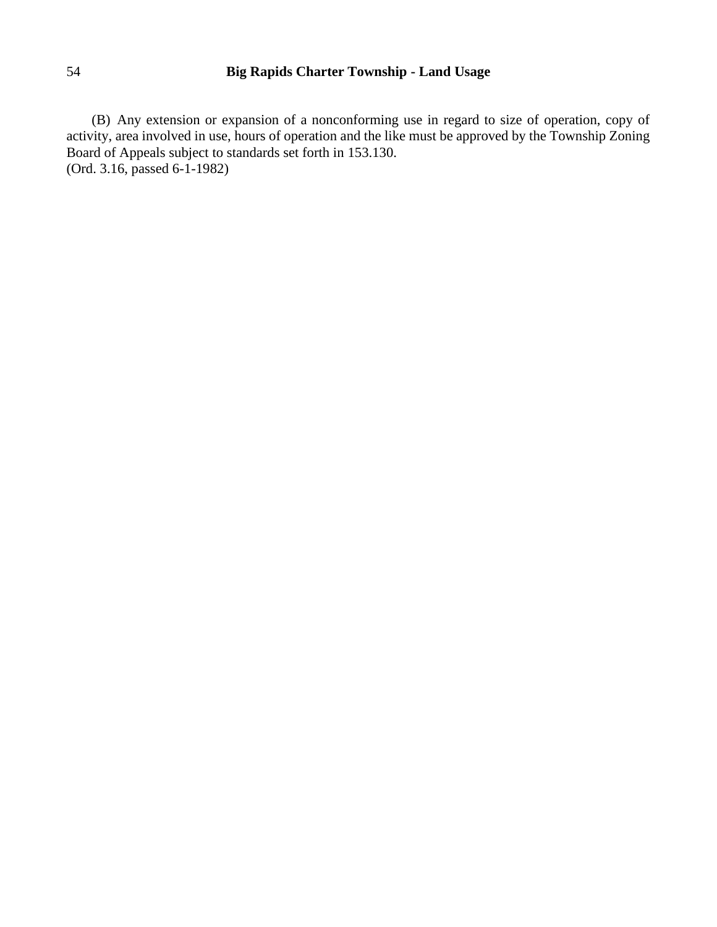(B) Any extension or expansion of a nonconforming use in regard to size of operation, copy of activity, area involved in use, hours of operation and the like must be approved by the Township Zoning Board of Appeals subject to standards set forth in 153.130. (Ord. 3.16, passed 6-1-1982)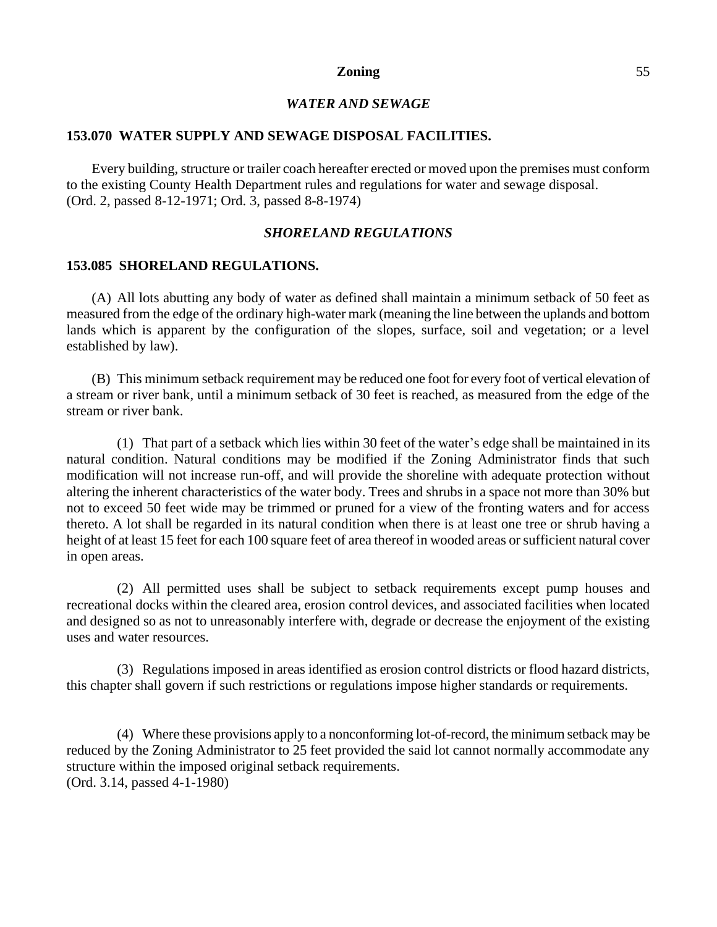# *WATER AND SEWAGE*

#### **153.070 WATER SUPPLY AND SEWAGE DISPOSAL FACILITIES.**

Every building, structure or trailer coach hereafter erected or moved upon the premises must conform to the existing County Health Department rules and regulations for water and sewage disposal. (Ord. 2, passed 8-12-1971; Ord. 3, passed 8-8-1974)

# *SHORELAND REGULATIONS*

#### **153.085 SHORELAND REGULATIONS.**

(A) All lots abutting any body of water as defined shall maintain a minimum setback of 50 feet as measured from the edge of the ordinary high-water mark (meaning the line between the uplands and bottom lands which is apparent by the configuration of the slopes, surface, soil and vegetation; or a level established by law).

(B) This minimum setback requirement may be reduced one foot for every foot of vertical elevation of a stream or river bank, until a minimum setback of 30 feet is reached, as measured from the edge of the stream or river bank.

(1) That part of a setback which lies within 30 feet of the water's edge shall be maintained in its natural condition. Natural conditions may be modified if the Zoning Administrator finds that such modification will not increase run-off, and will provide the shoreline with adequate protection without altering the inherent characteristics of the water body. Trees and shrubs in a space not more than 30% but not to exceed 50 feet wide may be trimmed or pruned for a view of the fronting waters and for access thereto. A lot shall be regarded in its natural condition when there is at least one tree or shrub having a height of at least 15 feet for each 100 square feet of area thereof in wooded areas or sufficient natural cover in open areas.

(2) All permitted uses shall be subject to setback requirements except pump houses and recreational docks within the cleared area, erosion control devices, and associated facilities when located and designed so as not to unreasonably interfere with, degrade or decrease the enjoyment of the existing uses and water resources.

(3) Regulations imposed in areas identified as erosion control districts or flood hazard districts, this chapter shall govern if such restrictions or regulations impose higher standards or requirements.

(4) Where these provisions apply to a nonconforming lot-of-record, the minimum setback may be reduced by the Zoning Administrator to 25 feet provided the said lot cannot normally accommodate any structure within the imposed original setback requirements. (Ord. 3.14, passed 4-1-1980)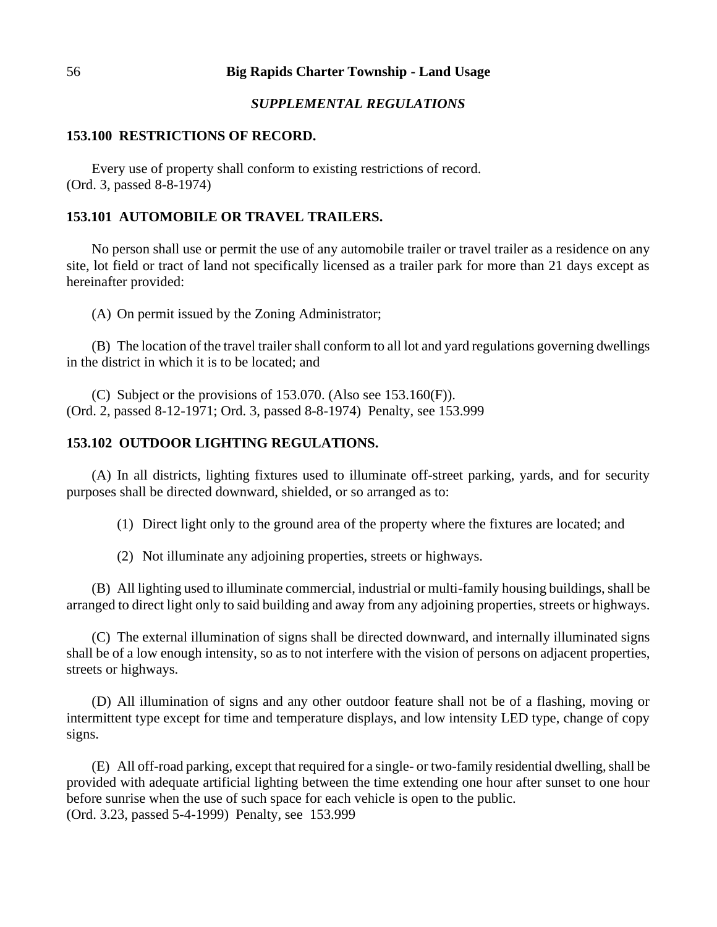## *SUPPLEMENTAL REGULATIONS*

#### **153.100 RESTRICTIONS OF RECORD.**

Every use of property shall conform to existing restrictions of record. (Ord. 3, passed 8-8-1974)

#### **153.101 AUTOMOBILE OR TRAVEL TRAILERS.**

No person shall use or permit the use of any automobile trailer or travel trailer as a residence on any site, lot field or tract of land not specifically licensed as a trailer park for more than 21 days except as hereinafter provided:

(A) On permit issued by the Zoning Administrator;

(B) The location of the travel trailer shall conform to all lot and yard regulations governing dwellings in the district in which it is to be located; and

(C) Subject or the provisions of 153.070. (Also see 153.160(F)). (Ord. 2, passed 8-12-1971; Ord. 3, passed 8-8-1974) Penalty, see 153.999

### **153.102 OUTDOOR LIGHTING REGULATIONS.**

(A) In all districts, lighting fixtures used to illuminate off-street parking, yards, and for security purposes shall be directed downward, shielded, or so arranged as to:

(1) Direct light only to the ground area of the property where the fixtures are located; and

(2) Not illuminate any adjoining properties, streets or highways.

(B) All lighting used to illuminate commercial, industrial or multi-family housing buildings, shall be arranged to direct light only to said building and away from any adjoining properties, streets or highways.

(C) The external illumination of signs shall be directed downward, and internally illuminated signs shall be of a low enough intensity, so as to not interfere with the vision of persons on adjacent properties, streets or highways.

(D) All illumination of signs and any other outdoor feature shall not be of a flashing, moving or intermittent type except for time and temperature displays, and low intensity LED type, change of copy signs.

(E) All off-road parking, except that required for a single- or two-family residential dwelling, shall be provided with adequate artificial lighting between the time extending one hour after sunset to one hour before sunrise when the use of such space for each vehicle is open to the public. (Ord. 3.23, passed 5-4-1999) Penalty, see 153.999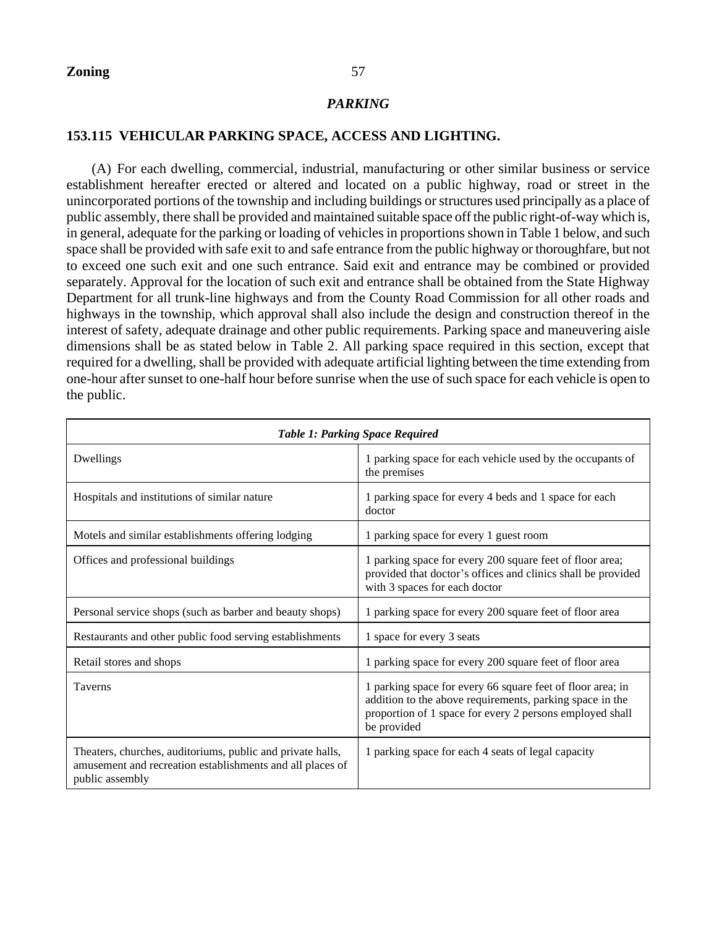# *PARKING*

# **153.115 VEHICULAR PARKING SPACE, ACCESS AND LIGHTING.**

(A) For each dwelling, commercial, industrial, manufacturing or other similar business or service establishment hereafter erected or altered and located on a public highway, road or street in the unincorporated portions of the township and including buildings or structures used principally as a place of public assembly, there shall be provided and maintained suitable space off the public right-of-way which is, in general, adequate for the parking or loading of vehicles in proportions shown in Table 1 below, and such space shall be provided with safe exit to and safe entrance from the public highway or thoroughfare, but not to exceed one such exit and one such entrance. Said exit and entrance may be combined or provided separately. Approval for the location of such exit and entrance shall be obtained from the State Highway Department for all trunk-line highways and from the County Road Commission for all other roads and highways in the township, which approval shall also include the design and construction thereof in the interest of safety, adequate drainage and other public requirements. Parking space and maneuvering aisle dimensions shall be as stated below in Table 2. All parking space required in this section, except that required for a dwelling, shall be provided with adequate artificial lighting between the time extending from one-hour after sunset to one-half hour before sunrise when the use of such space for each vehicle is open to the public.

| <b>Table 1: Parking Space Required</b>                                                                                                     |                                                                                                                                                                                                   |  |  |  |
|--------------------------------------------------------------------------------------------------------------------------------------------|---------------------------------------------------------------------------------------------------------------------------------------------------------------------------------------------------|--|--|--|
| Dwellings                                                                                                                                  | 1 parking space for each vehicle used by the occupants of<br>the premises                                                                                                                         |  |  |  |
| Hospitals and institutions of similar nature                                                                                               | 1 parking space for every 4 beds and 1 space for each<br>doctor                                                                                                                                   |  |  |  |
| Motels and similar establishments offering lodging                                                                                         | 1 parking space for every 1 guest room                                                                                                                                                            |  |  |  |
| Offices and professional buildings                                                                                                         | 1 parking space for every 200 square feet of floor area;<br>provided that doctor's offices and clinics shall be provided<br>with 3 spaces for each doctor                                         |  |  |  |
| Personal service shops (such as barber and beauty shops)                                                                                   | 1 parking space for every 200 square feet of floor area                                                                                                                                           |  |  |  |
| Restaurants and other public food serving establishments                                                                                   | 1 space for every 3 seats                                                                                                                                                                         |  |  |  |
| Retail stores and shops                                                                                                                    | 1 parking space for every 200 square feet of floor area                                                                                                                                           |  |  |  |
| <b>Taverns</b>                                                                                                                             | 1 parking space for every 66 square feet of floor area; in<br>addition to the above requirements, parking space in the<br>proportion of 1 space for every 2 persons employed shall<br>be provided |  |  |  |
| Theaters, churches, auditoriums, public and private halls,<br>amusement and recreation establishments and all places of<br>public assembly | 1 parking space for each 4 seats of legal capacity                                                                                                                                                |  |  |  |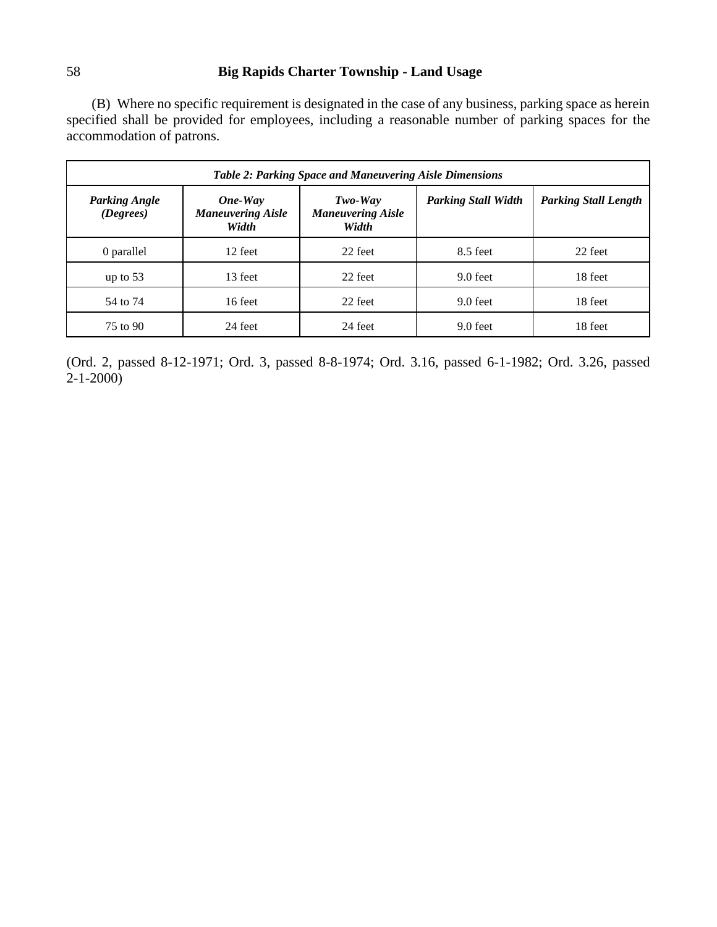(B) Where no specific requirement is designated in the case of any business, parking space as herein specified shall be provided for employees, including a reasonable number of parking spaces for the accommodation of patrons.

| Table 2: Parking Space and Maneuvering Aisle Dimensions |                                              |                                                |                            |                             |  |  |
|---------------------------------------------------------|----------------------------------------------|------------------------------------------------|----------------------------|-----------------------------|--|--|
| <b>Parking Angle</b><br>(Degrees)                       | One-Way<br><b>Maneuvering Aisle</b><br>Width | $Two-Way$<br><b>Maneuvering Aisle</b><br>Width | <b>Parking Stall Width</b> | <b>Parking Stall Length</b> |  |  |
| 0 parallel                                              | 12 feet                                      | 22 feet                                        | 8.5 feet                   | 22 feet                     |  |  |
| up to $53$                                              | 13 feet                                      | 22 feet                                        | 9.0 feet                   | 18 feet                     |  |  |
| 54 to 74                                                | 16 feet                                      | 22 feet                                        | 9.0 feet                   | 18 feet                     |  |  |
| 75 to 90                                                | 24 feet                                      | 24 feet                                        | 9.0 feet                   | 18 feet                     |  |  |

(Ord. 2, passed 8-12-1971; Ord. 3, passed 8-8-1974; Ord. 3.16, passed 6-1-1982; Ord. 3.26, passed 2-1-2000)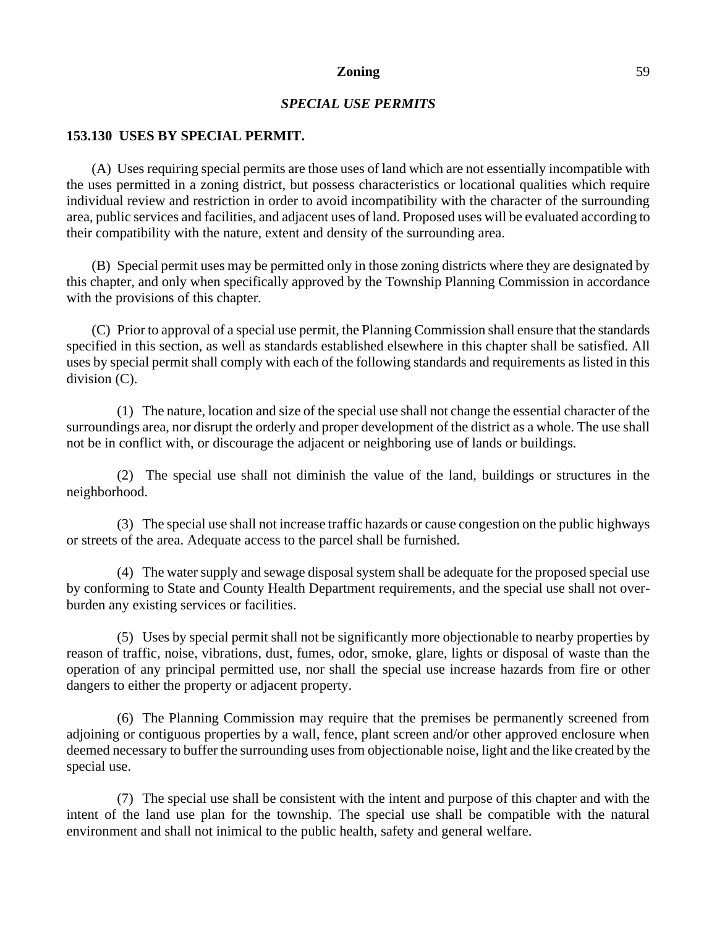# *SPECIAL USE PERMITS*

#### **153.130 USES BY SPECIAL PERMIT.**

(A) Uses requiring special permits are those uses of land which are not essentially incompatible with the uses permitted in a zoning district, but possess characteristics or locational qualities which require individual review and restriction in order to avoid incompatibility with the character of the surrounding area, public services and facilities, and adjacent uses of land. Proposed uses will be evaluated according to their compatibility with the nature, extent and density of the surrounding area.

(B) Special permit uses may be permitted only in those zoning districts where they are designated by this chapter, and only when specifically approved by the Township Planning Commission in accordance with the provisions of this chapter.

(C) Prior to approval of a special use permit, the Planning Commission shall ensure that the standards specified in this section, as well as standards established elsewhere in this chapter shall be satisfied. All uses by special permit shall comply with each of the following standards and requirements as listed in this division (C).

(1) The nature, location and size of the special use shall not change the essential character of the surroundings area, nor disrupt the orderly and proper development of the district as a whole. The use shall not be in conflict with, or discourage the adjacent or neighboring use of lands or buildings.

(2) The special use shall not diminish the value of the land, buildings or structures in the neighborhood.

(3) The special use shall not increase traffic hazards or cause congestion on the public highways or streets of the area. Adequate access to the parcel shall be furnished.

(4) The water supply and sewage disposal system shall be adequate for the proposed special use by conforming to State and County Health Department requirements, and the special use shall not overburden any existing services or facilities.

(5) Uses by special permit shall not be significantly more objectionable to nearby properties by reason of traffic, noise, vibrations, dust, fumes, odor, smoke, glare, lights or disposal of waste than the operation of any principal permitted use, nor shall the special use increase hazards from fire or other dangers to either the property or adjacent property.

(6) The Planning Commission may require that the premises be permanently screened from adjoining or contiguous properties by a wall, fence, plant screen and/or other approved enclosure when deemed necessary to buffer the surrounding uses from objectionable noise, light and the like created by the special use.

(7) The special use shall be consistent with the intent and purpose of this chapter and with the intent of the land use plan for the township. The special use shall be compatible with the natural environment and shall not inimical to the public health, safety and general welfare.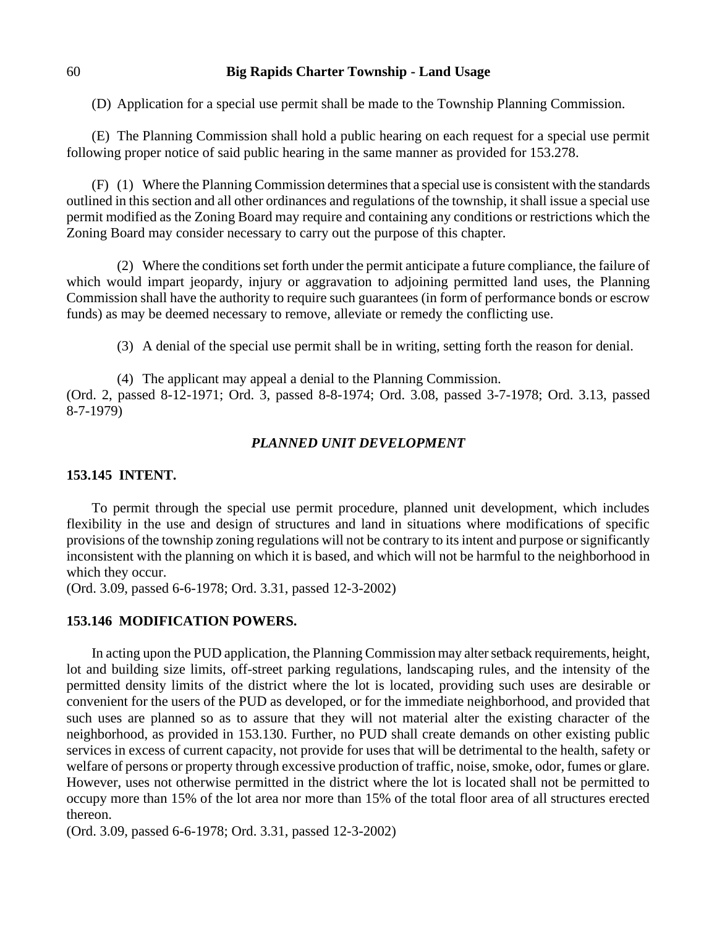(D) Application for a special use permit shall be made to the Township Planning Commission.

(E) The Planning Commission shall hold a public hearing on each request for a special use permit following proper notice of said public hearing in the same manner as provided for 153.278.

(F) (1) Where the Planning Commission determines that a special use is consistent with the standards outlined in this section and all other ordinances and regulations of the township, it shall issue a special use permit modified as the Zoning Board may require and containing any conditions or restrictions which the Zoning Board may consider necessary to carry out the purpose of this chapter.

(2) Where the conditions set forth under the permit anticipate a future compliance, the failure of which would impart jeopardy, injury or aggravation to adjoining permitted land uses, the Planning Commission shall have the authority to require such guarantees (in form of performance bonds or escrow funds) as may be deemed necessary to remove, alleviate or remedy the conflicting use.

(3) A denial of the special use permit shall be in writing, setting forth the reason for denial.

(4) The applicant may appeal a denial to the Planning Commission.

(Ord. 2, passed 8-12-1971; Ord. 3, passed 8-8-1974; Ord. 3.08, passed 3-7-1978; Ord. 3.13, passed 8-7-1979)

## *PLANNED UNIT DEVELOPMENT*

## **153.145 INTENT.**

To permit through the special use permit procedure, planned unit development, which includes flexibility in the use and design of structures and land in situations where modifications of specific provisions of the township zoning regulations will not be contrary to its intent and purpose or significantly inconsistent with the planning on which it is based, and which will not be harmful to the neighborhood in which they occur.

(Ord. 3.09, passed 6-6-1978; Ord. 3.31, passed 12-3-2002)

#### **153.146 MODIFICATION POWERS.**

In acting upon the PUD application, the Planning Commission may alter setback requirements, height, lot and building size limits, off-street parking regulations, landscaping rules, and the intensity of the permitted density limits of the district where the lot is located, providing such uses are desirable or convenient for the users of the PUD as developed, or for the immediate neighborhood, and provided that such uses are planned so as to assure that they will not material alter the existing character of the neighborhood, as provided in 153.130. Further, no PUD shall create demands on other existing public services in excess of current capacity, not provide for uses that will be detrimental to the health, safety or welfare of persons or property through excessive production of traffic, noise, smoke, odor, fumes or glare. However, uses not otherwise permitted in the district where the lot is located shall not be permitted to occupy more than 15% of the lot area nor more than 15% of the total floor area of all structures erected thereon.

(Ord. 3.09, passed 6-6-1978; Ord. 3.31, passed 12-3-2002)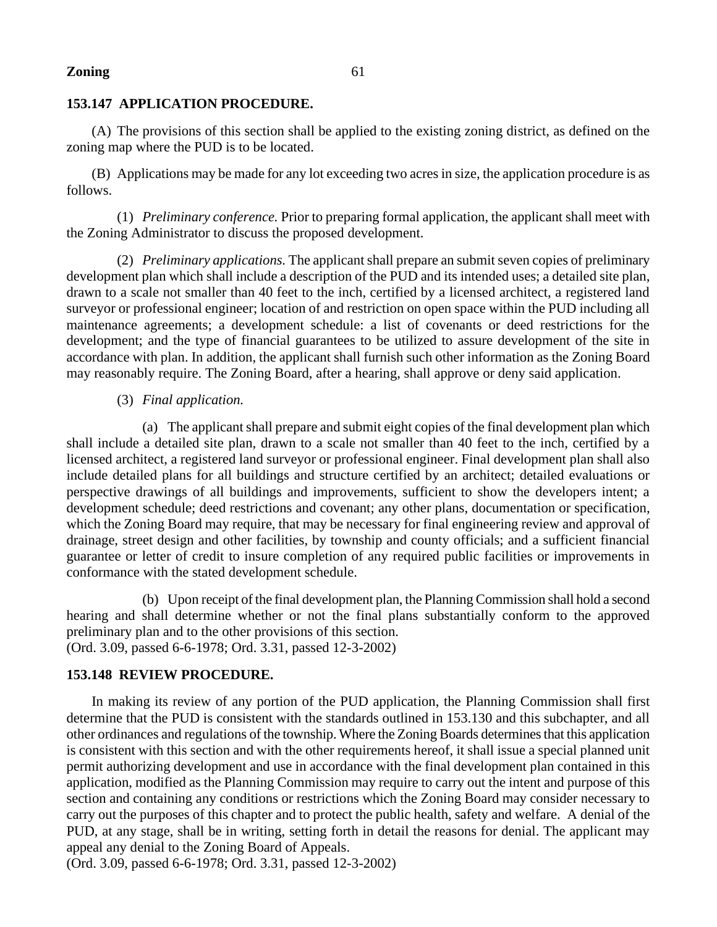# **153.147 APPLICATION PROCEDURE.**

(A) The provisions of this section shall be applied to the existing zoning district, as defined on the zoning map where the PUD is to be located.

(B) Applications may be made for any lot exceeding two acres in size, the application procedure is as follows.

(1) *Preliminary conference.* Prior to preparing formal application, the applicant shall meet with the Zoning Administrator to discuss the proposed development.

(2) *Preliminary applications.* The applicant shall prepare an submit seven copies of preliminary development plan which shall include a description of the PUD and its intended uses; a detailed site plan, drawn to a scale not smaller than 40 feet to the inch, certified by a licensed architect, a registered land surveyor or professional engineer; location of and restriction on open space within the PUD including all maintenance agreements; a development schedule: a list of covenants or deed restrictions for the development; and the type of financial guarantees to be utilized to assure development of the site in accordance with plan. In addition, the applicant shall furnish such other information as the Zoning Board may reasonably require. The Zoning Board, after a hearing, shall approve or deny said application.

# (3) *Final application.*

(a) The applicant shall prepare and submit eight copies of the final development plan which shall include a detailed site plan, drawn to a scale not smaller than 40 feet to the inch, certified by a licensed architect, a registered land surveyor or professional engineer. Final development plan shall also include detailed plans for all buildings and structure certified by an architect; detailed evaluations or perspective drawings of all buildings and improvements, sufficient to show the developers intent; a development schedule; deed restrictions and covenant; any other plans, documentation or specification, which the Zoning Board may require, that may be necessary for final engineering review and approval of drainage, street design and other facilities, by township and county officials; and a sufficient financial guarantee or letter of credit to insure completion of any required public facilities or improvements in conformance with the stated development schedule.

(b) Upon receipt of the final development plan, the Planning Commission shall hold a second hearing and shall determine whether or not the final plans substantially conform to the approved preliminary plan and to the other provisions of this section. (Ord. 3.09, passed 6-6-1978; Ord. 3.31, passed 12-3-2002)

# **153.148 REVIEW PROCEDURE.**

In making its review of any portion of the PUD application, the Planning Commission shall first determine that the PUD is consistent with the standards outlined in 153.130 and this subchapter, and all other ordinances and regulations of the township. Where the Zoning Boards determines that this application is consistent with this section and with the other requirements hereof, it shall issue a special planned unit permit authorizing development and use in accordance with the final development plan contained in this application, modified as the Planning Commission may require to carry out the intent and purpose of this section and containing any conditions or restrictions which the Zoning Board may consider necessary to carry out the purposes of this chapter and to protect the public health, safety and welfare. A denial of the PUD, at any stage, shall be in writing, setting forth in detail the reasons for denial. The applicant may appeal any denial to the Zoning Board of Appeals.

(Ord. 3.09, passed 6-6-1978; Ord. 3.31, passed 12-3-2002)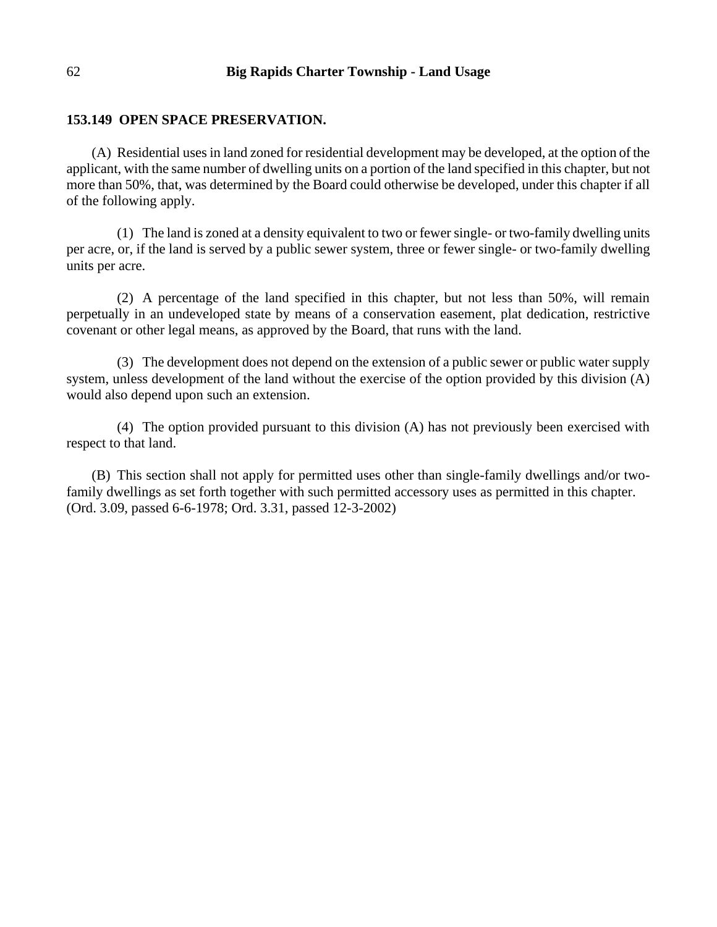## **153.149 OPEN SPACE PRESERVATION.**

(A) Residential uses in land zoned for residential development may be developed, at the option of the applicant, with the same number of dwelling units on a portion of the land specified in this chapter, but not more than 50%, that, was determined by the Board could otherwise be developed, under this chapter if all of the following apply.

(1) The land is zoned at a density equivalent to two or fewer single- or two-family dwelling units per acre, or, if the land is served by a public sewer system, three or fewer single- or two-family dwelling units per acre.

(2) A percentage of the land specified in this chapter, but not less than 50%, will remain perpetually in an undeveloped state by means of a conservation easement, plat dedication, restrictive covenant or other legal means, as approved by the Board, that runs with the land.

(3) The development does not depend on the extension of a public sewer or public water supply system, unless development of the land without the exercise of the option provided by this division (A) would also depend upon such an extension.

(4) The option provided pursuant to this division (A) has not previously been exercised with respect to that land.

(B) This section shall not apply for permitted uses other than single-family dwellings and/or twofamily dwellings as set forth together with such permitted accessory uses as permitted in this chapter. (Ord. 3.09, passed 6-6-1978; Ord. 3.31, passed 12-3-2002)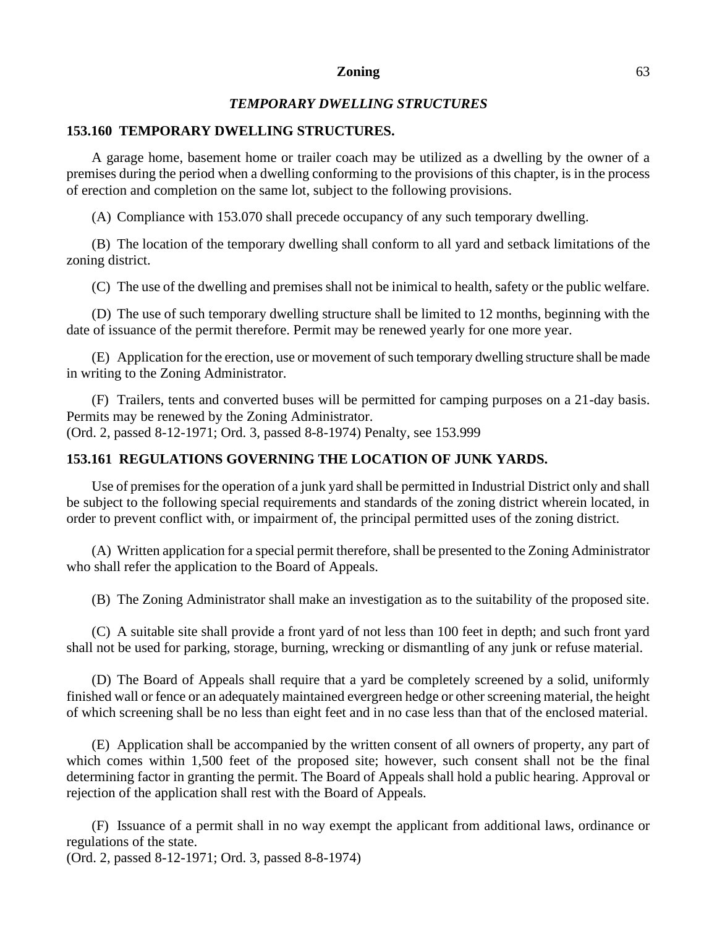# *TEMPORARY DWELLING STRUCTURES*

### **153.160 TEMPORARY DWELLING STRUCTURES.**

A garage home, basement home or trailer coach may be utilized as a dwelling by the owner of a premises during the period when a dwelling conforming to the provisions of this chapter, is in the process of erection and completion on the same lot, subject to the following provisions.

(A) Compliance with 153.070 shall precede occupancy of any such temporary dwelling.

(B) The location of the temporary dwelling shall conform to all yard and setback limitations of the zoning district.

(C) The use of the dwelling and premises shall not be inimical to health, safety or the public welfare.

(D) The use of such temporary dwelling structure shall be limited to 12 months, beginning with the date of issuance of the permit therefore. Permit may be renewed yearly for one more year.

(E) Application for the erection, use or movement of such temporary dwelling structure shall be made in writing to the Zoning Administrator.

(F) Trailers, tents and converted buses will be permitted for camping purposes on a 21-day basis. Permits may be renewed by the Zoning Administrator. (Ord. 2, passed 8-12-1971; Ord. 3, passed 8-8-1974) Penalty, see 153.999

# **153.161 REGULATIONS GOVERNING THE LOCATION OF JUNK YARDS.**

Use of premises for the operation of a junk yard shall be permitted in Industrial District only and shall be subject to the following special requirements and standards of the zoning district wherein located, in order to prevent conflict with, or impairment of, the principal permitted uses of the zoning district.

(A) Written application for a special permit therefore, shall be presented to the Zoning Administrator who shall refer the application to the Board of Appeals.

(B) The Zoning Administrator shall make an investigation as to the suitability of the proposed site.

(C) A suitable site shall provide a front yard of not less than 100 feet in depth; and such front yard shall not be used for parking, storage, burning, wrecking or dismantling of any junk or refuse material.

(D) The Board of Appeals shall require that a yard be completely screened by a solid, uniformly finished wall or fence or an adequately maintained evergreen hedge or other screening material, the height of which screening shall be no less than eight feet and in no case less than that of the enclosed material.

(E) Application shall be accompanied by the written consent of all owners of property, any part of which comes within 1,500 feet of the proposed site; however, such consent shall not be the final determining factor in granting the permit. The Board of Appeals shall hold a public hearing. Approval or rejection of the application shall rest with the Board of Appeals.

(F) Issuance of a permit shall in no way exempt the applicant from additional laws, ordinance or regulations of the state.

(Ord. 2, passed 8-12-1971; Ord. 3, passed 8-8-1974)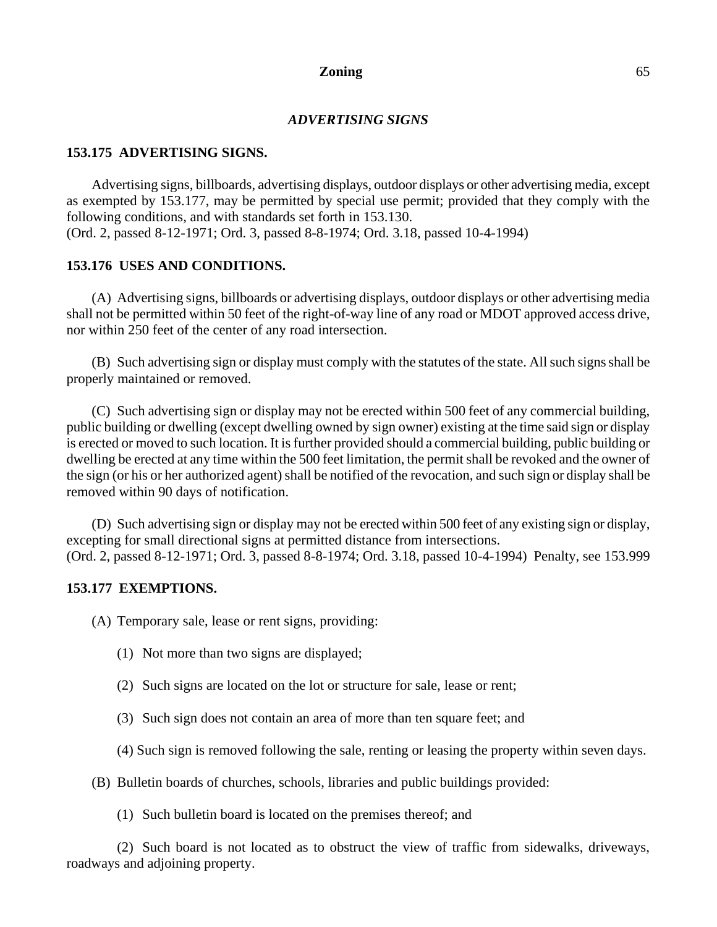## *ADVERTISING SIGNS*

## **153.175 ADVERTISING SIGNS.**

Advertising signs, billboards, advertising displays, outdoor displays or other advertising media, except as exempted by 153.177, may be permitted by special use permit; provided that they comply with the following conditions, and with standards set forth in 153.130. (Ord. 2, passed 8-12-1971; Ord. 3, passed 8-8-1974; Ord. 3.18, passed 10-4-1994)

## **153.176 USES AND CONDITIONS.**

(A) Advertising signs, billboards or advertising displays, outdoor displays or other advertising media shall not be permitted within 50 feet of the right-of-way line of any road or MDOT approved access drive, nor within 250 feet of the center of any road intersection.

(B) Such advertising sign or display must comply with the statutes of the state. All such signs shall be properly maintained or removed.

(C) Such advertising sign or display may not be erected within 500 feet of any commercial building, public building or dwelling (except dwelling owned by sign owner) existing at the time said sign or display is erected or moved to such location. It is further provided should a commercial building, public building or dwelling be erected at any time within the 500 feet limitation, the permit shall be revoked and the owner of the sign (or his or her authorized agent) shall be notified of the revocation, and such sign or display shall be removed within 90 days of notification.

(D) Such advertising sign or display may not be erected within 500 feet of any existing sign or display, excepting for small directional signs at permitted distance from intersections. (Ord. 2, passed 8-12-1971; Ord. 3, passed 8-8-1974; Ord. 3.18, passed 10-4-1994) Penalty, see 153.999

## **153.177 EXEMPTIONS.**

(A) Temporary sale, lease or rent signs, providing:

- (1) Not more than two signs are displayed;
- (2) Such signs are located on the lot or structure for sale, lease or rent;
- (3) Such sign does not contain an area of more than ten square feet; and
- (4) Such sign is removed following the sale, renting or leasing the property within seven days.
- (B) Bulletin boards of churches, schools, libraries and public buildings provided:
	- (1) Such bulletin board is located on the premises thereof; and

(2) Such board is not located as to obstruct the view of traffic from sidewalks, driveways, roadways and adjoining property.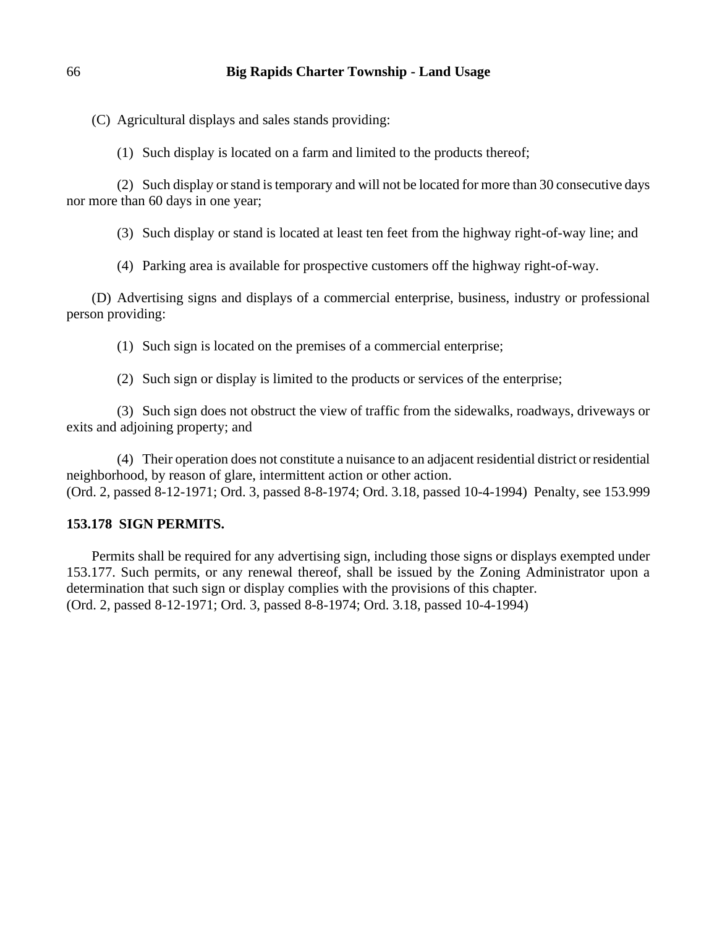(C) Agricultural displays and sales stands providing:

(1) Such display is located on a farm and limited to the products thereof;

(2) Such display or stand is temporary and will not be located for more than 30 consecutive days nor more than 60 days in one year;

(3) Such display or stand is located at least ten feet from the highway right-of-way line; and

(4) Parking area is available for prospective customers off the highway right-of-way.

(D) Advertising signs and displays of a commercial enterprise, business, industry or professional person providing:

(1) Such sign is located on the premises of a commercial enterprise;

(2) Such sign or display is limited to the products or services of the enterprise;

(3) Such sign does not obstruct the view of traffic from the sidewalks, roadways, driveways or exits and adjoining property; and

(4) Their operation does not constitute a nuisance to an adjacent residential district or residential neighborhood, by reason of glare, intermittent action or other action. (Ord. 2, passed 8-12-1971; Ord. 3, passed 8-8-1974; Ord. 3.18, passed 10-4-1994) Penalty, see 153.999

# **153.178 SIGN PERMITS.**

Permits shall be required for any advertising sign, including those signs or displays exempted under 153.177. Such permits, or any renewal thereof, shall be issued by the Zoning Administrator upon a determination that such sign or display complies with the provisions of this chapter. (Ord. 2, passed 8-12-1971; Ord. 3, passed 8-8-1974; Ord. 3.18, passed 10-4-1994)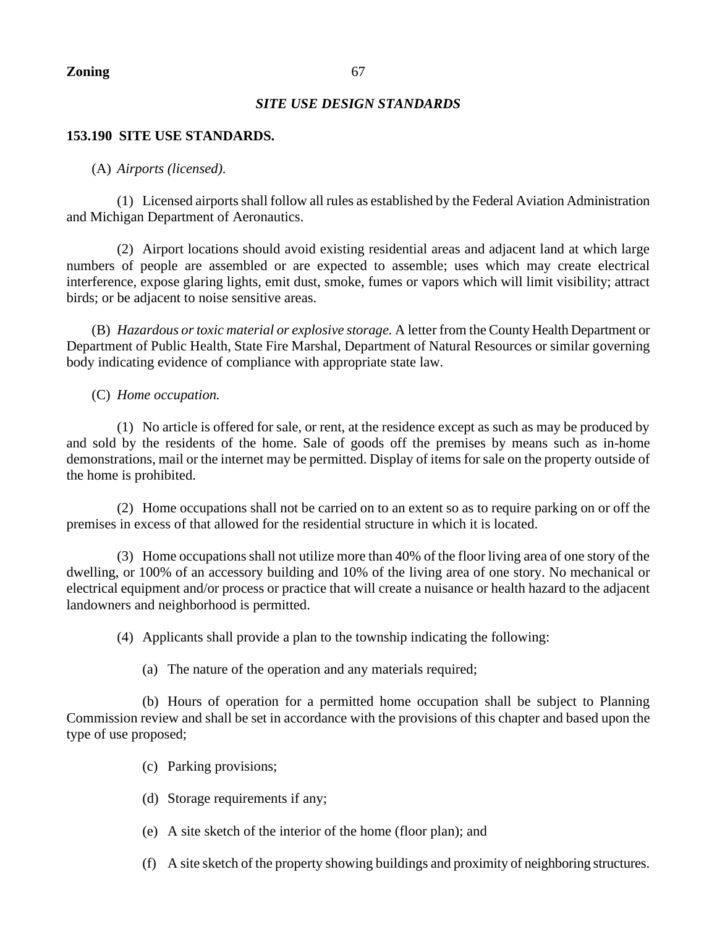# *SITE USE DESIGN STANDARDS*

# **153.190 SITE USE STANDARDS.**

# (A) *Airports (licensed).*

(1) Licensed airports shall follow all rules as established by the Federal Aviation Administration and Michigan Department of Aeronautics.

(2) Airport locations should avoid existing residential areas and adjacent land at which large numbers of people are assembled or are expected to assemble; uses which may create electrical interference, expose glaring lights, emit dust, smoke, fumes or vapors which will limit visibility; attract birds; or be adjacent to noise sensitive areas.

(B) *Hazardous or toxic material or explosive storage.* A letter from the County Health Department or Department of Public Health, State Fire Marshal, Department of Natural Resources or similar governing body indicating evidence of compliance with appropriate state law.

# (C) *Home occupation.*

(1) No article is offered for sale, or rent, at the residence except as such as may be produced by and sold by the residents of the home. Sale of goods off the premises by means such as in-home demonstrations, mail or the internet may be permitted. Display of items for sale on the property outside of the home is prohibited.

(2) Home occupations shall not be carried on to an extent so as to require parking on or off the premises in excess of that allowed for the residential structure in which it is located.

(3) Home occupations shall not utilize more than 40% of the floor living area of one story of the dwelling, or 100% of an accessory building and 10% of the living area of one story. No mechanical or electrical equipment and/or process or practice that will create a nuisance or health hazard to the adjacent landowners and neighborhood is permitted.

(4) Applicants shall provide a plan to the township indicating the following:

(a) The nature of the operation and any materials required;

(b) Hours of operation for a permitted home occupation shall be subject to Planning Commission review and shall be set in accordance with the provisions of this chapter and based upon the type of use proposed;

- (c) Parking provisions;
- (d) Storage requirements if any;
- (e) A site sketch of the interior of the home (floor plan); and
- (f) A site sketch of the property showing buildings and proximity of neighboring structures.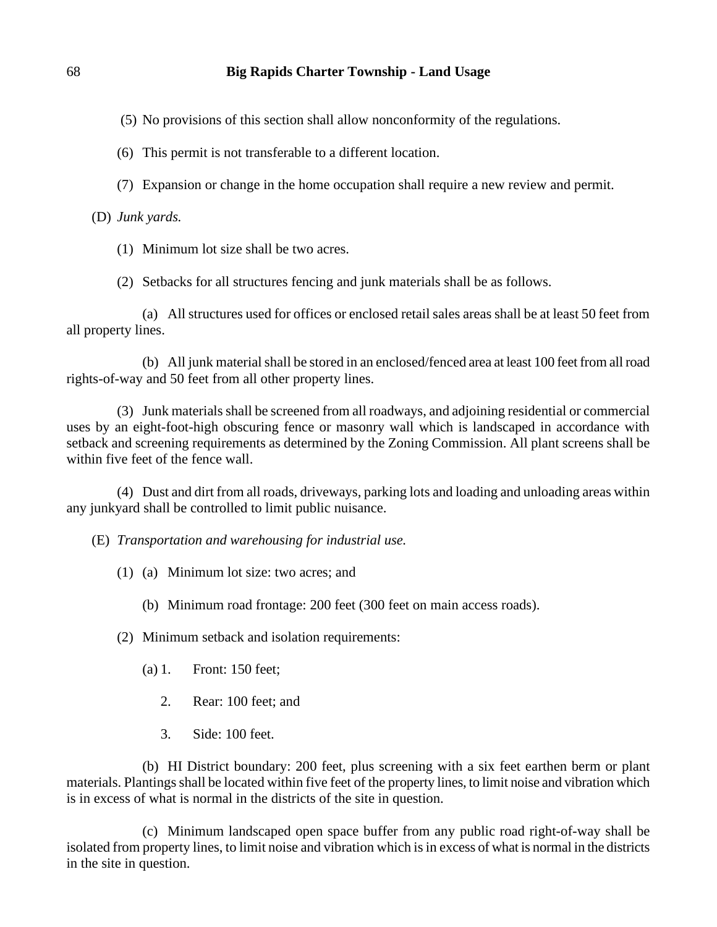(5) No provisions of this section shall allow nonconformity of the regulations.

(6) This permit is not transferable to a different location.

(7) Expansion or change in the home occupation shall require a new review and permit.

(D) *Junk yards.*

(1) Minimum lot size shall be two acres.

(2) Setbacks for all structures fencing and junk materials shall be as follows.

(a) All structures used for offices or enclosed retail sales areas shall be at least 50 feet from all property lines.

(b) All junk material shall be stored in an enclosed/fenced area at least 100 feet from all road rights-of-way and 50 feet from all other property lines.

(3) Junk materials shall be screened from all roadways, and adjoining residential or commercial uses by an eight-foot-high obscuring fence or masonry wall which is landscaped in accordance with setback and screening requirements as determined by the Zoning Commission. All plant screens shall be within five feet of the fence wall.

(4) Dust and dirt from all roads, driveways, parking lots and loading and unloading areas within any junkyard shall be controlled to limit public nuisance.

(E) *Transportation and warehousing for industrial use.*

- (1) (a) Minimum lot size: two acres; and
	- (b) Minimum road frontage: 200 feet (300 feet on main access roads).
- (2) Minimum setback and isolation requirements:
	- (a) 1. Front: 150 feet;
		- 2. Rear: 100 feet; and
		- 3. Side: 100 feet.

(b) HI District boundary: 200 feet, plus screening with a six feet earthen berm or plant materials. Plantings shall be located within five feet of the property lines, to limit noise and vibration which is in excess of what is normal in the districts of the site in question.

(c) Minimum landscaped open space buffer from any public road right-of-way shall be isolated from property lines, to limit noise and vibration which is in excess of what is normal in the districts in the site in question.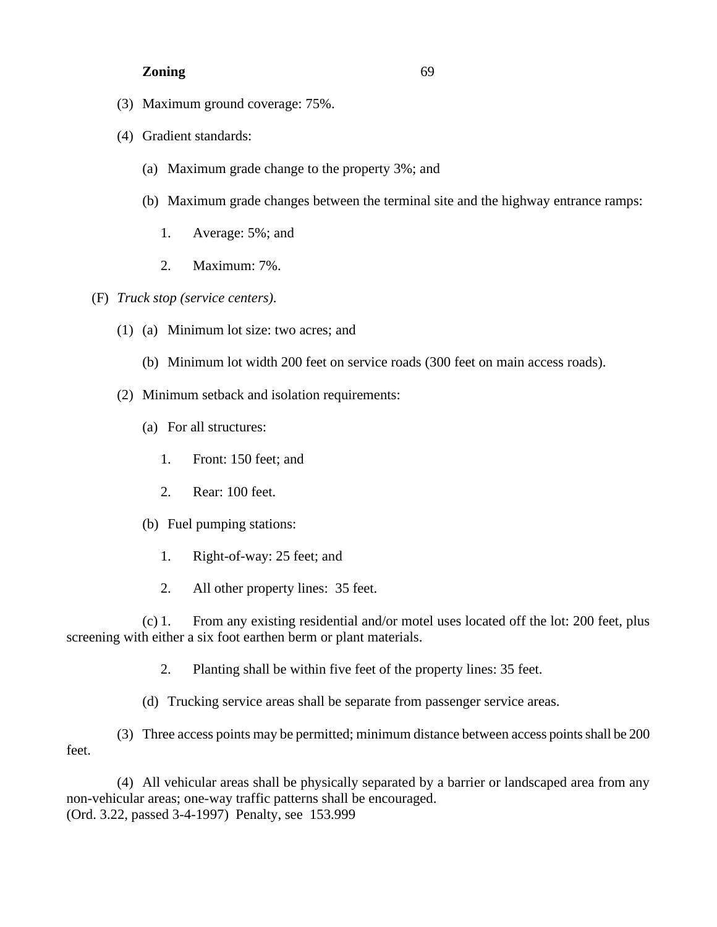- (3) Maximum ground coverage: 75%.
- (4) Gradient standards:
	- (a) Maximum grade change to the property 3%; and
	- (b) Maximum grade changes between the terminal site and the highway entrance ramps:
		- 1. Average: 5%; and
		- 2. Maximum: 7%.
- (F) *Truck stop (service centers).*
	- (1) (a) Minimum lot size: two acres; and
		- (b) Minimum lot width 200 feet on service roads (300 feet on main access roads).
	- (2) Minimum setback and isolation requirements:
		- (a) For all structures:
			- 1. Front: 150 feet; and
			- 2. Rear: 100 feet.
		- (b) Fuel pumping stations:
			- 1. Right-of-way: 25 feet; and
			- 2. All other property lines: 35 feet.

(c) 1. From any existing residential and/or motel uses located off the lot: 200 feet, plus screening with either a six foot earthen berm or plant materials.

2. Planting shall be within five feet of the property lines: 35 feet.

(d) Trucking service areas shall be separate from passenger service areas.

(3) Three access points may be permitted; minimum distance between access points shall be 200 feet.

(4) All vehicular areas shall be physically separated by a barrier or landscaped area from any non-vehicular areas; one-way traffic patterns shall be encouraged. (Ord. 3.22, passed 3-4-1997) Penalty, see 153.999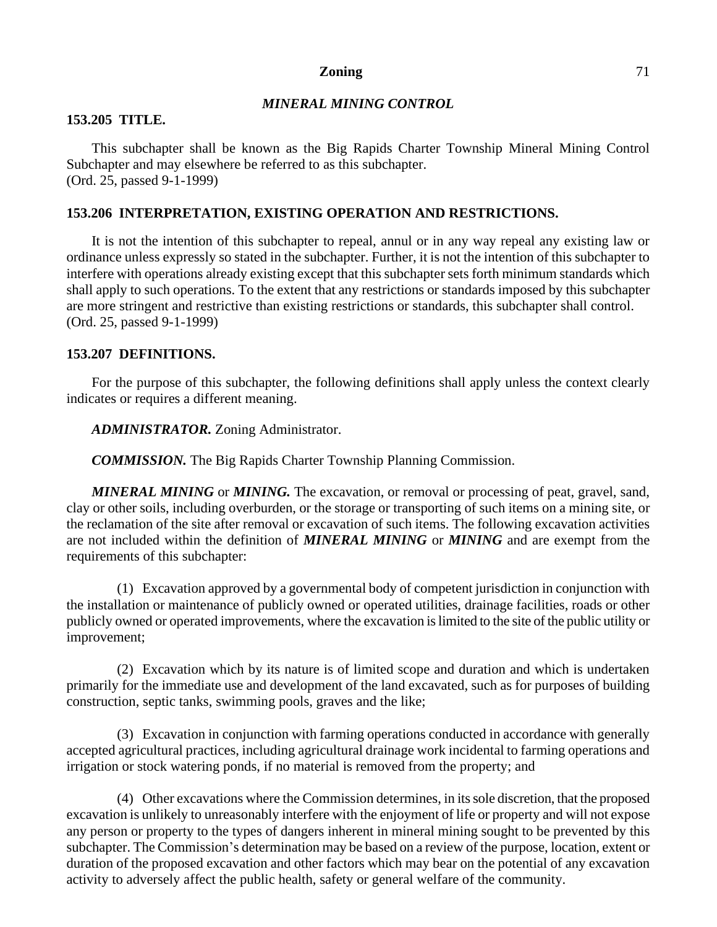# *MINERAL MINING CONTROL*

## **153.205 TITLE.**

This subchapter shall be known as the Big Rapids Charter Township Mineral Mining Control Subchapter and may elsewhere be referred to as this subchapter. (Ord. 25, passed 9-1-1999)

## **153.206 INTERPRETATION, EXISTING OPERATION AND RESTRICTIONS.**

It is not the intention of this subchapter to repeal, annul or in any way repeal any existing law or ordinance unless expressly so stated in the subchapter. Further, it is not the intention of this subchapter to interfere with operations already existing except that this subchapter sets forth minimum standards which shall apply to such operations. To the extent that any restrictions or standards imposed by this subchapter are more stringent and restrictive than existing restrictions or standards, this subchapter shall control. (Ord. 25, passed 9-1-1999)

# **153.207 DEFINITIONS.**

For the purpose of this subchapter, the following definitions shall apply unless the context clearly indicates or requires a different meaning.

*ADMINISTRATOR.* Zoning Administrator.

*COMMISSION.* The Big Rapids Charter Township Planning Commission.

*MINERAL MINING* or *MINING.* The excavation, or removal or processing of peat, gravel, sand, clay or other soils, including overburden, or the storage or transporting of such items on a mining site, or the reclamation of the site after removal or excavation of such items. The following excavation activities are not included within the definition of *MINERAL MINING* or *MINING* and are exempt from the requirements of this subchapter:

(1) Excavation approved by a governmental body of competent jurisdiction in conjunction with the installation or maintenance of publicly owned or operated utilities, drainage facilities, roads or other publicly owned or operated improvements, where the excavation is limited to the site of the public utility or improvement;

(2) Excavation which by its nature is of limited scope and duration and which is undertaken primarily for the immediate use and development of the land excavated, such as for purposes of building construction, septic tanks, swimming pools, graves and the like;

(3) Excavation in conjunction with farming operations conducted in accordance with generally accepted agricultural practices, including agricultural drainage work incidental to farming operations and irrigation or stock watering ponds, if no material is removed from the property; and

(4) Other excavations where the Commission determines, in its sole discretion, that the proposed excavation is unlikely to unreasonably interfere with the enjoyment of life or property and will not expose any person or property to the types of dangers inherent in mineral mining sought to be prevented by this subchapter. The Commission's determination may be based on a review of the purpose, location, extent or duration of the proposed excavation and other factors which may bear on the potential of any excavation activity to adversely affect the public health, safety or general welfare of the community.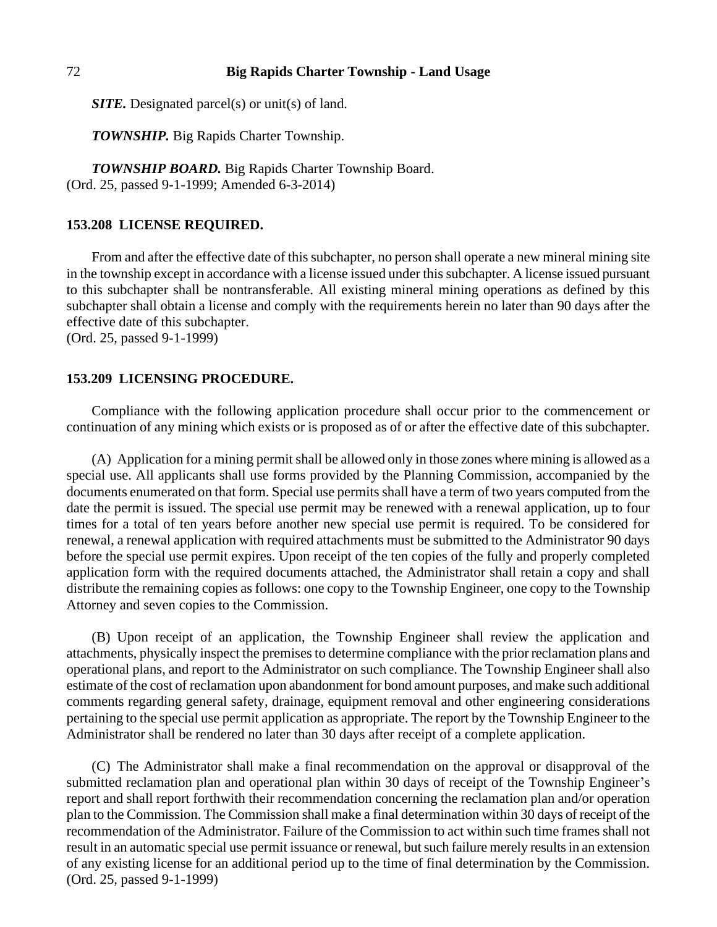*SITE.* Designated parcel(s) or unit(s) of land.

*TOWNSHIP.* Big Rapids Charter Township.

*TOWNSHIP BOARD.* Big Rapids Charter Township Board. (Ord. 25, passed 9-1-1999; Amended 6-3-2014)

## **153.208 LICENSE REQUIRED.**

From and after the effective date of this subchapter, no person shall operate a new mineral mining site in the township except in accordance with a license issued under this subchapter. A license issued pursuant to this subchapter shall be nontransferable. All existing mineral mining operations as defined by this subchapter shall obtain a license and comply with the requirements herein no later than 90 days after the effective date of this subchapter.

(Ord. 25, passed 9-1-1999)

## **153.209 LICENSING PROCEDURE.**

Compliance with the following application procedure shall occur prior to the commencement or continuation of any mining which exists or is proposed as of or after the effective date of this subchapter.

(A) Application for a mining permit shall be allowed only in those zones where mining is allowed as a special use. All applicants shall use forms provided by the Planning Commission, accompanied by the documents enumerated on that form. Special use permits shall have a term of two years computed from the date the permit is issued. The special use permit may be renewed with a renewal application, up to four times for a total of ten years before another new special use permit is required. To be considered for renewal, a renewal application with required attachments must be submitted to the Administrator 90 days before the special use permit expires. Upon receipt of the ten copies of the fully and properly completed application form with the required documents attached, the Administrator shall retain a copy and shall distribute the remaining copies as follows: one copy to the Township Engineer, one copy to the Township Attorney and seven copies to the Commission.

(B) Upon receipt of an application, the Township Engineer shall review the application and attachments, physically inspect the premises to determine compliance with the prior reclamation plans and operational plans, and report to the Administrator on such compliance. The Township Engineer shall also estimate of the cost of reclamation upon abandonment for bond amount purposes, and make such additional comments regarding general safety, drainage, equipment removal and other engineering considerations pertaining to the special use permit application as appropriate. The report by the Township Engineer to the Administrator shall be rendered no later than 30 days after receipt of a complete application.

(C) The Administrator shall make a final recommendation on the approval or disapproval of the submitted reclamation plan and operational plan within 30 days of receipt of the Township Engineer's report and shall report forthwith their recommendation concerning the reclamation plan and/or operation plan to the Commission. The Commission shall make a final determination within 30 days of receipt of the recommendation of the Administrator. Failure of the Commission to act within such time frames shall not result in an automatic special use permit issuance or renewal, but such failure merely results in an extension of any existing license for an additional period up to the time of final determination by the Commission. (Ord. 25, passed 9-1-1999)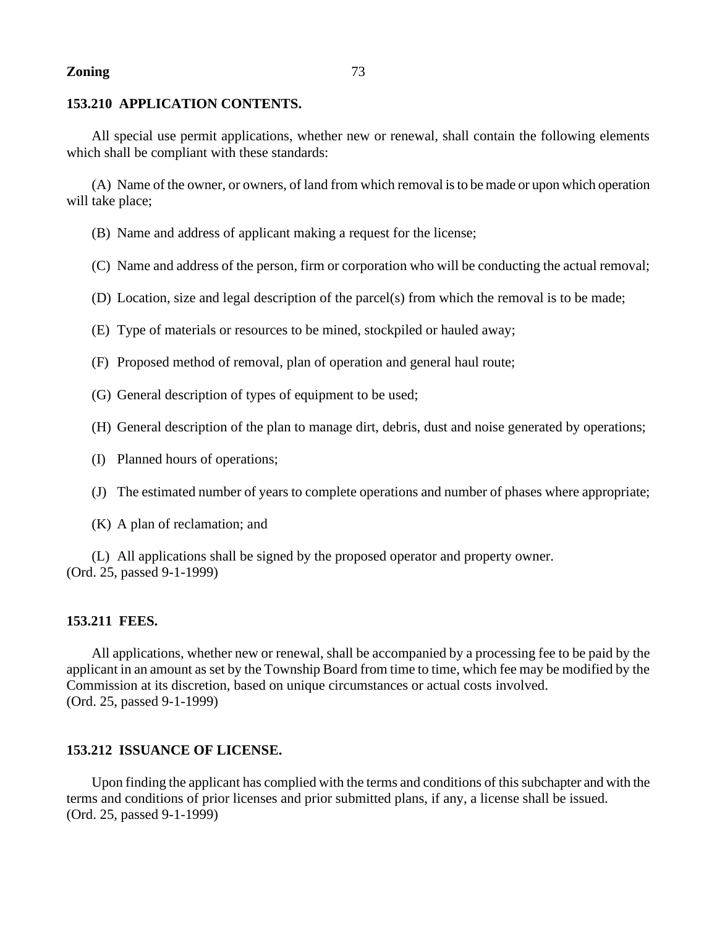# **153.210 APPLICATION CONTENTS.**

All special use permit applications, whether new or renewal, shall contain the following elements which shall be compliant with these standards:

(A) Name of the owner, or owners, of land from which removal is to be made or upon which operation will take place;

- (B) Name and address of applicant making a request for the license;
- (C) Name and address of the person, firm or corporation who will be conducting the actual removal;
- (D) Location, size and legal description of the parcel(s) from which the removal is to be made;
- (E) Type of materials or resources to be mined, stockpiled or hauled away;
- (F) Proposed method of removal, plan of operation and general haul route;
- (G) General description of types of equipment to be used;
- (H) General description of the plan to manage dirt, debris, dust and noise generated by operations;
- (I) Planned hours of operations;
- (J) The estimated number of years to complete operations and number of phases where appropriate;
- (K) A plan of reclamation; and

(L) All applications shall be signed by the proposed operator and property owner. (Ord. 25, passed 9-1-1999)

### **153.211 FEES.**

All applications, whether new or renewal, shall be accompanied by a processing fee to be paid by the applicant in an amount as set by the Township Board from time to time, which fee may be modified by the Commission at its discretion, based on unique circumstances or actual costs involved. (Ord. 25, passed 9-1-1999)

# **153.212 ISSUANCE OF LICENSE.**

Upon finding the applicant has complied with the terms and conditions of this subchapter and with the terms and conditions of prior licenses and prior submitted plans, if any, a license shall be issued. (Ord. 25, passed 9-1-1999)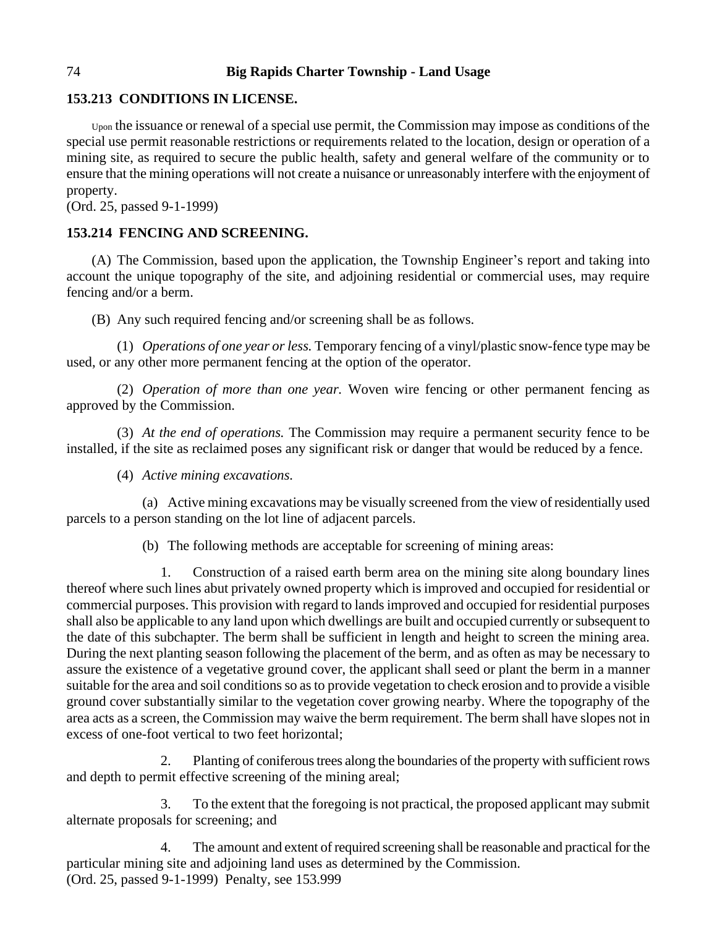# **153.213 CONDITIONS IN LICENSE.**

Upon the issuance or renewal of a special use permit, the Commission may impose as conditions of the special use permit reasonable restrictions or requirements related to the location, design or operation of a mining site, as required to secure the public health, safety and general welfare of the community or to ensure that the mining operations will not create a nuisance or unreasonably interfere with the enjoyment of property.

(Ord. 25, passed 9-1-1999)

# **153.214 FENCING AND SCREENING.**

(A) The Commission, based upon the application, the Township Engineer's report and taking into account the unique topography of the site, and adjoining residential or commercial uses, may require fencing and/or a berm.

(B) Any such required fencing and/or screening shall be as follows.

(1) *Operations of one year or less.* Temporary fencing of a vinyl/plastic snow-fence type may be used, or any other more permanent fencing at the option of the operator.

(2) *Operation of more than one year.* Woven wire fencing or other permanent fencing as approved by the Commission.

(3) *At the end of operations.* The Commission may require a permanent security fence to be installed, if the site as reclaimed poses any significant risk or danger that would be reduced by a fence.

(4) *Active mining excavations.*

(a) Active mining excavations may be visually screened from the view of residentially used parcels to a person standing on the lot line of adjacent parcels.

(b) The following methods are acceptable for screening of mining areas:

1. Construction of a raised earth berm area on the mining site along boundary lines thereof where such lines abut privately owned property which is improved and occupied for residential or commercial purposes. This provision with regard to lands improved and occupied for residential purposes shall also be applicable to any land upon which dwellings are built and occupied currently or subsequent to the date of this subchapter. The berm shall be sufficient in length and height to screen the mining area. During the next planting season following the placement of the berm, and as often as may be necessary to assure the existence of a vegetative ground cover, the applicant shall seed or plant the berm in a manner suitable for the area and soil conditions so as to provide vegetation to check erosion and to provide a visible ground cover substantially similar to the vegetation cover growing nearby. Where the topography of the area acts as a screen, the Commission may waive the berm requirement. The berm shall have slopes not in excess of one-foot vertical to two feet horizontal;

2. Planting of coniferous trees along the boundaries of the property with sufficient rows and depth to permit effective screening of the mining areal;

3. To the extent that the foregoing is not practical, the proposed applicant may submit alternate proposals for screening; and

4. The amount and extent of required screening shall be reasonable and practical for the particular mining site and adjoining land uses as determined by the Commission. (Ord. 25, passed 9-1-1999) Penalty, see 153.999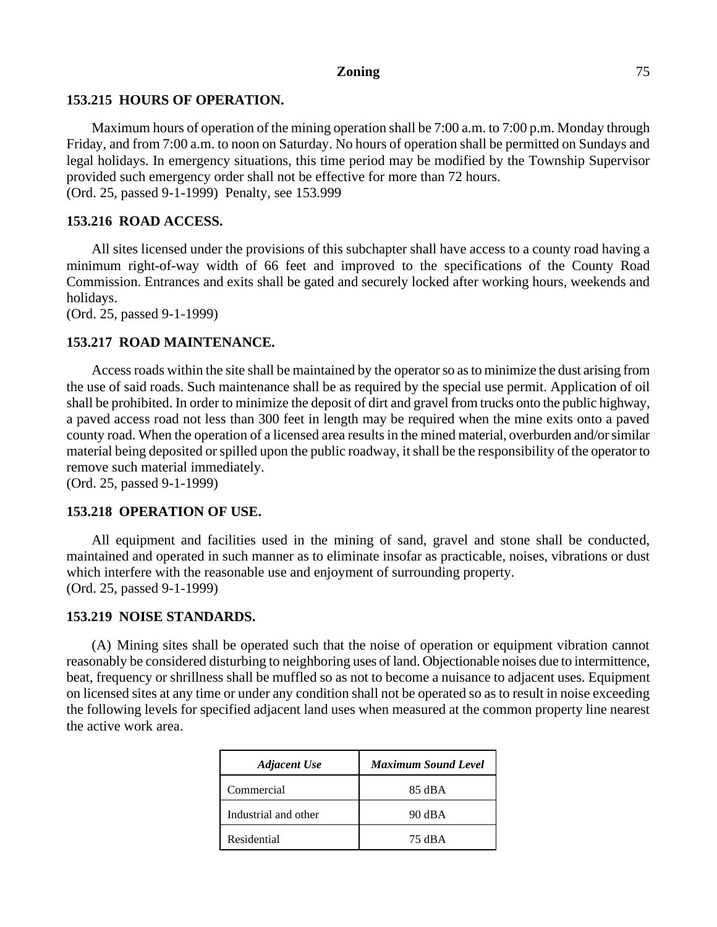### **153.215 HOURS OF OPERATION.**

Maximum hours of operation of the mining operation shall be 7:00 a.m. to 7:00 p.m. Monday through Friday, and from 7:00 a.m. to noon on Saturday. No hours of operation shall be permitted on Sundays and legal holidays. In emergency situations, this time period may be modified by the Township Supervisor provided such emergency order shall not be effective for more than 72 hours. (Ord. 25, passed 9-1-1999) Penalty, see 153.999

## **153.216 ROAD ACCESS.**

All sites licensed under the provisions of this subchapter shall have access to a county road having a minimum right-of-way width of 66 feet and improved to the specifications of the County Road Commission. Entrances and exits shall be gated and securely locked after working hours, weekends and holidays.

(Ord. 25, passed 9-1-1999)

## **153.217 ROAD MAINTENANCE.**

Access roads within the site shall be maintained by the operator so as to minimize the dust arising from the use of said roads. Such maintenance shall be as required by the special use permit. Application of oil shall be prohibited. In order to minimize the deposit of dirt and gravel from trucks onto the public highway, a paved access road not less than 300 feet in length may be required when the mine exits onto a paved county road. When the operation of a licensed area results in the mined material, overburden and/or similar material being deposited or spilled upon the public roadway, it shall be the responsibility of the operator to remove such material immediately.

(Ord. 25, passed 9-1-1999)

# **153.218 OPERATION OF USE.**

All equipment and facilities used in the mining of sand, gravel and stone shall be conducted, maintained and operated in such manner as to eliminate insofar as practicable, noises, vibrations or dust which interfere with the reasonable use and enjoyment of surrounding property. (Ord. 25, passed 9-1-1999)

### **153.219 NOISE STANDARDS.**

(A) Mining sites shall be operated such that the noise of operation or equipment vibration cannot reasonably be considered disturbing to neighboring uses of land. Objectionable noises due to intermittence, beat, frequency or shrillness shall be muffled so as not to become a nuisance to adjacent uses. Equipment on licensed sites at any time or under any condition shall not be operated so as to result in noise exceeding the following levels for specified adjacent land uses when measured at the common property line nearest the active work area.

| <b>Adjacent Use</b>  | <b>Maximum Sound Level</b> |
|----------------------|----------------------------|
| Commercial           | 85 dBA                     |
| Industrial and other | 90 dBA                     |
| Residential          | 75 dBA                     |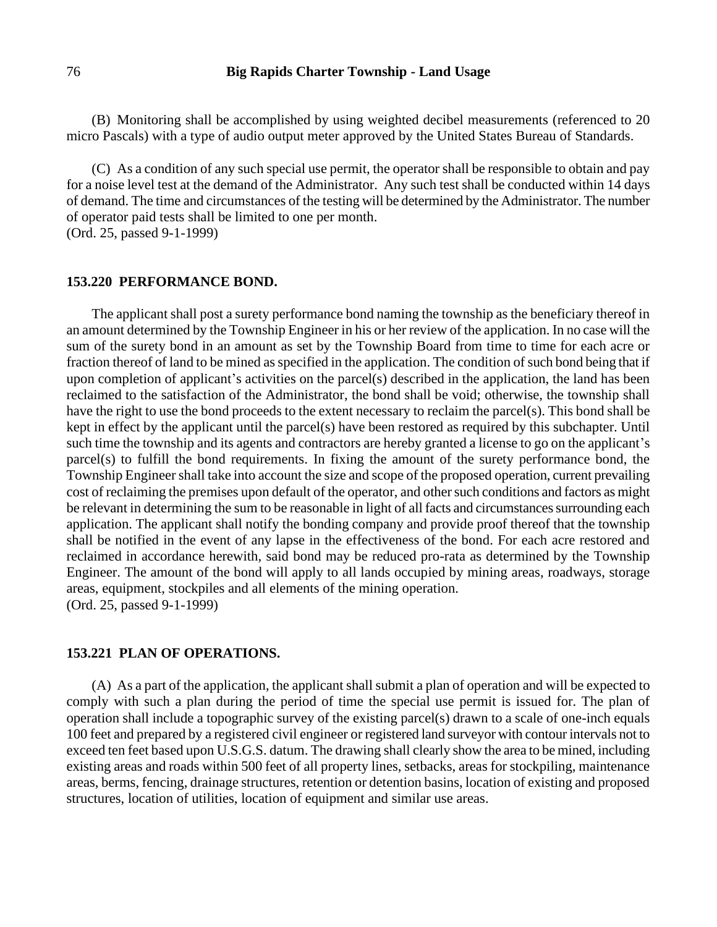(B) Monitoring shall be accomplished by using weighted decibel measurements (referenced to 20 micro Pascals) with a type of audio output meter approved by the United States Bureau of Standards.

(C) As a condition of any such special use permit, the operator shall be responsible to obtain and pay for a noise level test at the demand of the Administrator. Any such test shall be conducted within 14 days of demand. The time and circumstances of the testing will be determined by the Administrator. The number of operator paid tests shall be limited to one per month.

(Ord. 25, passed 9-1-1999)

#### **153.220 PERFORMANCE BOND.**

The applicant shall post a surety performance bond naming the township as the beneficiary thereof in an amount determined by the Township Engineer in his or her review of the application. In no case will the sum of the surety bond in an amount as set by the Township Board from time to time for each acre or fraction thereof of land to be mined as specified in the application. The condition of such bond being that if upon completion of applicant's activities on the parcel(s) described in the application, the land has been reclaimed to the satisfaction of the Administrator, the bond shall be void; otherwise, the township shall have the right to use the bond proceeds to the extent necessary to reclaim the parcel(s). This bond shall be kept in effect by the applicant until the parcel(s) have been restored as required by this subchapter. Until such time the township and its agents and contractors are hereby granted a license to go on the applicant's parcel(s) to fulfill the bond requirements. In fixing the amount of the surety performance bond, the Township Engineer shall take into account the size and scope of the proposed operation, current prevailing cost of reclaiming the premises upon default of the operator, and other such conditions and factors as might be relevant in determining the sum to be reasonable in light of all facts and circumstances surrounding each application. The applicant shall notify the bonding company and provide proof thereof that the township shall be notified in the event of any lapse in the effectiveness of the bond. For each acre restored and reclaimed in accordance herewith, said bond may be reduced pro-rata as determined by the Township Engineer. The amount of the bond will apply to all lands occupied by mining areas, roadways, storage areas, equipment, stockpiles and all elements of the mining operation. (Ord. 25, passed 9-1-1999)

#### **153.221 PLAN OF OPERATIONS.**

(A) As a part of the application, the applicant shall submit a plan of operation and will be expected to comply with such a plan during the period of time the special use permit is issued for. The plan of operation shall include a topographic survey of the existing parcel(s) drawn to a scale of one-inch equals 100 feet and prepared by a registered civil engineer or registered land surveyor with contour intervals not to exceed ten feet based upon U.S.G.S. datum. The drawing shall clearly show the area to be mined, including existing areas and roads within 500 feet of all property lines, setbacks, areas for stockpiling, maintenance areas, berms, fencing, drainage structures, retention or detention basins, location of existing and proposed structures, location of utilities, location of equipment and similar use areas.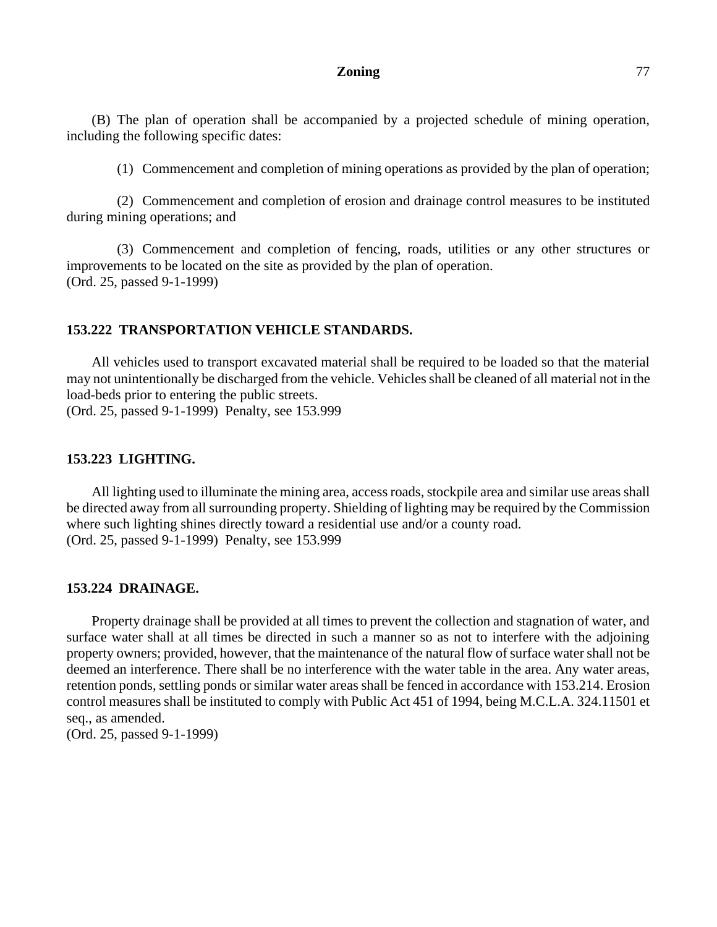(B) The plan of operation shall be accompanied by a projected schedule of mining operation, including the following specific dates:

(1) Commencement and completion of mining operations as provided by the plan of operation;

(2) Commencement and completion of erosion and drainage control measures to be instituted during mining operations; and

(3) Commencement and completion of fencing, roads, utilities or any other structures or improvements to be located on the site as provided by the plan of operation. (Ord. 25, passed 9-1-1999)

# **153.222 TRANSPORTATION VEHICLE STANDARDS.**

All vehicles used to transport excavated material shall be required to be loaded so that the material may not unintentionally be discharged from the vehicle. Vehicles shall be cleaned of all material not in the load-beds prior to entering the public streets.

(Ord. 25, passed 9-1-1999) Penalty, see 153.999

### **153.223 LIGHTING.**

All lighting used to illuminate the mining area, access roads, stockpile area and similar use areas shall be directed away from all surrounding property. Shielding of lighting may be required by the Commission where such lighting shines directly toward a residential use and/or a county road. (Ord. 25, passed 9-1-1999) Penalty, see 153.999

#### **153.224 DRAINAGE.**

Property drainage shall be provided at all times to prevent the collection and stagnation of water, and surface water shall at all times be directed in such a manner so as not to interfere with the adjoining property owners; provided, however, that the maintenance of the natural flow of surface water shall not be deemed an interference. There shall be no interference with the water table in the area. Any water areas, retention ponds, settling ponds or similar water areas shall be fenced in accordance with 153.214. Erosion control measures shall be instituted to comply with Public Act 451 of 1994, being M.C.L.A. 324.11501 et seq., as amended.

(Ord. 25, passed 9-1-1999)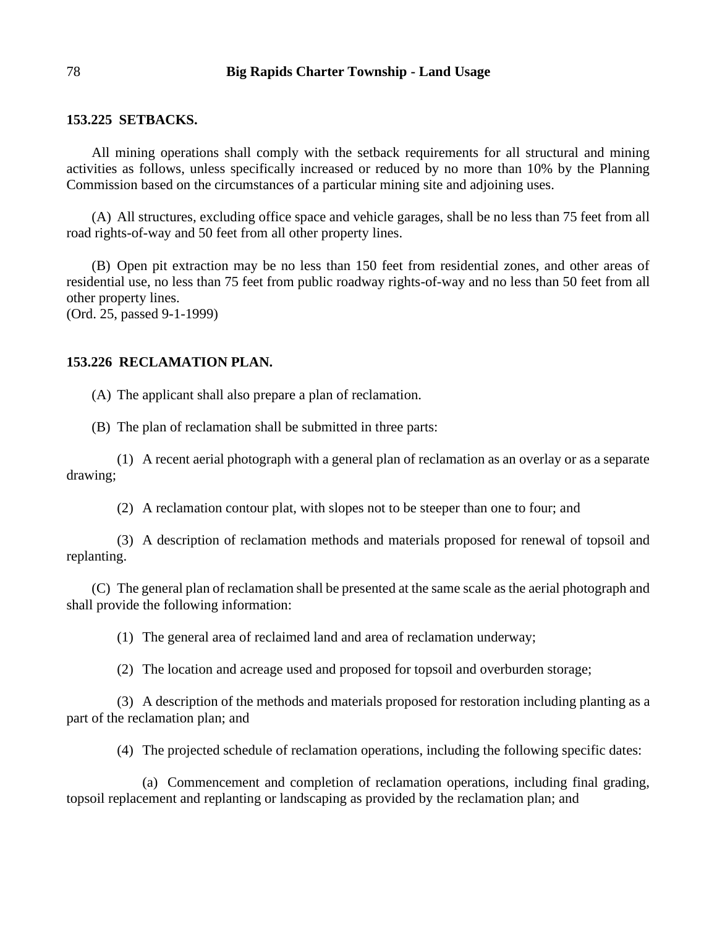#### **153.225 SETBACKS.**

All mining operations shall comply with the setback requirements for all structural and mining activities as follows, unless specifically increased or reduced by no more than 10% by the Planning Commission based on the circumstances of a particular mining site and adjoining uses.

(A) All structures, excluding office space and vehicle garages, shall be no less than 75 feet from all road rights-of-way and 50 feet from all other property lines.

(B) Open pit extraction may be no less than 150 feet from residential zones, and other areas of residential use, no less than 75 feet from public roadway rights-of-way and no less than 50 feet from all other property lines.

(Ord. 25, passed 9-1-1999)

## **153.226 RECLAMATION PLAN.**

(A) The applicant shall also prepare a plan of reclamation.

(B) The plan of reclamation shall be submitted in three parts:

(1) A recent aerial photograph with a general plan of reclamation as an overlay or as a separate drawing;

(2) A reclamation contour plat, with slopes not to be steeper than one to four; and

(3) A description of reclamation methods and materials proposed for renewal of topsoil and replanting.

(C) The general plan of reclamation shall be presented at the same scale as the aerial photograph and shall provide the following information:

(1) The general area of reclaimed land and area of reclamation underway;

(2) The location and acreage used and proposed for topsoil and overburden storage;

(3) A description of the methods and materials proposed for restoration including planting as a part of the reclamation plan; and

(4) The projected schedule of reclamation operations, including the following specific dates:

(a) Commencement and completion of reclamation operations, including final grading, topsoil replacement and replanting or landscaping as provided by the reclamation plan; and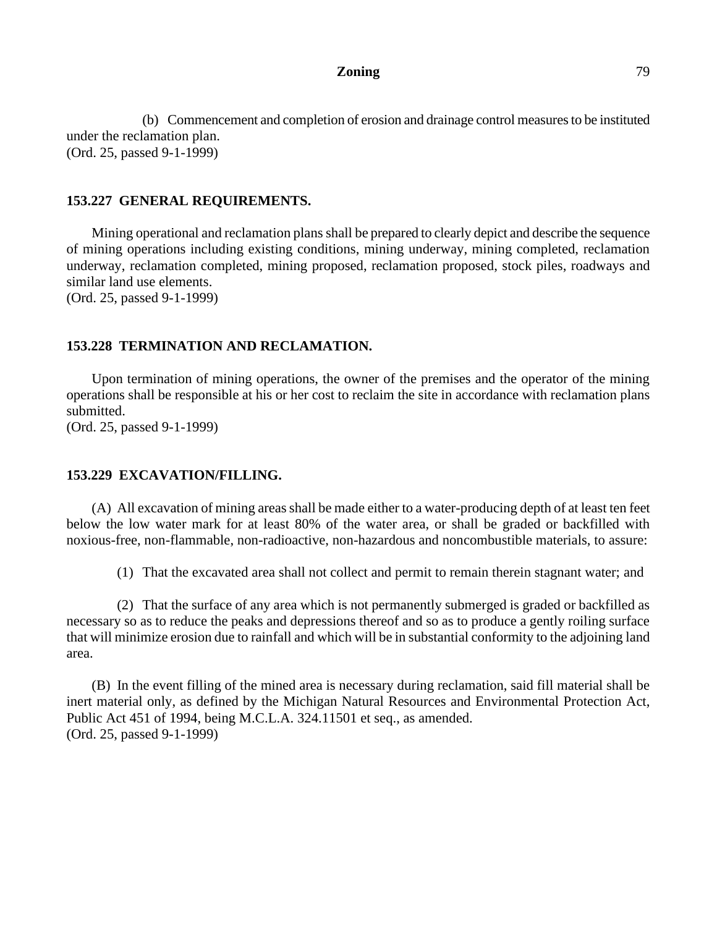(b) Commencement and completion of erosion and drainage control measures to be instituted under the reclamation plan. (Ord. 25, passed 9-1-1999)

#### **153.227 GENERAL REQUIREMENTS.**

Mining operational and reclamation plans shall be prepared to clearly depict and describe the sequence of mining operations including existing conditions, mining underway, mining completed, reclamation underway, reclamation completed, mining proposed, reclamation proposed, stock piles, roadways and similar land use elements.

(Ord. 25, passed 9-1-1999)

## **153.228 TERMINATION AND RECLAMATION.**

Upon termination of mining operations, the owner of the premises and the operator of the mining operations shall be responsible at his or her cost to reclaim the site in accordance with reclamation plans submitted.

(Ord. 25, passed 9-1-1999)

### **153.229 EXCAVATION/FILLING.**

(A) All excavation of mining areas shall be made either to a water-producing depth of at least ten feet below the low water mark for at least 80% of the water area, or shall be graded or backfilled with noxious-free, non-flammable, non-radioactive, non-hazardous and noncombustible materials, to assure:

(1) That the excavated area shall not collect and permit to remain therein stagnant water; and

(2) That the surface of any area which is not permanently submerged is graded or backfilled as necessary so as to reduce the peaks and depressions thereof and so as to produce a gently roiling surface that will minimize erosion due to rainfall and which will be in substantial conformity to the adjoining land area.

(B) In the event filling of the mined area is necessary during reclamation, said fill material shall be inert material only, as defined by the Michigan Natural Resources and Environmental Protection Act, Public Act 451 of 1994, being M.C.L.A. 324.11501 et seq., as amended. (Ord. 25, passed 9-1-1999)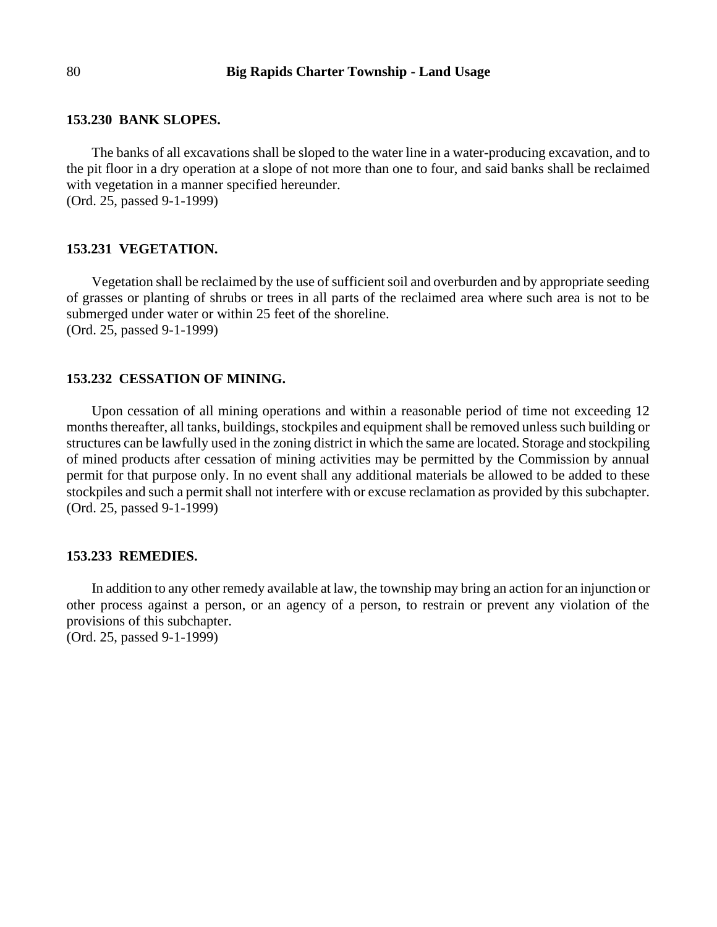#### **153.230 BANK SLOPES.**

The banks of all excavations shall be sloped to the water line in a water-producing excavation, and to the pit floor in a dry operation at a slope of not more than one to four, and said banks shall be reclaimed with vegetation in a manner specified hereunder.

(Ord. 25, passed 9-1-1999)

#### **153.231 VEGETATION.**

Vegetation shall be reclaimed by the use of sufficient soil and overburden and by appropriate seeding of grasses or planting of shrubs or trees in all parts of the reclaimed area where such area is not to be submerged under water or within 25 feet of the shoreline. (Ord. 25, passed 9-1-1999)

## **153.232 CESSATION OF MINING.**

Upon cessation of all mining operations and within a reasonable period of time not exceeding 12 months thereafter, all tanks, buildings, stockpiles and equipment shall be removed unless such building or structures can be lawfully used in the zoning district in which the same are located. Storage and stockpiling of mined products after cessation of mining activities may be permitted by the Commission by annual permit for that purpose only. In no event shall any additional materials be allowed to be added to these stockpiles and such a permit shall not interfere with or excuse reclamation as provided by this subchapter. (Ord. 25, passed 9-1-1999)

#### **153.233 REMEDIES.**

In addition to any other remedy available at law, the township may bring an action for an injunction or other process against a person, or an agency of a person, to restrain or prevent any violation of the provisions of this subchapter. (Ord. 25, passed 9-1-1999)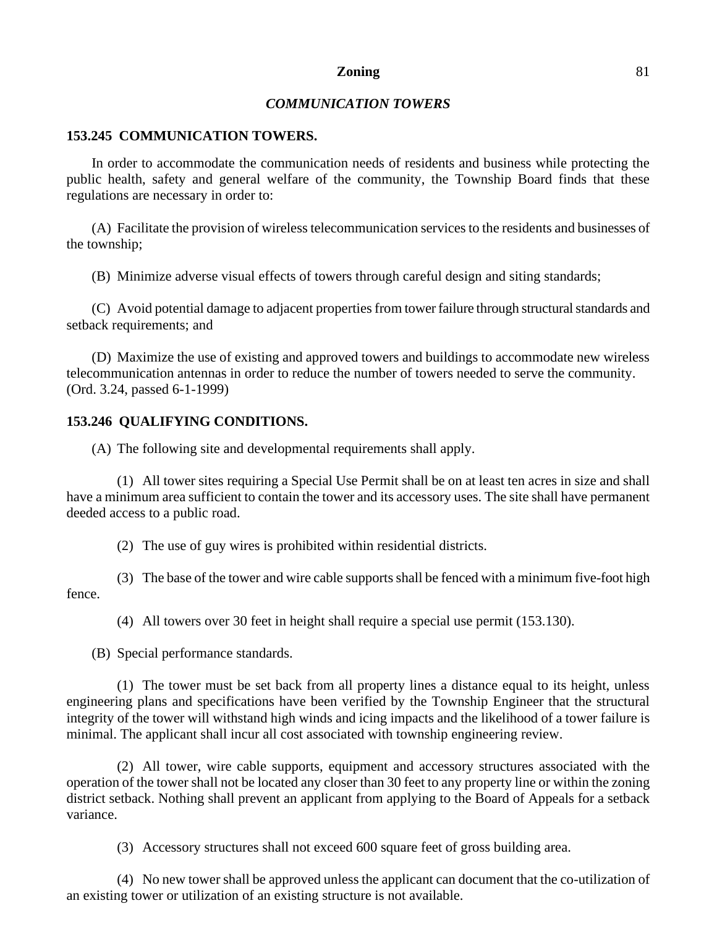# *COMMUNICATION TOWERS*

#### **153.245 COMMUNICATION TOWERS.**

In order to accommodate the communication needs of residents and business while protecting the public health, safety and general welfare of the community, the Township Board finds that these regulations are necessary in order to:

(A) Facilitate the provision of wireless telecommunication services to the residents and businesses of the township;

(B) Minimize adverse visual effects of towers through careful design and siting standards;

(C) Avoid potential damage to adjacent properties from tower failure through structural standards and setback requirements; and

(D) Maximize the use of existing and approved towers and buildings to accommodate new wireless telecommunication antennas in order to reduce the number of towers needed to serve the community. (Ord. 3.24, passed 6-1-1999)

#### **153.246 QUALIFYING CONDITIONS.**

(A) The following site and developmental requirements shall apply.

(1) All tower sites requiring a Special Use Permit shall be on at least ten acres in size and shall have a minimum area sufficient to contain the tower and its accessory uses. The site shall have permanent deeded access to a public road.

(2) The use of guy wires is prohibited within residential districts.

(3) The base of the tower and wire cable supports shall be fenced with a minimum five-foot high fence.

(4) All towers over 30 feet in height shall require a special use permit (153.130).

(B) Special performance standards.

(1) The tower must be set back from all property lines a distance equal to its height, unless engineering plans and specifications have been verified by the Township Engineer that the structural integrity of the tower will withstand high winds and icing impacts and the likelihood of a tower failure is minimal. The applicant shall incur all cost associated with township engineering review.

(2) All tower, wire cable supports, equipment and accessory structures associated with the operation of the tower shall not be located any closer than 30 feet to any property line or within the zoning district setback. Nothing shall prevent an applicant from applying to the Board of Appeals for a setback variance.

(3) Accessory structures shall not exceed 600 square feet of gross building area.

(4) No new tower shall be approved unless the applicant can document that the co-utilization of an existing tower or utilization of an existing structure is not available.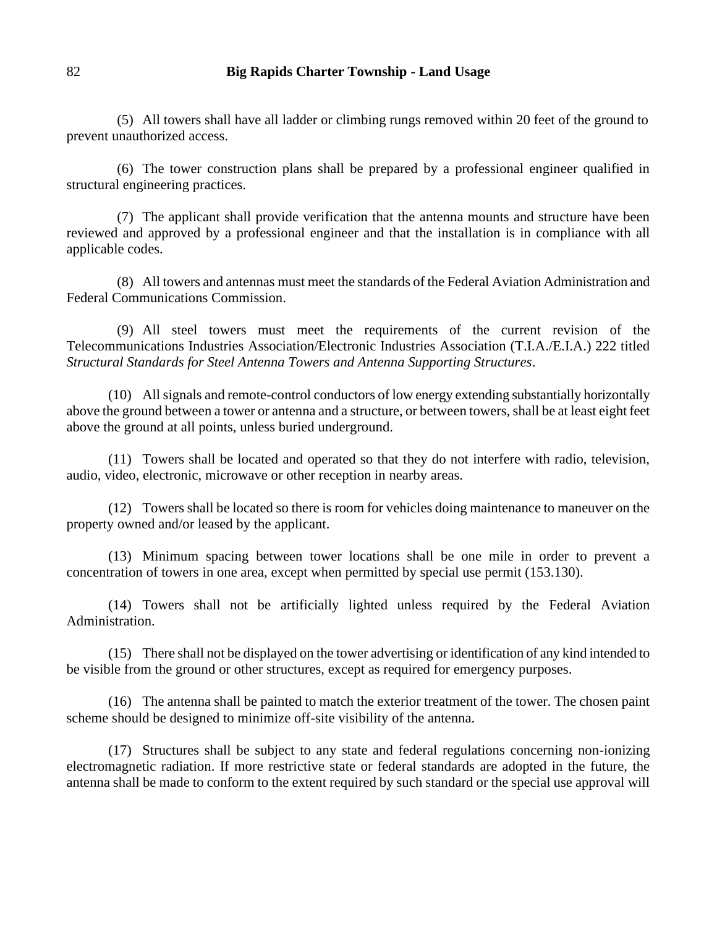(5) All towers shall have all ladder or climbing rungs removed within 20 feet of the ground to prevent unauthorized access.

(6) The tower construction plans shall be prepared by a professional engineer qualified in structural engineering practices.

(7) The applicant shall provide verification that the antenna mounts and structure have been reviewed and approved by a professional engineer and that the installation is in compliance with all applicable codes.

(8) All towers and antennas must meet the standards of the Federal Aviation Administration and Federal Communications Commission.

(9) All steel towers must meet the requirements of the current revision of the Telecommunications Industries Association/Electronic Industries Association (T.I.A./E.I.A.) 222 titled *Structural Standards for Steel Antenna Towers and Antenna Supporting Structures*.

(10) All signals and remote-control conductors of low energy extending substantially horizontally above the ground between a tower or antenna and a structure, or between towers, shall be at least eight feet above the ground at all points, unless buried underground.

(11) Towers shall be located and operated so that they do not interfere with radio, television, audio, video, electronic, microwave or other reception in nearby areas.

(12) Towers shall be located so there is room for vehicles doing maintenance to maneuver on the property owned and/or leased by the applicant.

(13) Minimum spacing between tower locations shall be one mile in order to prevent a concentration of towers in one area, except when permitted by special use permit (153.130).

(14) Towers shall not be artificially lighted unless required by the Federal Aviation Administration.

(15) There shall not be displayed on the tower advertising or identification of any kind intended to be visible from the ground or other structures, except as required for emergency purposes.

(16) The antenna shall be painted to match the exterior treatment of the tower. The chosen paint scheme should be designed to minimize off-site visibility of the antenna.

(17) Structures shall be subject to any state and federal regulations concerning non-ionizing electromagnetic radiation. If more restrictive state or federal standards are adopted in the future, the antenna shall be made to conform to the extent required by such standard or the special use approval will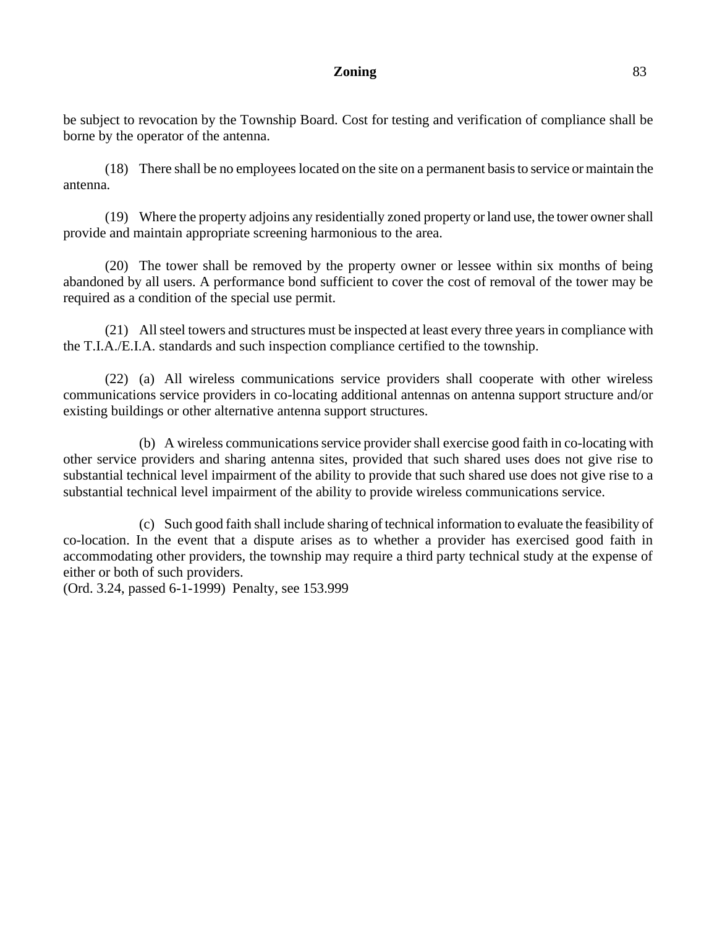be subject to revocation by the Township Board. Cost for testing and verification of compliance shall be borne by the operator of the antenna.

(18) There shall be no employees located on the site on a permanent basis to service or maintain the antenna.

(19) Where the property adjoins any residentially zoned property or land use, the tower owner shall provide and maintain appropriate screening harmonious to the area.

(20) The tower shall be removed by the property owner or lessee within six months of being abandoned by all users. A performance bond sufficient to cover the cost of removal of the tower may be required as a condition of the special use permit.

(21) All steel towers and structures must be inspected at least every three years in compliance with the T.I.A./E.I.A. standards and such inspection compliance certified to the township.

(22) (a) All wireless communications service providers shall cooperate with other wireless communications service providers in co-locating additional antennas on antenna support structure and/or existing buildings or other alternative antenna support structures.

(b) A wireless communications service provider shall exercise good faith in co-locating with other service providers and sharing antenna sites, provided that such shared uses does not give rise to substantial technical level impairment of the ability to provide that such shared use does not give rise to a substantial technical level impairment of the ability to provide wireless communications service.

(c) Such good faith shall include sharing of technical information to evaluate the feasibility of co-location. In the event that a dispute arises as to whether a provider has exercised good faith in accommodating other providers, the township may require a third party technical study at the expense of either or both of such providers.

(Ord. 3.24, passed 6-1-1999) Penalty, see 153.999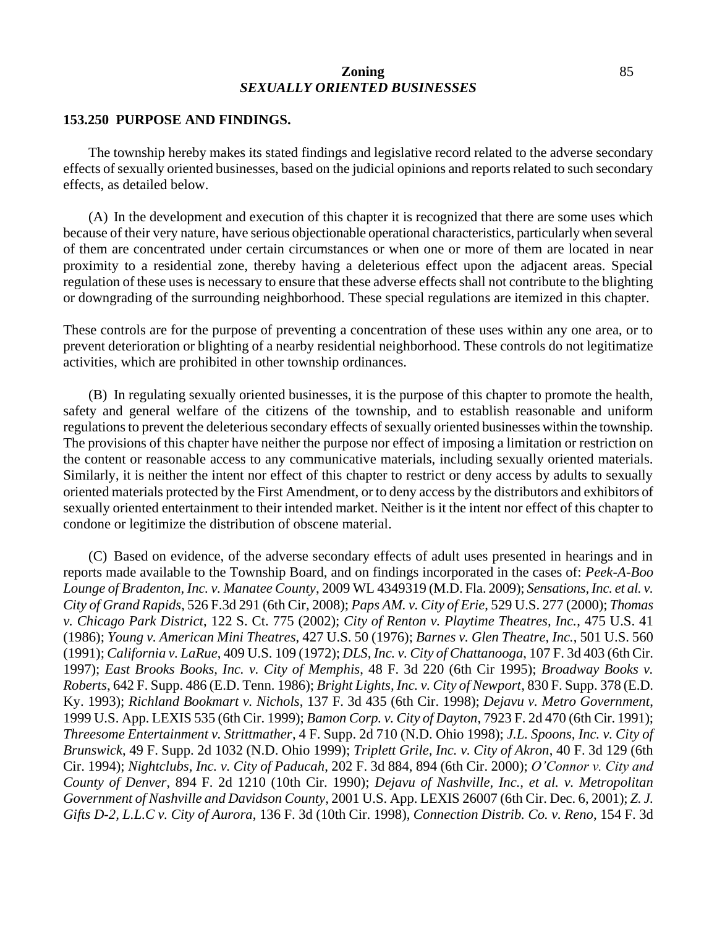### **Zoning** 85 *SEXUALLY ORIENTED BUSINESSES*

#### **153.250 PURPOSE AND FINDINGS.**

The township hereby makes its stated findings and legislative record related to the adverse secondary effects of sexually oriented businesses, based on the judicial opinions and reports related to such secondary effects, as detailed below.

(A) In the development and execution of this chapter it is recognized that there are some uses which because of their very nature, have serious objectionable operational characteristics, particularly when several of them are concentrated under certain circumstances or when one or more of them are located in near proximity to a residential zone, thereby having a deleterious effect upon the adjacent areas. Special regulation of these uses is necessary to ensure that these adverse effects shall not contribute to the blighting or downgrading of the surrounding neighborhood. These special regulations are itemized in this chapter.

These controls are for the purpose of preventing a concentration of these uses within any one area, or to prevent deterioration or blighting of a nearby residential neighborhood. These controls do not legitimatize activities, which are prohibited in other township ordinances.

(B) In regulating sexually oriented businesses, it is the purpose of this chapter to promote the health, safety and general welfare of the citizens of the township, and to establish reasonable and uniform regulations to prevent the deleterious secondary effects of sexually oriented businesses within the township. The provisions of this chapter have neither the purpose nor effect of imposing a limitation or restriction on the content or reasonable access to any communicative materials, including sexually oriented materials. Similarly, it is neither the intent nor effect of this chapter to restrict or deny access by adults to sexually oriented materials protected by the First Amendment, or to deny access by the distributors and exhibitors of sexually oriented entertainment to their intended market. Neither is it the intent nor effect of this chapter to condone or legitimize the distribution of obscene material.

(C) Based on evidence, of the adverse secondary effects of adult uses presented in hearings and in reports made available to the Township Board, and on findings incorporated in the cases of: *Peek-A-Boo Lounge of Bradenton, Inc. v. Manatee County*, 2009 WL 4349319 (M.D. Fla. 2009); *Sensations, Inc. et al. v. City of Grand Rapids*, 526 F.3d 291 (6th Cir, 2008); *Paps AM. v. City of Erie*, 529 U.S. 277 (2000); *Thomas v. Chicago Park District*, 122 S. Ct. 775 (2002); *City of Renton v. Playtime Theatres, Inc.*, 475 U.S. 41 (1986); *Young v. American Mini Theatres*, 427 U.S. 50 (1976); *Barnes v. Glen Theatre, Inc.*, 501 U.S. 560 (1991); *California v. LaRue*, 409 U.S. 109 (1972); *DLS, Inc. v. City of Chattanooga*, 107 F. 3d 403 (6th Cir. 1997); *East Brooks Books, Inc. v. City of Memphis*, 48 F. 3d 220 (6th Cir 1995); *Broadway Books v. Roberts*, 642 F. Supp. 486 (E.D. Tenn. 1986); *Bright Lights, Inc. v. City of Newport*, 830 F. Supp. 378 (E.D. Ky. 1993); *Richland Bookmart v. Nichols*, 137 F. 3d 435 (6th Cir. 1998); *Dejavu v. Metro Government*, 1999 U.S. App. LEXIS 535 (6th Cir. 1999); *Bamon Corp. v. City of Dayton*, 7923 F. 2d 470 (6th Cir. 1991); *Threesome Entertainment v. Strittmather*, 4 F. Supp. 2d 710 (N.D. Ohio 1998); *J.L. Spoons, Inc. v. City of Brunswick*, 49 F. Supp. 2d 1032 (N.D. Ohio 1999); *Triplett Grile, Inc. v. City of Akron*, 40 F. 3d 129 (6th Cir. 1994); *Nightclubs, Inc. v. City of Paducah*, 202 F. 3d 884, 894 (6th Cir. 2000); *O'Connor v. City and County of Denver*, 894 F. 2d 1210 (10th Cir. 1990); *Dejavu of Nashville, Inc., et al. v. Metropolitan Government of Nashville and Davidson County*, 2001 U.S. App. LEXIS 26007 (6th Cir. Dec. 6, 2001); *Z. J. Gifts D-2, L.L.C v. City of Aurora*, 136 F. 3d (10th Cir. 1998), *Connection Distrib. Co. v. Reno*, 154 F. 3d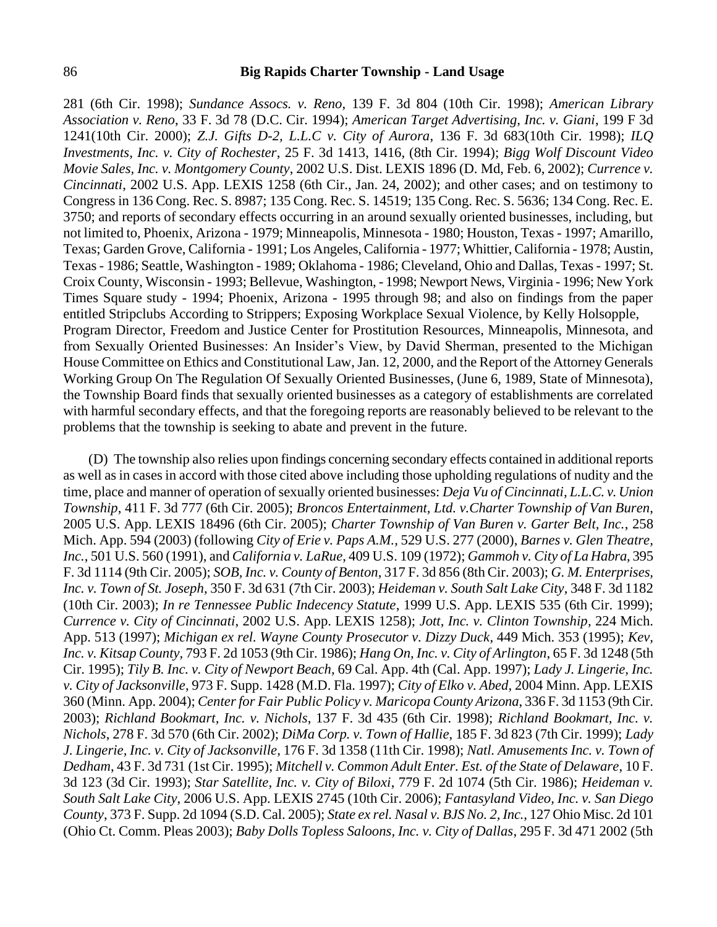281 (6th Cir. 1998); *Sundance Assocs. v. Reno*, 139 F. 3d 804 (10th Cir. 1998); *American Library Association v. Reno*, 33 F. 3d 78 (D.C. Cir. 1994); *American Target Advertising, Inc. v. Giani*, 199 F 3d 1241(10th Cir. 2000); *Z.J. Gifts D-2, L.L.C v. City of Aurora*, 136 F. 3d 683(10th Cir. 1998); *ILQ Investments, Inc. v. City of Rochester*, 25 F. 3d 1413, 1416, (8th Cir. 1994); *Bigg Wolf Discount Video Movie Sales, Inc. v. Montgomery County*, 2002 U.S. Dist. LEXIS 1896 (D. Md, Feb. 6, 2002); *Currence v. Cincinnati*, 2002 U.S. App. LEXIS 1258 (6th Cir., Jan. 24, 2002); and other cases; and on testimony to Congress in 136 Cong. Rec. S. 8987; 135 Cong. Rec. S. 14519; 135 Cong. Rec. S. 5636; 134 Cong. Rec. E. 3750; and reports of secondary effects occurring in an around sexually oriented businesses, including, but not limited to, Phoenix, Arizona - 1979; Minneapolis, Minnesota - 1980; Houston, Texas - 1997; Amarillo, Texas; Garden Grove, California - 1991; Los Angeles, California - 1977; Whittier, California - 1978; Austin, Texas - 1986; Seattle, Washington - 1989; Oklahoma - 1986; Cleveland, Ohio and Dallas, Texas - 1997; St. Croix County, Wisconsin - 1993; Bellevue, Washington, - 1998; Newport News, Virginia - 1996; New York Times Square study - 1994; Phoenix, Arizona - 1995 through 98; and also on findings from the paper entitled Stripclubs According to Strippers; Exposing Workplace Sexual Violence, by Kelly Holsopple, Program Director, Freedom and Justice Center for Prostitution Resources, Minneapolis, Minnesota, and from Sexually Oriented Businesses: An Insider's View, by David Sherman, presented to the Michigan House Committee on Ethics and Constitutional Law, Jan. 12, 2000, and the Report of the Attorney Generals Working Group On The Regulation Of Sexually Oriented Businesses, (June 6, 1989, State of Minnesota), the Township Board finds that sexually oriented businesses as a category of establishments are correlated with harmful secondary effects, and that the foregoing reports are reasonably believed to be relevant to the problems that the township is seeking to abate and prevent in the future.

(D) The township also relies upon findings concerning secondary effects contained in additional reports as well as in cases in accord with those cited above including those upholding regulations of nudity and the time, place and manner of operation of sexually oriented businesses: *Deja Vu of Cincinnati, L.L.C. v. Union Township*, 411 F. 3d 777 (6th Cir. 2005); *Broncos Entertainment, Ltd. v.Charter Township of Van Buren*, 2005 U.S. App. LEXIS 18496 (6th Cir. 2005); *Charter Township of Van Buren v. Garter Belt, Inc.*, 258 Mich. App. 594 (2003) (following *City of Erie v. Paps A.M.*, 529 U.S. 277 (2000), *Barnes v. Glen Theatre, Inc.*, 501 U.S. 560 (1991), and *California v. LaRue*, 409 U.S. 109 (1972); *Gammoh v. City of La Habra*, 395 F. 3d 1114 (9th Cir. 2005); *SOB, Inc. v. County of Benton*, 317 F. 3d 856 (8th Cir. 2003); *G. M. Enterprises, Inc. v. Town of St. Joseph*, 350 F. 3d 631 (7th Cir. 2003); *Heideman v. South Salt Lake City*, 348 F. 3d 1182 (10th Cir. 2003); *In re Tennessee Public Indecency Statute*, 1999 U.S. App. LEXIS 535 (6th Cir. 1999); *Currence v. City of Cincinnati*, 2002 U.S. App. LEXIS 1258); *Jott, Inc. v. Clinton Township*, 224 Mich. App. 513 (1997); *Michigan ex rel. Wayne County Prosecutor v. Dizzy Duck*, 449 Mich. 353 (1995); *Kev, Inc. v. Kitsap County*, 793 F. 2d 1053 (9th Cir. 1986); *Hang On, Inc. v. City of Arlington*, 65 F. 3d 1248 (5th Cir. 1995); *Tily B. Inc. v. City of Newport Beach*, 69 Cal. App. 4th (Cal. App. 1997); *Lady J. Lingerie, Inc. v. City of Jacksonville*, 973 F. Supp. 1428 (M.D. Fla. 1997); *City of Elko v. Abed*, 2004 Minn. App. LEXIS 360 (Minn. App. 2004); *Center for Fair Public Policy v. Maricopa County Arizona*, 336 F. 3d 1153 (9th Cir. 2003); *Richland Bookmart, Inc. v. Nichols*, 137 F. 3d 435 (6th Cir. 1998); *Richland Bookmart, Inc. v. Nichols*, 278 F. 3d 570 (6th Cir. 2002); *DiMa Corp. v. Town of Hallie*, 185 F. 3d 823 (7th Cir. 1999); *Lady J. Lingerie, Inc. v. City of Jacksonville*, 176 F. 3d 1358 (11th Cir. 1998); *Natl. Amusements Inc. v. Town of Dedham*, 43 F. 3d 731 (1st Cir. 1995); *Mitchell v. Common Adult Enter. Est. of the State of Delaware*, 10 F. 3d 123 (3d Cir. 1993); *Star Satellite, Inc. v. City of Biloxi*, 779 F. 2d 1074 (5th Cir. 1986); *Heideman v. South Salt Lake City*, 2006 U.S. App. LEXIS 2745 (10th Cir. 2006); *Fantasyland Video, Inc. v. San Diego County*, 373 F. Supp. 2d 1094 (S.D. Cal. 2005); *State ex rel. Nasal v. BJS No. 2, Inc.*, 127 Ohio Misc. 2d 101 (Ohio Ct. Comm. Pleas 2003); *Baby Dolls Topless Saloons, Inc. v. City of Dallas*, 295 F. 3d 471 2002 (5th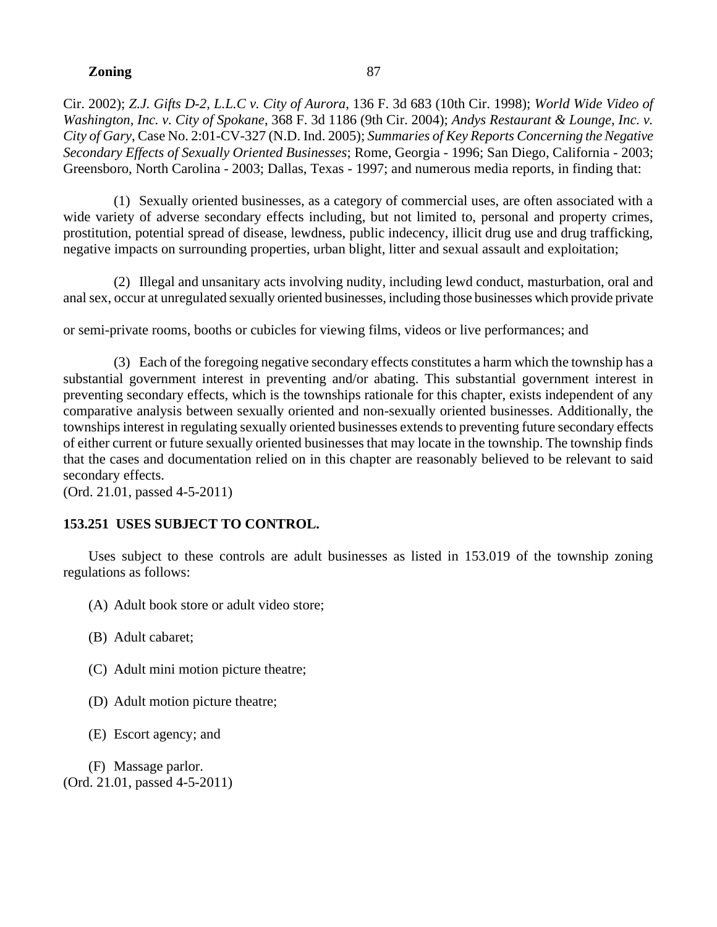Cir. 2002); *Z.J. Gifts D-2, L.L.C v. City of Aurora*, 136 F. 3d 683 (10th Cir. 1998); *World Wide Video of Washington, Inc. v. City of Spokane*, 368 F. 3d 1186 (9th Cir. 2004); *Andys Restaurant & Lounge, Inc. v. City of Gary*, Case No. 2:01-CV-327 (N.D. Ind. 2005); *Summaries of Key Reports Concerning the Negative Secondary Effects of Sexually Oriented Businesses*; Rome, Georgia - 1996; San Diego, California - 2003; Greensboro, North Carolina - 2003; Dallas, Texas - 1997; and numerous media reports, in finding that:

(1) Sexually oriented businesses, as a category of commercial uses, are often associated with a wide variety of adverse secondary effects including, but not limited to, personal and property crimes, prostitution, potential spread of disease, lewdness, public indecency, illicit drug use and drug trafficking, negative impacts on surrounding properties, urban blight, litter and sexual assault and exploitation;

(2) Illegal and unsanitary acts involving nudity, including lewd conduct, masturbation, oral and anal sex, occur at unregulated sexually oriented businesses, including those businesses which provide private

or semi-private rooms, booths or cubicles for viewing films, videos or live performances; and

(3) Each of the foregoing negative secondary effects constitutes a harm which the township has a substantial government interest in preventing and/or abating. This substantial government interest in preventing secondary effects, which is the townships rationale for this chapter, exists independent of any comparative analysis between sexually oriented and non-sexually oriented businesses. Additionally, the townships interest in regulating sexually oriented businesses extends to preventing future secondary effects of either current or future sexually oriented businesses that may locate in the township. The township finds that the cases and documentation relied on in this chapter are reasonably believed to be relevant to said secondary effects.

(Ord. 21.01, passed 4-5-2011)

# **153.251 USES SUBJECT TO CONTROL.**

Uses subject to these controls are adult businesses as listed in 153.019 of the township zoning regulations as follows:

- (A) Adult book store or adult video store;
- (B) Adult cabaret;
- (C) Adult mini motion picture theatre;
- (D) Adult motion picture theatre;
- (E) Escort agency; and

(F) Massage parlor. (Ord. 21.01, passed 4-5-2011)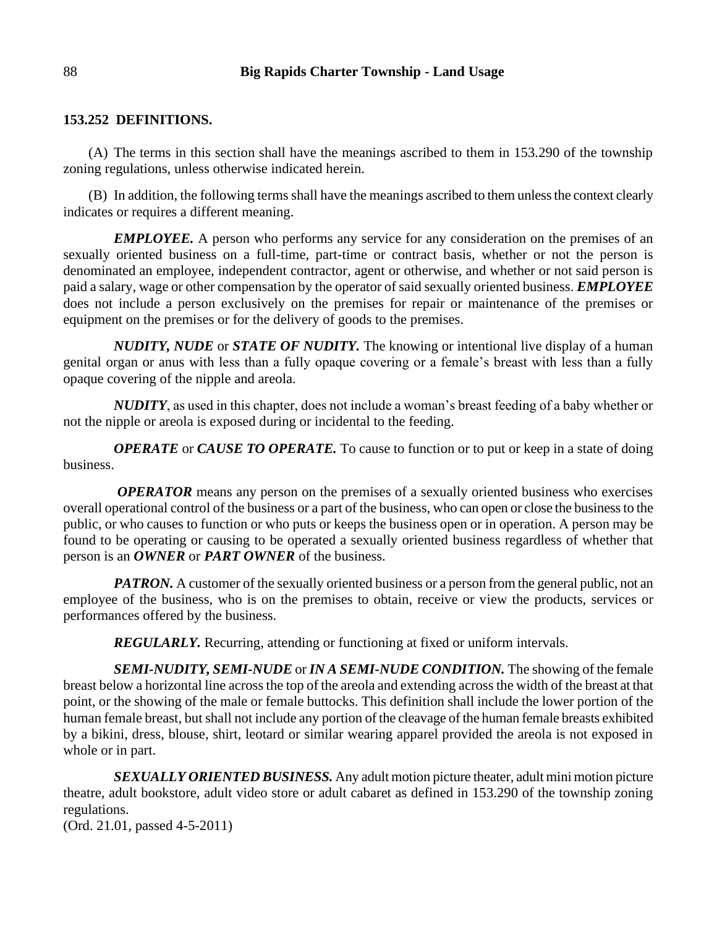## **153.252 DEFINITIONS.**

(A) The terms in this section shall have the meanings ascribed to them in 153.290 of the township zoning regulations, unless otherwise indicated herein.

(B) In addition, the following terms shall have the meanings ascribed to them unless the context clearly indicates or requires a different meaning.

*EMPLOYEE.* A person who performs any service for any consideration on the premises of an sexually oriented business on a full-time, part-time or contract basis, whether or not the person is denominated an employee, independent contractor, agent or otherwise, and whether or not said person is paid a salary, wage or other compensation by the operator of said sexually oriented business. *EMPLOYEE* does not include a person exclusively on the premises for repair or maintenance of the premises or equipment on the premises or for the delivery of goods to the premises.

*NUDITY, NUDE* or *STATE OF NUDITY.* The knowing or intentional live display of a human genital organ or anus with less than a fully opaque covering or a female's breast with less than a fully opaque covering of the nipple and areola.

*NUDITY*, as used in this chapter, does not include a woman's breast feeding of a baby whether or not the nipple or areola is exposed during or incidental to the feeding.

*OPERATE* or *CAUSE TO OPERATE.* To cause to function or to put or keep in a state of doing business.

*OPERATOR* means any person on the premises of a sexually oriented business who exercises overall operational control of the business or a part of the business, who can open or close the business to the public, or who causes to function or who puts or keeps the business open or in operation. A person may be found to be operating or causing to be operated a sexually oriented business regardless of whether that person is an *OWNER* or *PART OWNER* of the business.

*PATRON*. A customer of the sexually oriented business or a person from the general public, not an employee of the business, who is on the premises to obtain, receive or view the products, services or performances offered by the business.

*REGULARLY.* Recurring, attending or functioning at fixed or uniform intervals.

*SEMI-NUDITY, SEMI-NUDE* or *IN A SEMI-NUDE CONDITION.* The showing of the female breast below a horizontal line across the top of the areola and extending across the width of the breast at that point, or the showing of the male or female buttocks. This definition shall include the lower portion of the human female breast, but shall not include any portion of the cleavage of the human female breasts exhibited by a bikini, dress, blouse, shirt, leotard or similar wearing apparel provided the areola is not exposed in whole or in part.

*SEXUALLY ORIENTED BUSINESS.* Any adult motion picture theater, adult mini motion picture theatre, adult bookstore, adult video store or adult cabaret as defined in 153.290 of the township zoning regulations.

(Ord. 21.01, passed 4-5-2011)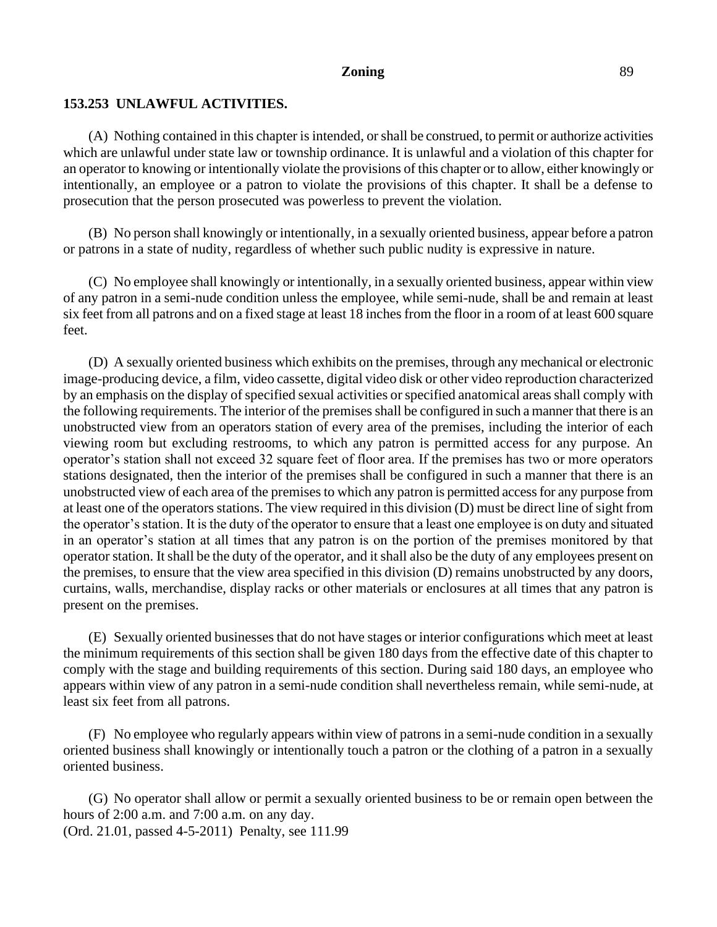# **153.253 UNLAWFUL ACTIVITIES.**

(A) Nothing contained in this chapter is intended, or shall be construed, to permit or authorize activities which are unlawful under state law or township ordinance. It is unlawful and a violation of this chapter for an operator to knowing or intentionally violate the provisions of this chapter or to allow, either knowingly or intentionally, an employee or a patron to violate the provisions of this chapter. It shall be a defense to prosecution that the person prosecuted was powerless to prevent the violation.

(B) No person shall knowingly or intentionally, in a sexually oriented business, appear before a patron or patrons in a state of nudity, regardless of whether such public nudity is expressive in nature.

(C) No employee shall knowingly or intentionally, in a sexually oriented business, appear within view of any patron in a semi-nude condition unless the employee, while semi-nude, shall be and remain at least six feet from all patrons and on a fixed stage at least 18 inches from the floor in a room of at least 600 square feet.

(D) A sexually oriented business which exhibits on the premises, through any mechanical or electronic image-producing device, a film, video cassette, digital video disk or other video reproduction characterized by an emphasis on the display of specified sexual activities or specified anatomical areas shall comply with the following requirements. The interior of the premises shall be configured in such a manner that there is an unobstructed view from an operators station of every area of the premises, including the interior of each viewing room but excluding restrooms, to which any patron is permitted access for any purpose. An operator's station shall not exceed 32 square feet of floor area. If the premises has two or more operators stations designated, then the interior of the premises shall be configured in such a manner that there is an unobstructed view of each area of the premises to which any patron is permitted access for any purpose from at least one of the operators stations. The view required in this division (D) must be direct line of sight from the operator's station. It is the duty of the operator to ensure that a least one employee is on duty and situated in an operator's station at all times that any patron is on the portion of the premises monitored by that operator station. It shall be the duty of the operator, and it shall also be the duty of any employees present on the premises, to ensure that the view area specified in this division (D) remains unobstructed by any doors, curtains, walls, merchandise, display racks or other materials or enclosures at all times that any patron is present on the premises.

(E) Sexually oriented businesses that do not have stages or interior configurations which meet at least the minimum requirements of this section shall be given 180 days from the effective date of this chapter to comply with the stage and building requirements of this section. During said 180 days, an employee who appears within view of any patron in a semi-nude condition shall nevertheless remain, while semi-nude, at least six feet from all patrons.

(F) No employee who regularly appears within view of patrons in a semi-nude condition in a sexually oriented business shall knowingly or intentionally touch a patron or the clothing of a patron in a sexually oriented business.

(G) No operator shall allow or permit a sexually oriented business to be or remain open between the hours of 2:00 a.m. and 7:00 a.m. on any day. (Ord. 21.01, passed 4-5-2011) Penalty, see 111.99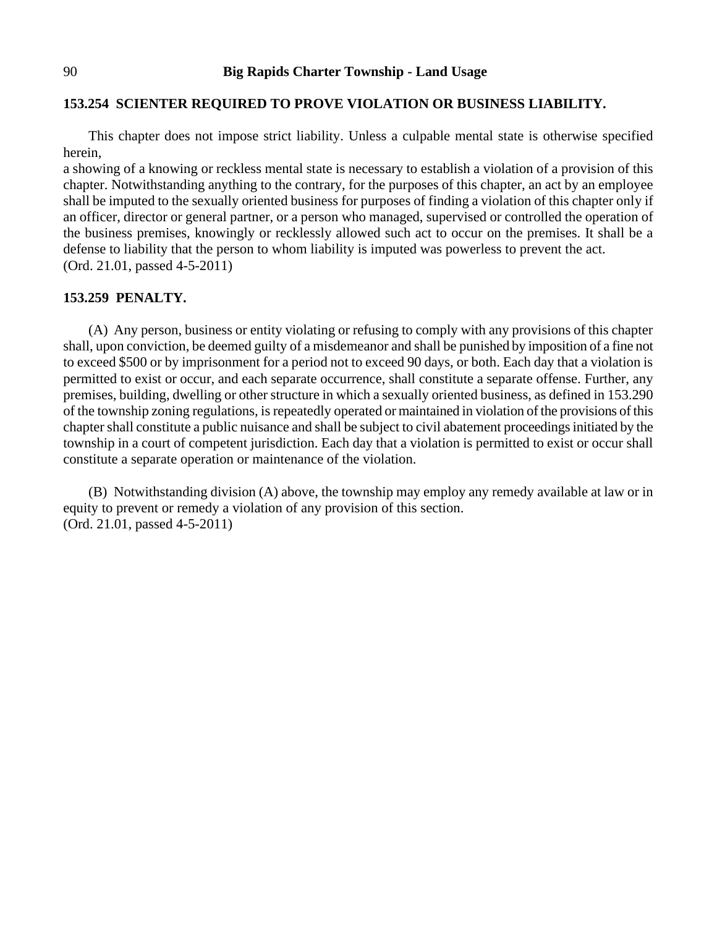## **153.254 SCIENTER REQUIRED TO PROVE VIOLATION OR BUSINESS LIABILITY.**

This chapter does not impose strict liability. Unless a culpable mental state is otherwise specified herein,

a showing of a knowing or reckless mental state is necessary to establish a violation of a provision of this chapter. Notwithstanding anything to the contrary, for the purposes of this chapter, an act by an employee shall be imputed to the sexually oriented business for purposes of finding a violation of this chapter only if an officer, director or general partner, or a person who managed, supervised or controlled the operation of the business premises, knowingly or recklessly allowed such act to occur on the premises. It shall be a defense to liability that the person to whom liability is imputed was powerless to prevent the act. (Ord. 21.01, passed 4-5-2011)

### **153.259 PENALTY.**

(A) Any person, business or entity violating or refusing to comply with any provisions of this chapter shall, upon conviction, be deemed guilty of a misdemeanor and shall be punished by imposition of a fine not to exceed \$500 or by imprisonment for a period not to exceed 90 days, or both. Each day that a violation is permitted to exist or occur, and each separate occurrence, shall constitute a separate offense. Further, any premises, building, dwelling or other structure in which a sexually oriented business, as defined in 153.290 of the township zoning regulations, is repeatedly operated or maintained in violation of the provisions of this chapter shall constitute a public nuisance and shall be subject to civil abatement proceedings initiated by the township in a court of competent jurisdiction. Each day that a violation is permitted to exist or occur shall constitute a separate operation or maintenance of the violation.

(B) Notwithstanding division (A) above, the township may employ any remedy available at law or in equity to prevent or remedy a violation of any provision of this section. (Ord. 21.01, passed 4-5-2011)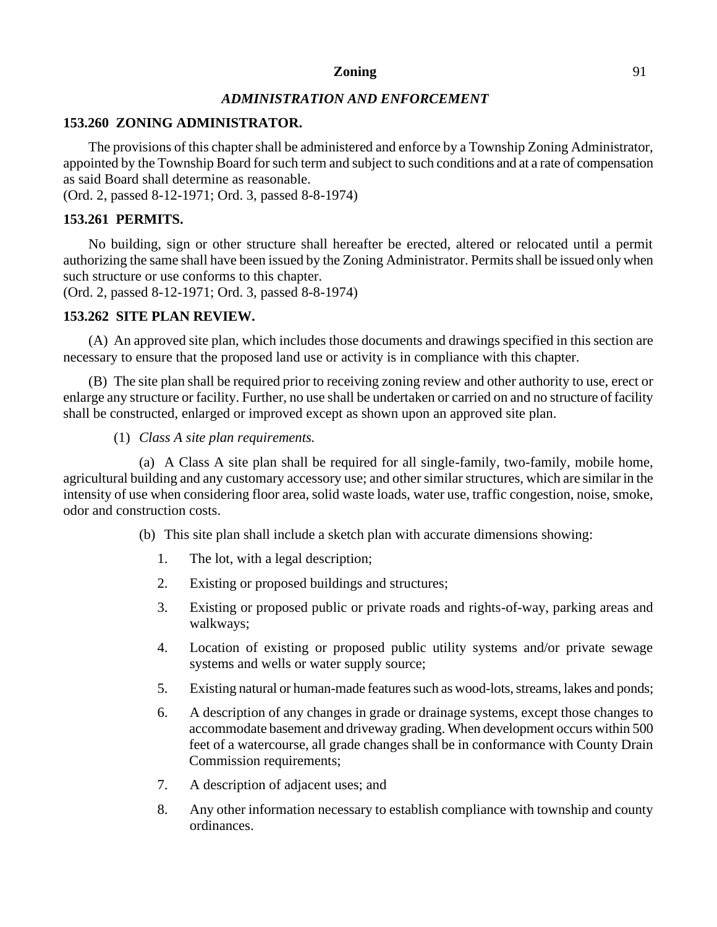# *ADMINISTRATION AND ENFORCEMENT*

# **153.260 ZONING ADMINISTRATOR.**

The provisions of this chapter shall be administered and enforce by a Township Zoning Administrator, appointed by the Township Board for such term and subject to such conditions and at a rate of compensation as said Board shall determine as reasonable.

(Ord. 2, passed 8-12-1971; Ord. 3, passed 8-8-1974)

# **153.261 PERMITS.**

No building, sign or other structure shall hereafter be erected, altered or relocated until a permit authorizing the same shall have been issued by the Zoning Administrator. Permits shall be issued only when such structure or use conforms to this chapter.

(Ord. 2, passed 8-12-1971; Ord. 3, passed 8-8-1974)

# **153.262 SITE PLAN REVIEW.**

(A) An approved site plan, which includes those documents and drawings specified in this section are necessary to ensure that the proposed land use or activity is in compliance with this chapter.

(B) The site plan shall be required prior to receiving zoning review and other authority to use, erect or enlarge any structure or facility. Further, no use shall be undertaken or carried on and no structure of facility shall be constructed, enlarged or improved except as shown upon an approved site plan.

# (1) *Class A site plan requirements.*

(a) A Class A site plan shall be required for all single-family, two-family, mobile home, agricultural building and any customary accessory use; and other similar structures, which are similar in the intensity of use when considering floor area, solid waste loads, water use, traffic congestion, noise, smoke, odor and construction costs.

- (b) This site plan shall include a sketch plan with accurate dimensions showing:
	- 1. The lot, with a legal description;
	- 2. Existing or proposed buildings and structures;
	- 3. Existing or proposed public or private roads and rights-of-way, parking areas and walkways;
	- 4. Location of existing or proposed public utility systems and/or private sewage systems and wells or water supply source;
	- 5. Existing natural or human-made features such as wood-lots, streams, lakes and ponds;
	- 6. A description of any changes in grade or drainage systems, except those changes to accommodate basement and driveway grading. When development occurs within 500 feet of a watercourse, all grade changes shall be in conformance with County Drain Commission requirements;
	- 7. A description of adjacent uses; and
	- 8. Any other information necessary to establish compliance with township and county ordinances.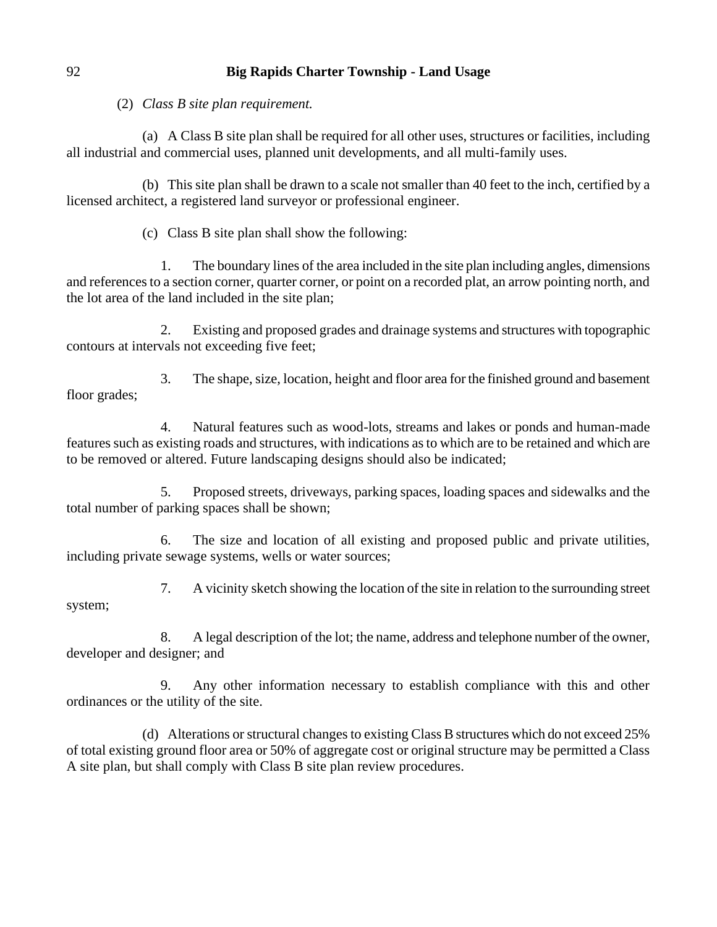(2) *Class B site plan requirement.*

(a) A Class B site plan shall be required for all other uses, structures or facilities, including all industrial and commercial uses, planned unit developments, and all multi-family uses.

(b) This site plan shall be drawn to a scale not smaller than 40 feet to the inch, certified by a licensed architect, a registered land surveyor or professional engineer.

(c) Class B site plan shall show the following:

1. The boundary lines of the area included in the site plan including angles, dimensions and references to a section corner, quarter corner, or point on a recorded plat, an arrow pointing north, and the lot area of the land included in the site plan;

2. Existing and proposed grades and drainage systems and structures with topographic contours at intervals not exceeding five feet;

3. The shape, size, location, height and floor area for the finished ground and basement floor grades;

4. Natural features such as wood-lots, streams and lakes or ponds and human-made features such as existing roads and structures, with indications as to which are to be retained and which are to be removed or altered. Future landscaping designs should also be indicated;

5. Proposed streets, driveways, parking spaces, loading spaces and sidewalks and the total number of parking spaces shall be shown;

6. The size and location of all existing and proposed public and private utilities, including private sewage systems, wells or water sources;

7. A vicinity sketch showing the location of the site in relation to the surrounding street system;

8. A legal description of the lot; the name, address and telephone number of the owner, developer and designer; and

9. Any other information necessary to establish compliance with this and other ordinances or the utility of the site.

(d) Alterations or structural changes to existing Class B structures which do not exceed 25% of total existing ground floor area or 50% of aggregate cost or original structure may be permitted a Class A site plan, but shall comply with Class B site plan review procedures.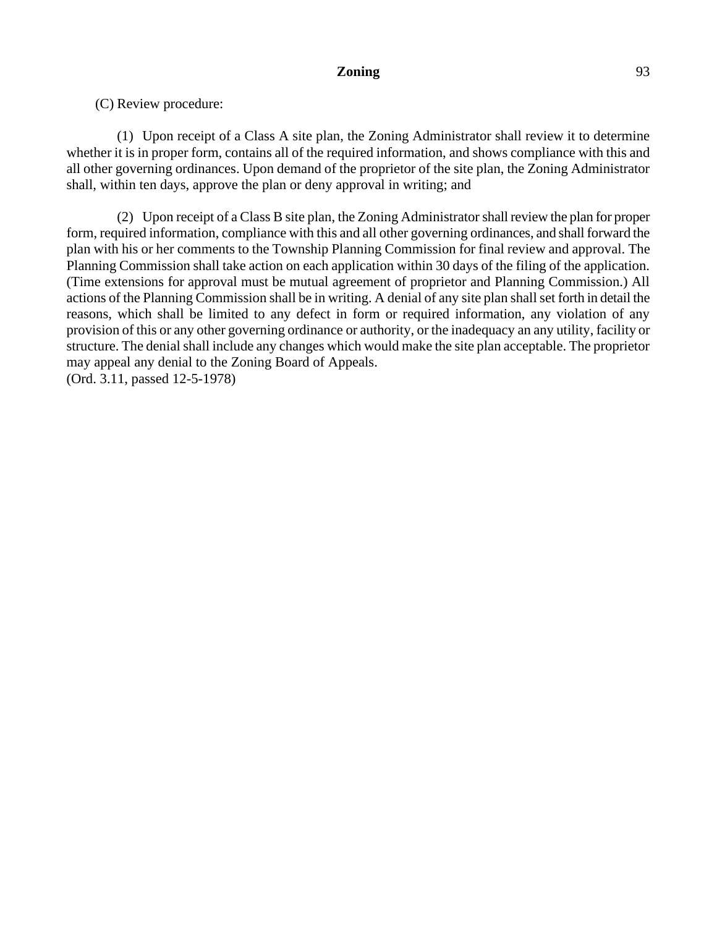(1) Upon receipt of a Class A site plan, the Zoning Administrator shall review it to determine whether it is in proper form, contains all of the required information, and shows compliance with this and all other governing ordinances. Upon demand of the proprietor of the site plan, the Zoning Administrator shall, within ten days, approve the plan or deny approval in writing; and

(2) Upon receipt of a Class B site plan, the Zoning Administrator shall review the plan for proper form, required information, compliance with this and all other governing ordinances, and shall forward the plan with his or her comments to the Township Planning Commission for final review and approval. The Planning Commission shall take action on each application within 30 days of the filing of the application. (Time extensions for approval must be mutual agreement of proprietor and Planning Commission.) All actions of the Planning Commission shall be in writing. A denial of any site plan shall set forth in detail the reasons, which shall be limited to any defect in form or required information, any violation of any provision of this or any other governing ordinance or authority, or the inadequacy an any utility, facility or structure. The denial shall include any changes which would make the site plan acceptable. The proprietor may appeal any denial to the Zoning Board of Appeals. (Ord. 3.11, passed 12-5-1978)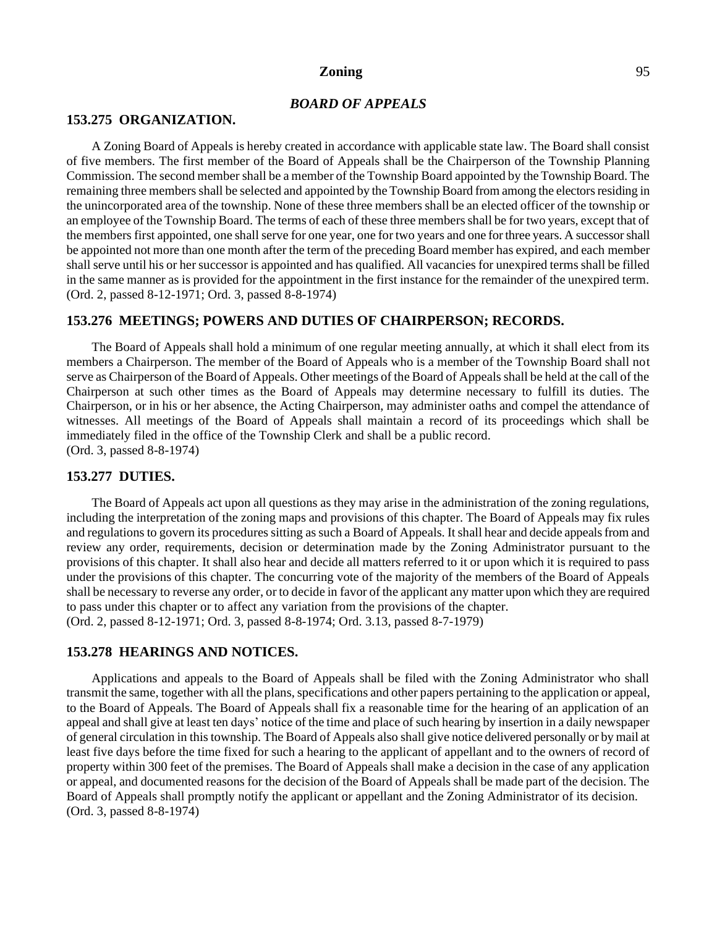## *BOARD OF APPEALS*

#### **153.275 ORGANIZATION.**

A Zoning Board of Appeals is hereby created in accordance with applicable state law. The Board shall consist of five members. The first member of the Board of Appeals shall be the Chairperson of the Township Planning Commission. The second member shall be a member of the Township Board appointed by the Township Board. The remaining three members shall be selected and appointed by the Township Board from among the electors residing in the unincorporated area of the township. None of these three members shall be an elected officer of the township or an employee of the Township Board. The terms of each of these three members shall be for two years, except that of the members first appointed, one shall serve for one year, one for two years and one for three years. A successor shall be appointed not more than one month after the term of the preceding Board member has expired, and each member shall serve until his or her successor is appointed and has qualified. All vacancies for unexpired terms shall be filled in the same manner as is provided for the appointment in the first instance for the remainder of the unexpired term. (Ord. 2, passed 8-12-1971; Ord. 3, passed 8-8-1974)

#### **153.276 MEETINGS; POWERS AND DUTIES OF CHAIRPERSON; RECORDS.**

The Board of Appeals shall hold a minimum of one regular meeting annually, at which it shall elect from its members a Chairperson. The member of the Board of Appeals who is a member of the Township Board shall not serve as Chairperson of the Board of Appeals. Other meetings of the Board of Appeals shall be held at the call of the Chairperson at such other times as the Board of Appeals may determine necessary to fulfill its duties. The Chairperson, or in his or her absence, the Acting Chairperson, may administer oaths and compel the attendance of witnesses. All meetings of the Board of Appeals shall maintain a record of its proceedings which shall be immediately filed in the office of the Township Clerk and shall be a public record. (Ord. 3, passed 8-8-1974)

#### **153.277 DUTIES.**

The Board of Appeals act upon all questions as they may arise in the administration of the zoning regulations, including the interpretation of the zoning maps and provisions of this chapter. The Board of Appeals may fix rules and regulations to govern its procedures sitting as such a Board of Appeals. It shall hear and decide appeals from and review any order, requirements, decision or determination made by the Zoning Administrator pursuant to the provisions of this chapter. It shall also hear and decide all matters referred to it or upon which it is required to pass under the provisions of this chapter. The concurring vote of the majority of the members of the Board of Appeals shall be necessary to reverse any order, or to decide in favor of the applicant any matter upon which they are required to pass under this chapter or to affect any variation from the provisions of the chapter. (Ord. 2, passed 8-12-1971; Ord. 3, passed 8-8-1974; Ord. 3.13, passed 8-7-1979)

#### **153.278 HEARINGS AND NOTICES.**

Applications and appeals to the Board of Appeals shall be filed with the Zoning Administrator who shall transmit the same, together with all the plans, specifications and other papers pertaining to the application or appeal, to the Board of Appeals. The Board of Appeals shall fix a reasonable time for the hearing of an application of an appeal and shall give at least ten days' notice of the time and place of such hearing by insertion in a daily newspaper of general circulation in this township. The Board of Appeals also shall give notice delivered personally or by mail at least five days before the time fixed for such a hearing to the applicant of appellant and to the owners of record of property within 300 feet of the premises. The Board of Appeals shall make a decision in the case of any application or appeal, and documented reasons for the decision of the Board of Appeals shall be made part of the decision. The Board of Appeals shall promptly notify the applicant or appellant and the Zoning Administrator of its decision. (Ord. 3, passed 8-8-1974)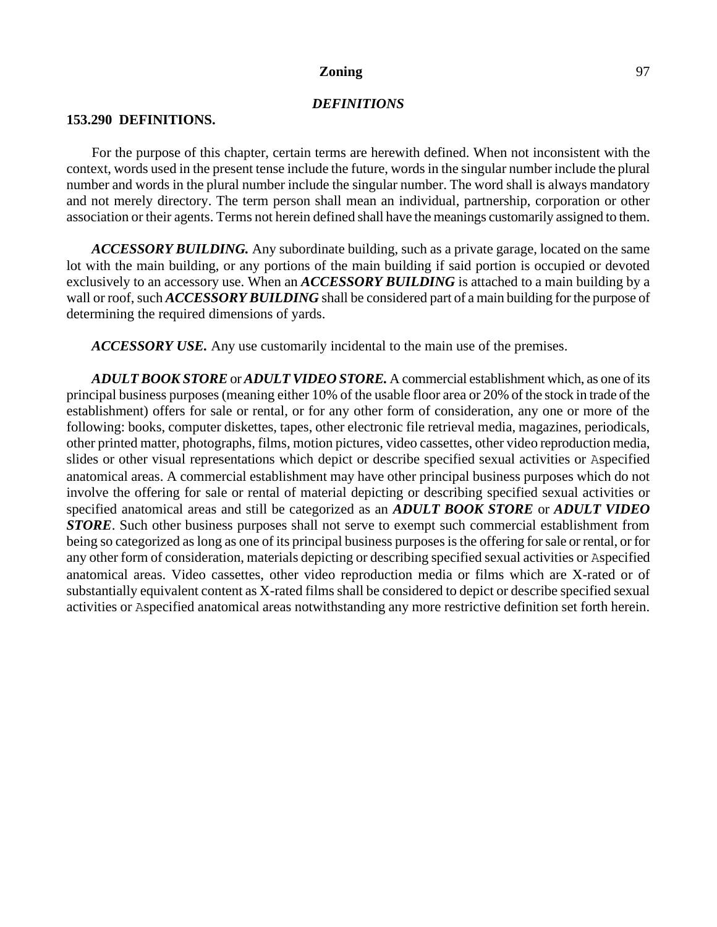### *DEFINITIONS*

#### **153.290 DEFINITIONS.**

For the purpose of this chapter, certain terms are herewith defined. When not inconsistent with the context, words used in the present tense include the future, words in the singular number include the plural number and words in the plural number include the singular number. The word shall is always mandatory and not merely directory. The term person shall mean an individual, partnership, corporation or other association or their agents. Terms not herein defined shall have the meanings customarily assigned to them.

*ACCESSORY BUILDING.* Any subordinate building, such as a private garage, located on the same lot with the main building, or any portions of the main building if said portion is occupied or devoted exclusively to an accessory use. When an *ACCESSORY BUILDING* is attached to a main building by a wall or roof, such *ACCESSORY BUILDING* shall be considered part of a main building for the purpose of determining the required dimensions of yards.

*ACCESSORY USE.* Any use customarily incidental to the main use of the premises.

*ADULT BOOK STORE*or *ADULT VIDEO STORE.* A commercial establishment which, as one of its principal business purposes (meaning either 10% of the usable floor area or 20% of the stock in trade of the establishment) offers for sale or rental, or for any other form of consideration, any one or more of the following: books, computer diskettes, tapes, other electronic file retrieval media, magazines, periodicals, other printed matter, photographs, films, motion pictures, video cassettes, other video reproduction media, slides or other visual representations which depict or describe specified sexual activities or Aspecified anatomical areas. A commercial establishment may have other principal business purposes which do not involve the offering for sale or rental of material depicting or describing specified sexual activities or specified anatomical areas and still be categorized as an *ADULT BOOK STORE* or *ADULT VIDEO STORE*. Such other business purposes shall not serve to exempt such commercial establishment from being so categorized as long as one of its principal business purposes is the offering for sale or rental, or for any other form of consideration, materials depicting or describing specified sexual activities or Aspecified anatomical areas. Video cassettes, other video reproduction media or films which are X-rated or of substantially equivalent content as X-rated films shall be considered to depict or describe specified sexual activities or Aspecified anatomical areas notwithstanding any more restrictive definition set forth herein.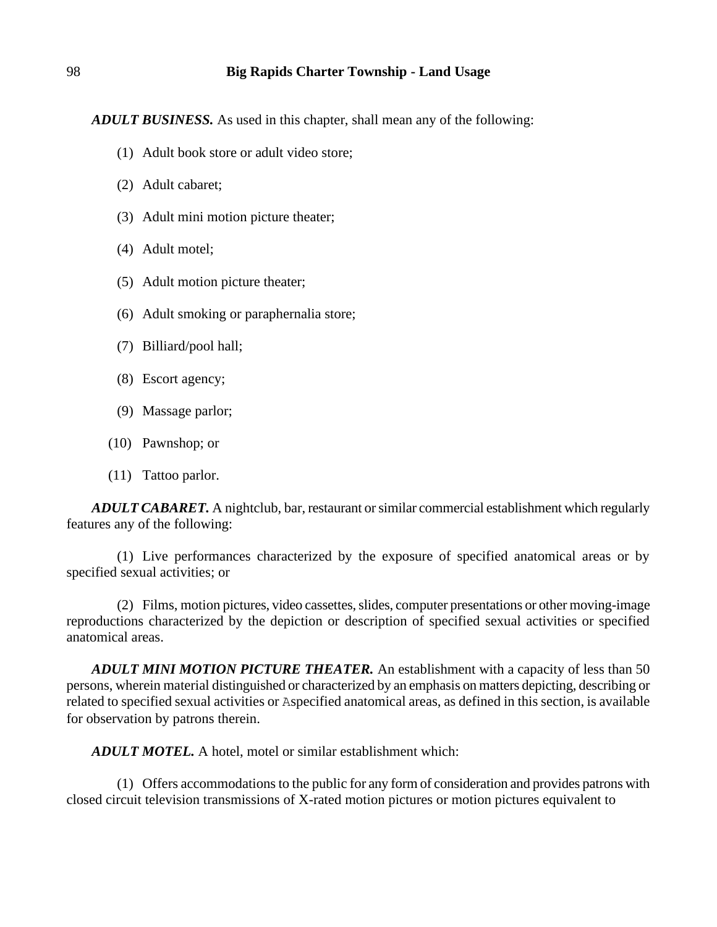*ADULT BUSINESS.* As used in this chapter, shall mean any of the following:

- (1) Adult book store or adult video store;
- (2) Adult cabaret;
- (3) Adult mini motion picture theater;
- (4) Adult motel;
- (5) Adult motion picture theater;
- (6) Adult smoking or paraphernalia store;
- (7) Billiard/pool hall;
- (8) Escort agency;
- (9) Massage parlor;
- (10) Pawnshop; or
- (11) Tattoo parlor.

*ADULT CABARET.* A nightclub, bar, restaurant or similar commercial establishment which regularly features any of the following:

(1) Live performances characterized by the exposure of specified anatomical areas or by specified sexual activities; or

(2) Films, motion pictures, video cassettes, slides, computer presentations or other moving-image reproductions characterized by the depiction or description of specified sexual activities or specified anatomical areas.

*ADULT MINI MOTION PICTURE THEATER.* An establishment with a capacity of less than 50 persons, wherein material distinguished or characterized by an emphasis on matters depicting, describing or related to specified sexual activities or Aspecified anatomical areas, as defined in this section, is available for observation by patrons therein.

*ADULT MOTEL.* A hotel, motel or similar establishment which:

(1) Offers accommodations to the public for any form of consideration and provides patrons with closed circuit television transmissions of X-rated motion pictures or motion pictures equivalent to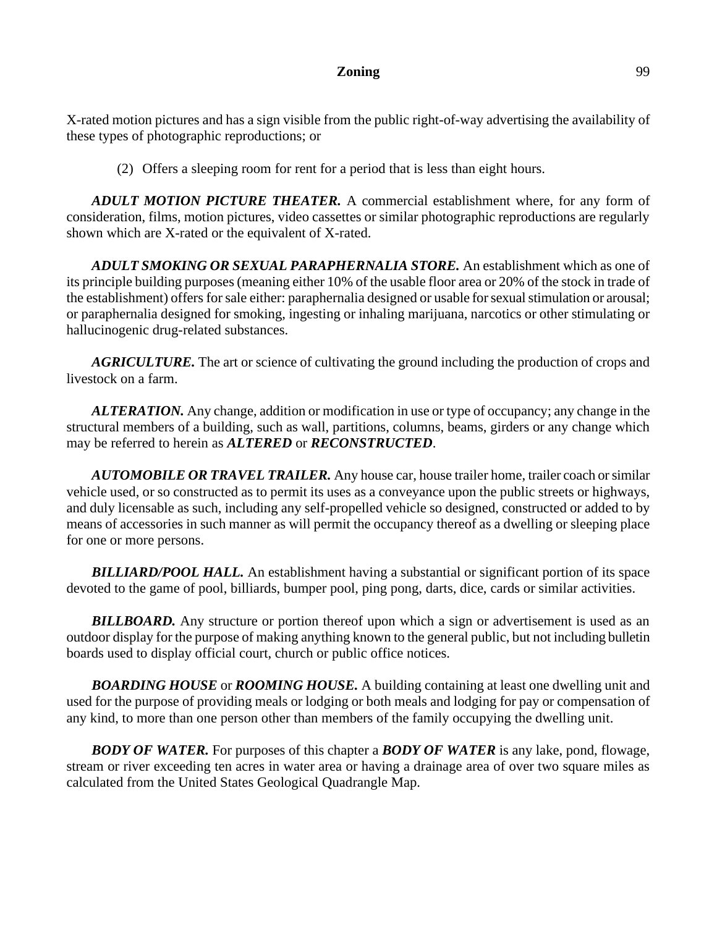X-rated motion pictures and has a sign visible from the public right-of-way advertising the availability of these types of photographic reproductions; or

(2) Offers a sleeping room for rent for a period that is less than eight hours.

*ADULT MOTION PICTURE THEATER.* A commercial establishment where, for any form of consideration, films, motion pictures, video cassettes or similar photographic reproductions are regularly shown which are X-rated or the equivalent of X-rated.

*ADULT SMOKING OR SEXUAL PARAPHERNALIA STORE.* An establishment which as one of its principle building purposes (meaning either 10% of the usable floor area or 20% of the stock in trade of the establishment) offers for sale either: paraphernalia designed or usable for sexual stimulation or arousal; or paraphernalia designed for smoking, ingesting or inhaling marijuana, narcotics or other stimulating or hallucinogenic drug-related substances.

*AGRICULTURE.* The art or science of cultivating the ground including the production of crops and livestock on a farm.

*ALTERATION.* Any change, addition or modification in use or type of occupancy; any change in the structural members of a building, such as wall, partitions, columns, beams, girders or any change which may be referred to herein as *ALTERED* or *RECONSTRUCTED*.

*AUTOMOBILE OR TRAVEL TRAILER.* Any house car, house trailer home, trailer coach or similar vehicle used, or so constructed as to permit its uses as a conveyance upon the public streets or highways, and duly licensable as such, including any self-propelled vehicle so designed, constructed or added to by means of accessories in such manner as will permit the occupancy thereof as a dwelling or sleeping place for one or more persons.

**BILLIARD/POOL HALL.** An establishment having a substantial or significant portion of its space devoted to the game of pool, billiards, bumper pool, ping pong, darts, dice, cards or similar activities.

**BILLBOARD.** Any structure or portion thereof upon which a sign or advertisement is used as an outdoor display for the purpose of making anything known to the general public, but not including bulletin boards used to display official court, church or public office notices.

*BOARDING HOUSE* or *ROOMING HOUSE.* A building containing at least one dwelling unit and used for the purpose of providing meals or lodging or both meals and lodging for pay or compensation of any kind, to more than one person other than members of the family occupying the dwelling unit.

*BODY OF WATER.* For purposes of this chapter a *BODY OF WATER* is any lake, pond, flowage, stream or river exceeding ten acres in water area or having a drainage area of over two square miles as calculated from the United States Geological Quadrangle Map.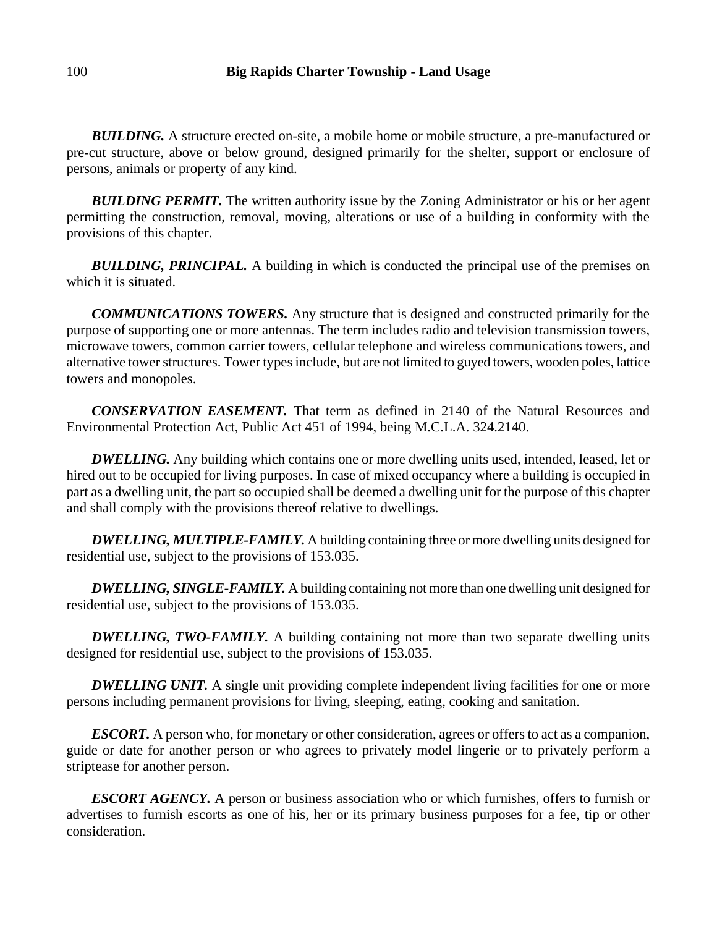**BUILDING.** A structure erected on-site, a mobile home or mobile structure, a pre-manufactured or pre-cut structure, above or below ground, designed primarily for the shelter, support or enclosure of persons, animals or property of any kind.

**BUILDING PERMIT.** The written authority issue by the Zoning Administrator or his or her agent permitting the construction, removal, moving, alterations or use of a building in conformity with the provisions of this chapter.

*BUILDING, PRINCIPAL.* A building in which is conducted the principal use of the premises on which it is situated.

*COMMUNICATIONS TOWERS.* Any structure that is designed and constructed primarily for the purpose of supporting one or more antennas. The term includes radio and television transmission towers, microwave towers, common carrier towers, cellular telephone and wireless communications towers, and alternative tower structures. Tower types include, but are not limited to guyed towers, wooden poles, lattice towers and monopoles.

*CONSERVATION EASEMENT.* That term as defined in 2140 of the Natural Resources and Environmental Protection Act, Public Act 451 of 1994, being M.C.L.A. 324.2140.

*DWELLING*. Any building which contains one or more dwelling units used, intended, leased, let or hired out to be occupied for living purposes. In case of mixed occupancy where a building is occupied in part as a dwelling unit, the part so occupied shall be deemed a dwelling unit for the purpose of this chapter and shall comply with the provisions thereof relative to dwellings.

**DWELLING, MULTIPLE-FAMILY.** A building containing three or more dwelling units designed for residential use, subject to the provisions of 153.035.

*DWELLING, SINGLE-FAMILY.* A building containing not more than one dwelling unit designed for residential use, subject to the provisions of 153.035.

**DWELLING, TWO-FAMILY.** A building containing not more than two separate dwelling units designed for residential use, subject to the provisions of 153.035.

*DWELLING UNIT.* A single unit providing complete independent living facilities for one or more persons including permanent provisions for living, sleeping, eating, cooking and sanitation.

*ESCORT*. A person who, for monetary or other consideration, agrees or offers to act as a companion, guide or date for another person or who agrees to privately model lingerie or to privately perform a striptease for another person.

*ESCORT AGENCY.* A person or business association who or which furnishes, offers to furnish or advertises to furnish escorts as one of his, her or its primary business purposes for a fee, tip or other consideration.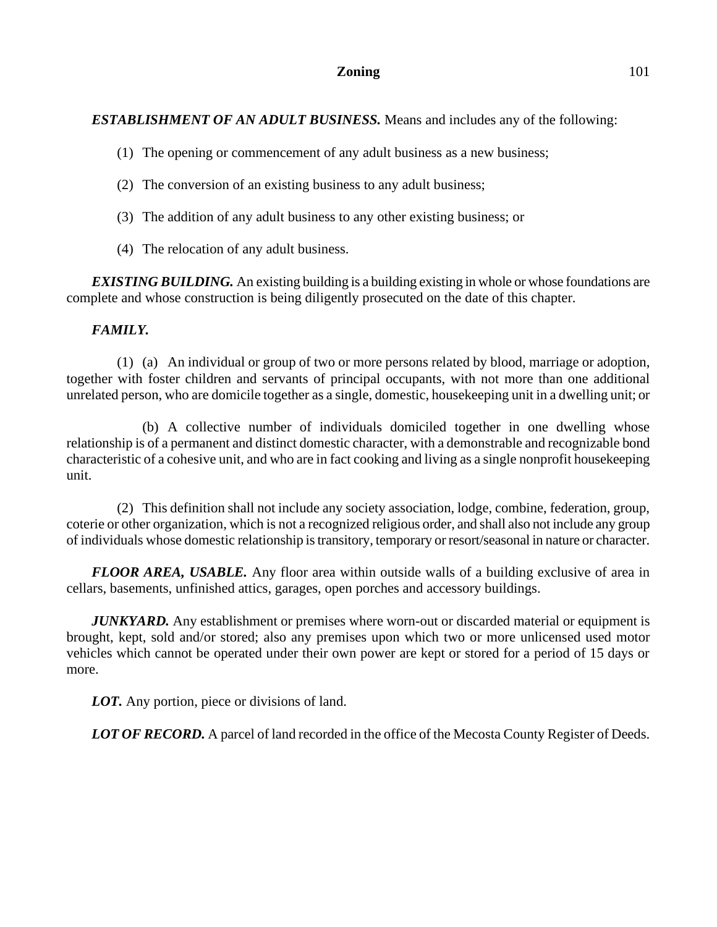# *ESTABLISHMENT OF AN ADULT BUSINESS.* Means and includes any of the following:

- (1) The opening or commencement of any adult business as a new business;
- (2) The conversion of an existing business to any adult business;
- (3) The addition of any adult business to any other existing business; or
- (4) The relocation of any adult business.

*EXISTING BUILDING.* An existing building is a building existing in whole or whose foundations are complete and whose construction is being diligently prosecuted on the date of this chapter.

# *FAMILY.*

(1) (a) An individual or group of two or more persons related by blood, marriage or adoption, together with foster children and servants of principal occupants, with not more than one additional unrelated person, who are domicile together as a single, domestic, housekeeping unit in a dwelling unit; or

(b) A collective number of individuals domiciled together in one dwelling whose relationship is of a permanent and distinct domestic character, with a demonstrable and recognizable bond characteristic of a cohesive unit, and who are in fact cooking and living as a single nonprofit housekeeping unit.

(2) This definition shall not include any society association, lodge, combine, federation, group, coterie or other organization, which is not a recognized religious order, and shall also not include any group of individuals whose domestic relationship is transitory, temporary or resort/seasonal in nature or character.

*FLOOR AREA, USABLE.* Any floor area within outside walls of a building exclusive of area in cellars, basements, unfinished attics, garages, open porches and accessory buildings.

*JUNKYARD.* Any establishment or premises where worn-out or discarded material or equipment is brought, kept, sold and/or stored; also any premises upon which two or more unlicensed used motor vehicles which cannot be operated under their own power are kept or stored for a period of 15 days or more.

*LOT.* Any portion, piece or divisions of land.

**LOT OF RECORD.** A parcel of land recorded in the office of the Mecosta County Register of Deeds.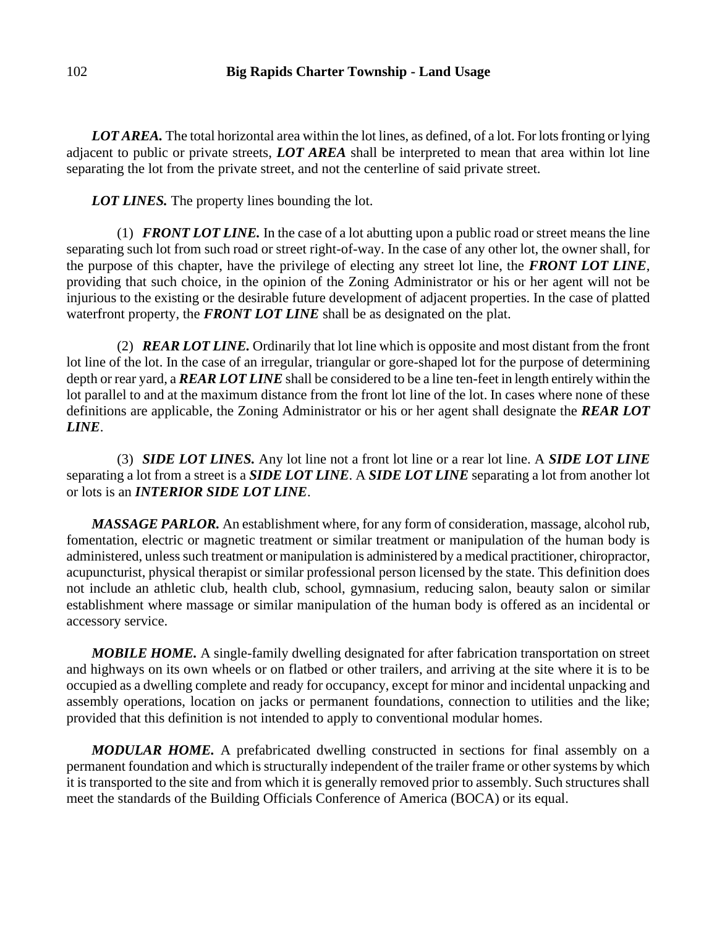*LOT AREA.* The total horizontal area within the lot lines, as defined, of a lot. For lots fronting or lying adjacent to public or private streets, *LOT AREA* shall be interpreted to mean that area within lot line separating the lot from the private street, and not the centerline of said private street.

*LOT LINES*. The property lines bounding the lot.

(1) *FRONT LOT LINE.* In the case of a lot abutting upon a public road or street means the line separating such lot from such road or street right-of-way. In the case of any other lot, the owner shall, for the purpose of this chapter, have the privilege of electing any street lot line, the *FRONT LOT LINE*, providing that such choice, in the opinion of the Zoning Administrator or his or her agent will not be injurious to the existing or the desirable future development of adjacent properties. In the case of platted waterfront property, the *FRONT LOT LINE* shall be as designated on the plat.

(2) *REAR LOT LINE.* Ordinarily that lot line which is opposite and most distant from the front lot line of the lot. In the case of an irregular, triangular or gore-shaped lot for the purpose of determining depth or rear yard, a *REAR LOT LINE* shall be considered to be a line ten-feet in length entirely within the lot parallel to and at the maximum distance from the front lot line of the lot. In cases where none of these definitions are applicable, the Zoning Administrator or his or her agent shall designate the *REAR LOT LINE*.

(3) *SIDE LOT LINES.* Any lot line not a front lot line or a rear lot line. A *SIDE LOT LINE* separating a lot from a street is a *SIDE LOT LINE*. A *SIDE LOT LINE* separating a lot from another lot or lots is an *INTERIOR SIDE LOT LINE*.

*MASSAGE PARLOR.* An establishment where, for any form of consideration, massage, alcohol rub, fomentation, electric or magnetic treatment or similar treatment or manipulation of the human body is administered, unless such treatment or manipulation is administered by a medical practitioner, chiropractor, acupuncturist, physical therapist or similar professional person licensed by the state. This definition does not include an athletic club, health club, school, gymnasium, reducing salon, beauty salon or similar establishment where massage or similar manipulation of the human body is offered as an incidental or accessory service.

*MOBILE HOME.* A single-family dwelling designated for after fabrication transportation on street and highways on its own wheels or on flatbed or other trailers, and arriving at the site where it is to be occupied as a dwelling complete and ready for occupancy, except for minor and incidental unpacking and assembly operations, location on jacks or permanent foundations, connection to utilities and the like; provided that this definition is not intended to apply to conventional modular homes.

*MODULAR HOME.* A prefabricated dwelling constructed in sections for final assembly on a permanent foundation and which is structurally independent of the trailer frame or other systems by which it is transported to the site and from which it is generally removed prior to assembly. Such structures shall meet the standards of the Building Officials Conference of America (BOCA) or its equal.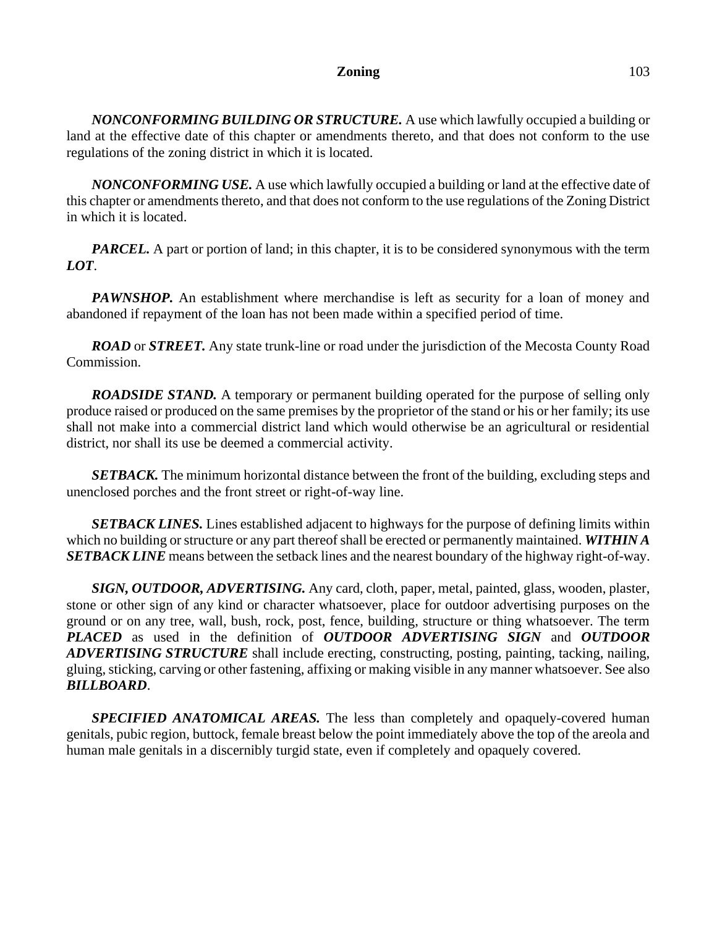*NONCONFORMING BUILDING OR STRUCTURE.* A use which lawfully occupied a building or land at the effective date of this chapter or amendments thereto, and that does not conform to the use regulations of the zoning district in which it is located.

*NONCONFORMING USE.* A use which lawfully occupied a building or land at the effective date of this chapter or amendments thereto, and that does not conform to the use regulations of the Zoning District in which it is located.

*PARCEL*. A part or portion of land; in this chapter, it is to be considered synonymous with the term *LOT*.

*PAWNSHOP.* An establishment where merchandise is left as security for a loan of money and abandoned if repayment of the loan has not been made within a specified period of time.

*ROAD* or *STREET.* Any state trunk-line or road under the jurisdiction of the Mecosta County Road Commission.

*ROADSIDE STAND.* A temporary or permanent building operated for the purpose of selling only produce raised or produced on the same premises by the proprietor of the stand or his or her family; its use shall not make into a commercial district land which would otherwise be an agricultural or residential district, nor shall its use be deemed a commercial activity.

*SETBACK.* The minimum horizontal distance between the front of the building, excluding steps and unenclosed porches and the front street or right-of-way line.

*SETBACK LINES.* Lines established adjacent to highways for the purpose of defining limits within which no building or structure or any part thereof shall be erected or permanently maintained. *WITHIN A SETBACK LINE* means between the setback lines and the nearest boundary of the highway right-of-way.

*SIGN, OUTDOOR, ADVERTISING.* Any card, cloth, paper, metal, painted, glass, wooden, plaster, stone or other sign of any kind or character whatsoever, place for outdoor advertising purposes on the ground or on any tree, wall, bush, rock, post, fence, building, structure or thing whatsoever. The term *PLACED* as used in the definition of *OUTDOOR ADVERTISING SIGN* and *OUTDOOR ADVERTISING STRUCTURE* shall include erecting, constructing, posting, painting, tacking, nailing, gluing, sticking, carving or other fastening, affixing or making visible in any manner whatsoever. See also *BILLBOARD*.

**SPECIFIED ANATOMICAL AREAS.** The less than completely and opaquely-covered human genitals, pubic region, buttock, female breast below the point immediately above the top of the areola and human male genitals in a discernibly turgid state, even if completely and opaquely covered.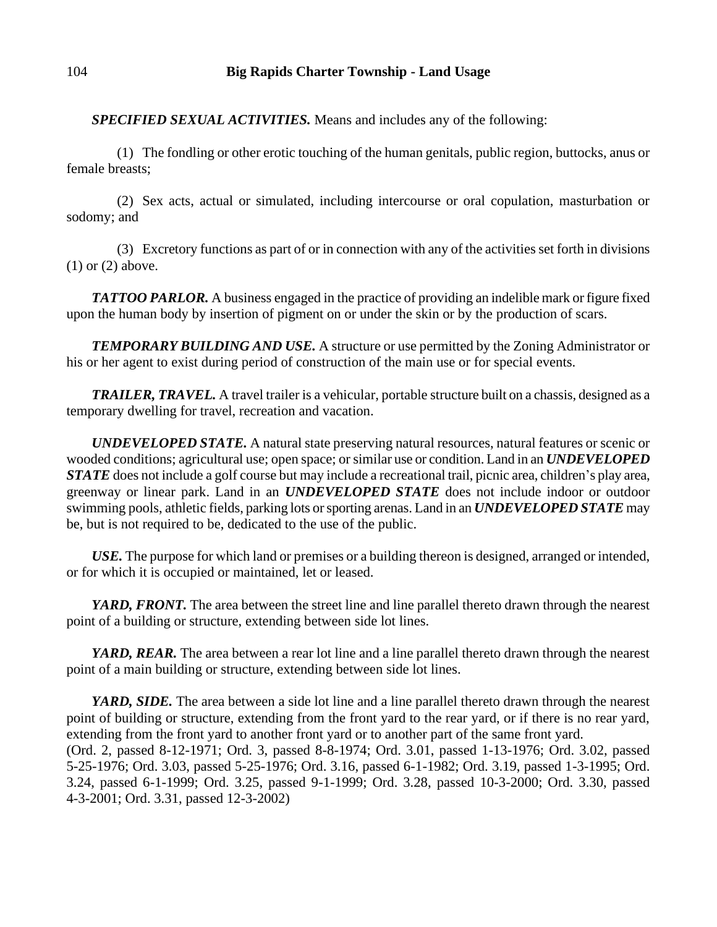*SPECIFIED SEXUAL ACTIVITIES.* Means and includes any of the following:

(1) The fondling or other erotic touching of the human genitals, public region, buttocks, anus or female breasts;

(2) Sex acts, actual or simulated, including intercourse or oral copulation, masturbation or sodomy; and

(3) Excretory functions as part of or in connection with any of the activities set forth in divisions (1) or (2) above.

*TATTOO PARLOR.* A business engaged in the practice of providing an indelible mark or figure fixed upon the human body by insertion of pigment on or under the skin or by the production of scars.

*TEMPORARY BUILDING AND USE.* A structure or use permitted by the Zoning Administrator or his or her agent to exist during period of construction of the main use or for special events.

*TRAILER, TRAVEL.* A travel trailer is a vehicular, portable structure built on a chassis, designed as a temporary dwelling for travel, recreation and vacation.

*UNDEVELOPED STATE.* A natural state preserving natural resources, natural features or scenic or wooded conditions; agricultural use; open space; or similar use or condition. Land in an *UNDEVELOPED STATE* does not include a golf course but may include a recreational trail, picnic area, children's play area, greenway or linear park. Land in an *UNDEVELOPED STATE* does not include indoor or outdoor swimming pools, athletic fields, parking lots or sporting arenas. Land in an *UNDEVELOPED STATE* may be, but is not required to be, dedicated to the use of the public.

*USE.* The purpose for which land or premises or a building thereon is designed, arranged or intended, or for which it is occupied or maintained, let or leased.

*YARD, FRONT*. The area between the street line and line parallel thereto drawn through the nearest point of a building or structure, extending between side lot lines.

*YARD, REAR.* The area between a rear lot line and a line parallel thereto drawn through the nearest point of a main building or structure, extending between side lot lines.

*YARD, SIDE*. The area between a side lot line and a line parallel thereto drawn through the nearest point of building or structure, extending from the front yard to the rear yard, or if there is no rear yard, extending from the front yard to another front yard or to another part of the same front yard. (Ord. 2, passed 8-12-1971; Ord. 3, passed 8-8-1974; Ord. 3.01, passed 1-13-1976; Ord. 3.02, passed 5-25-1976; Ord. 3.03, passed 5-25-1976; Ord. 3.16, passed 6-1-1982; Ord. 3.19, passed 1-3-1995; Ord. 3.24, passed 6-1-1999; Ord. 3.25, passed 9-1-1999; Ord. 3.28, passed 10-3-2000; Ord. 3.30, passed 4-3-2001; Ord. 3.31, passed 12-3-2002)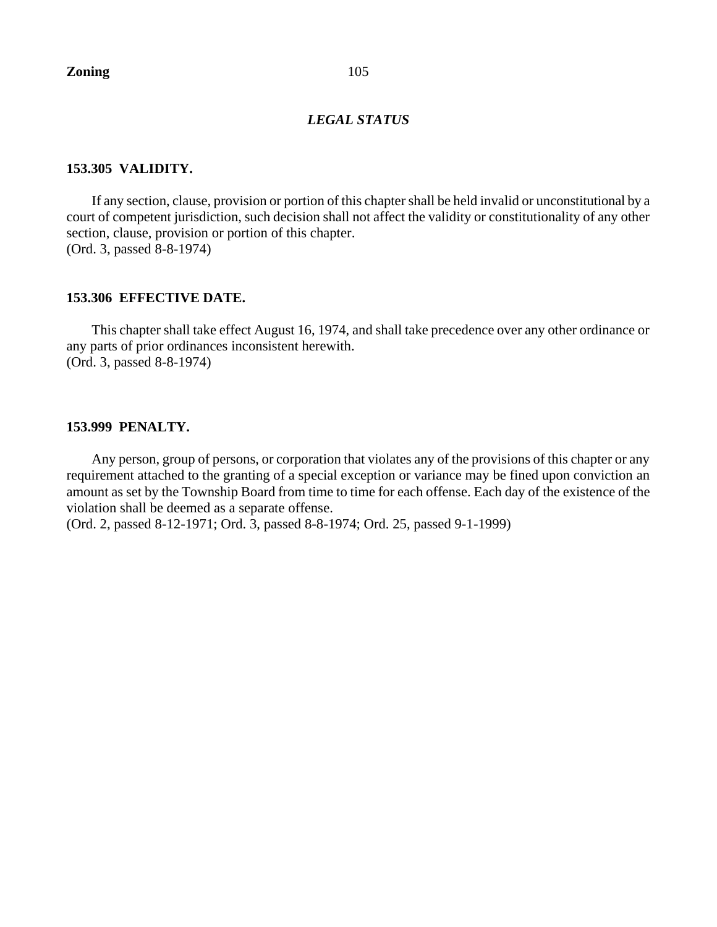### *LEGAL STATUS*

# **153.305 VALIDITY.**

If any section, clause, provision or portion of this chapter shall be held invalid or unconstitutional by a court of competent jurisdiction, such decision shall not affect the validity or constitutionality of any other section, clause, provision or portion of this chapter. (Ord. 3, passed 8-8-1974)

## **153.306 EFFECTIVE DATE.**

This chapter shall take effect August 16, 1974, and shall take precedence over any other ordinance or any parts of prior ordinances inconsistent herewith. (Ord. 3, passed 8-8-1974)

### **153.999 PENALTY.**

Any person, group of persons, or corporation that violates any of the provisions of this chapter or any requirement attached to the granting of a special exception or variance may be fined upon conviction an amount as set by the Township Board from time to time for each offense. Each day of the existence of the violation shall be deemed as a separate offense.

(Ord. 2, passed 8-12-1971; Ord. 3, passed 8-8-1974; Ord. 25, passed 9-1-1999)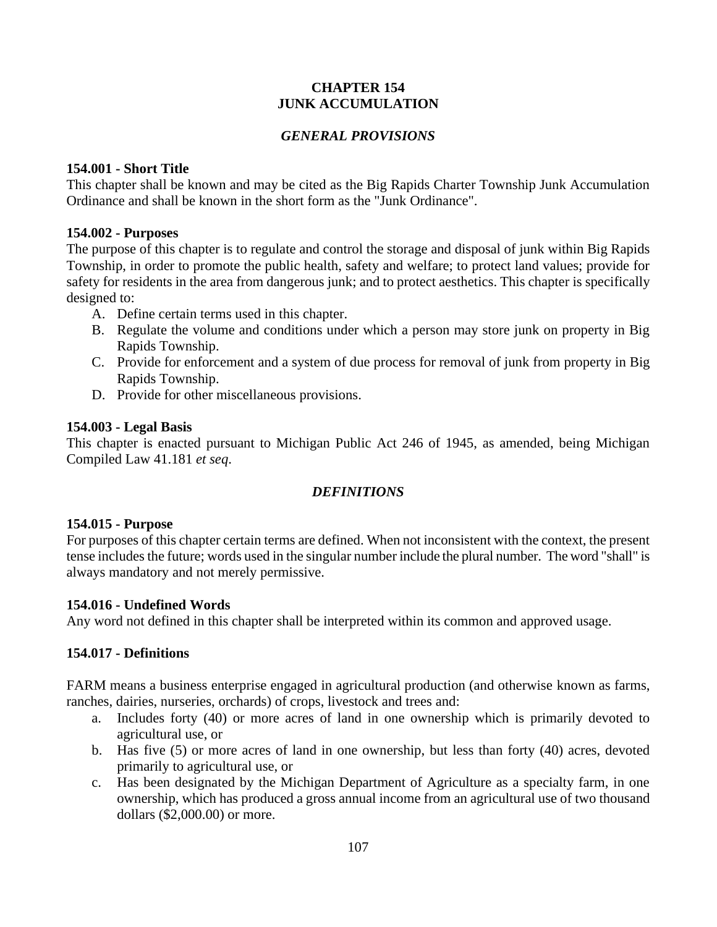# **CHAPTER 154 JUNK ACCUMULATION**

# *GENERAL PROVISIONS*

# **154.001 - Short Title**

This chapter shall be known and may be cited as the Big Rapids Charter Township Junk Accumulation Ordinance and shall be known in the short form as the "Junk Ordinance".

# **154.002 - Purposes**

The purpose of this chapter is to regulate and control the storage and disposal of junk within Big Rapids Township, in order to promote the public health, safety and welfare; to protect land values; provide for safety for residents in the area from dangerous junk; and to protect aesthetics. This chapter is specifically designed to:

- A. Define certain terms used in this chapter.
- B. Regulate the volume and conditions under which a person may store junk on property in Big Rapids Township.
- C. Provide for enforcement and a system of due process for removal of junk from property in Big Rapids Township.
- D. Provide for other miscellaneous provisions.

# **154.003 - Legal Basis**

This chapter is enacted pursuant to Michigan Public Act 246 of 1945, as amended, being Michigan Compiled Law 41.181 *et seq*.

# *DEFINITIONS*

# **154.015 - Purpose**

For purposes of this chapter certain terms are defined. When not inconsistent with the context, the present tense includes the future; words used in the singular number include the plural number. The word "shall" is always mandatory and not merely permissive.

# **154.016 - Undefined Words**

Any word not defined in this chapter shall be interpreted within its common and approved usage.

# **154.017 - Definitions**

FARM means a business enterprise engaged in agricultural production (and otherwise known as farms, ranches, dairies, nurseries, orchards) of crops, livestock and trees and:

- a. Includes forty (40) or more acres of land in one ownership which is primarily devoted to agricultural use, or
- b. Has five (5) or more acres of land in one ownership, but less than forty (40) acres, devoted primarily to agricultural use, or
- c. Has been designated by the Michigan Department of Agriculture as a specialty farm, in one ownership, which has produced a gross annual income from an agricultural use of two thousand dollars (\$2,000.00) or more.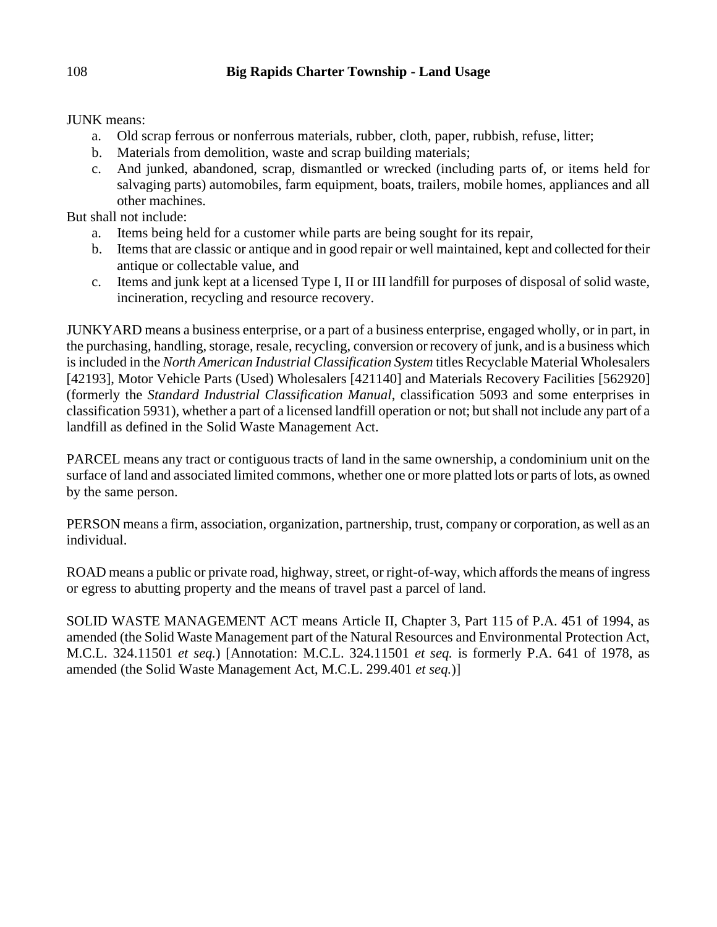# JUNK means:

- a. Old scrap ferrous or nonferrous materials, rubber, cloth, paper, rubbish, refuse, litter;
- b. Materials from demolition, waste and scrap building materials;
- c. And junked, abandoned, scrap, dismantled or wrecked (including parts of, or items held for salvaging parts) automobiles, farm equipment, boats, trailers, mobile homes, appliances and all other machines.

But shall not include:

- a. Items being held for a customer while parts are being sought for its repair,
- b. Items that are classic or antique and in good repair or well maintained, kept and collected for their antique or collectable value, and
- c. Items and junk kept at a licensed Type I, II or III landfill for purposes of disposal of solid waste, incineration, recycling and resource recovery.

JUNKYARD means a business enterprise, or a part of a business enterprise, engaged wholly, or in part, in the purchasing, handling, storage, resale, recycling, conversion or recovery of junk, and is a business which is included in the *North American Industrial Classification System* titles Recyclable Material Wholesalers [42193], Motor Vehicle Parts (Used) Wholesalers [421140] and Materials Recovery Facilities [562920] (formerly the *Standard Industrial Classification Manual*, classification 5093 and some enterprises in classification 5931), whether a part of a licensed landfill operation or not; but shall not include any part of a landfill as defined in the Solid Waste Management Act.

PARCEL means any tract or contiguous tracts of land in the same ownership, a condominium unit on the surface of land and associated limited commons, whether one or more platted lots or parts of lots, as owned by the same person.

PERSON means a firm, association, organization, partnership, trust, company or corporation, as well as an individual.

ROAD means a public or private road, highway, street, or right-of-way, which affords the means of ingress or egress to abutting property and the means of travel past a parcel of land.

SOLID WASTE MANAGEMENT ACT means Article II, Chapter 3, Part 115 of P.A. 451 of 1994, as amended (the Solid Waste Management part of the Natural Resources and Environmental Protection Act, M.C.L. 324.11501 *et seq.*) [Annotation: M.C.L. 324.11501 *et seq.* is formerly P.A. 641 of 1978, as amended (the Solid Waste Management Act, M.C.L. 299.401 *et seq.*)]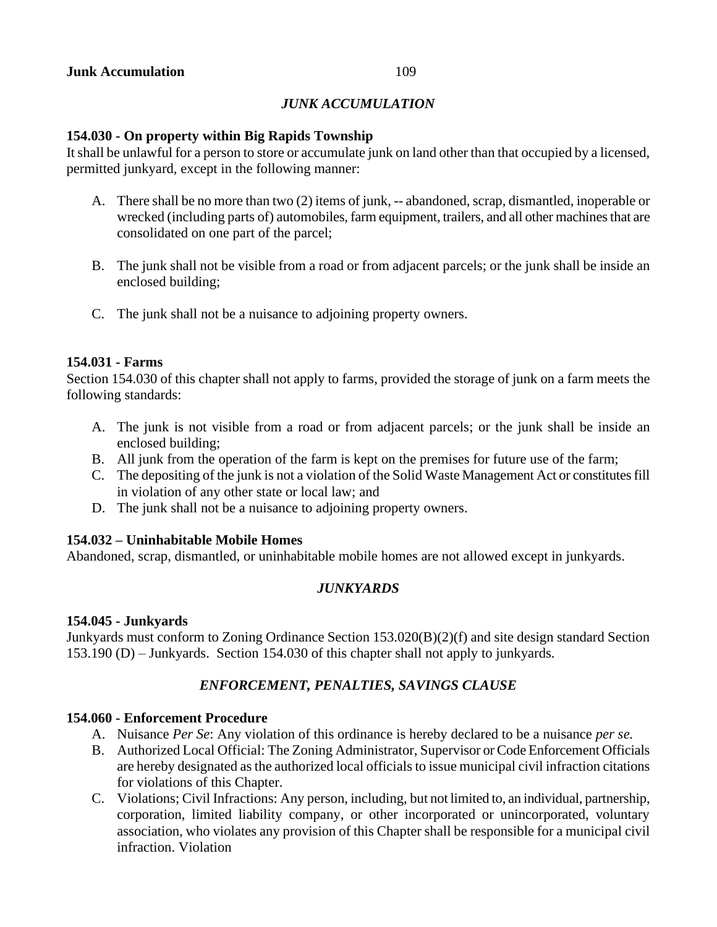## *JUNK ACCUMULATION*

### **154.030 - On property within Big Rapids Township**

It shall be unlawful for a person to store or accumulate junk on land other than that occupied by a licensed, permitted junkyard, except in the following manner:

- A. There shall be no more than two (2) items of junk, -- abandoned, scrap, dismantled, inoperable or wrecked (including parts of) automobiles, farm equipment, trailers, and all other machines that are consolidated on one part of the parcel;
- B. The junk shall not be visible from a road or from adjacent parcels; or the junk shall be inside an enclosed building;
- C. The junk shall not be a nuisance to adjoining property owners.

#### **154.031 - Farms**

Section 154.030 of this chapter shall not apply to farms, provided the storage of junk on a farm meets the following standards:

- A. The junk is not visible from a road or from adjacent parcels; or the junk shall be inside an enclosed building;
- B. All junk from the operation of the farm is kept on the premises for future use of the farm;
- C. The depositing of the junk is not a violation of the Solid Waste Management Act or constitutes fill in violation of any other state or local law; and
- D. The junk shall not be a nuisance to adjoining property owners.

### **154.032 – Uninhabitable Mobile Homes**

Abandoned, scrap, dismantled, or uninhabitable mobile homes are not allowed except in junkyards.

### *JUNKYARDS*

### **154.045 - Junkyards**

Junkyards must conform to Zoning Ordinance Section 153.020(B)(2)(f) and site design standard Section 153.190 (D) – Junkyards. Section 154.030 of this chapter shall not apply to junkyards.

# *ENFORCEMENT, PENALTIES, SAVINGS CLAUSE*

#### **154.060 - Enforcement Procedure**

- A. Nuisance *Per Se*: Any violation of this ordinance is hereby declared to be a nuisance *per se.*
- B. Authorized Local Official: The Zoning Administrator, Supervisor or Code Enforcement Officials are hereby designated as the authorized local officials to issue municipal civil infraction citations for violations of this Chapter.
- C. Violations; Civil Infractions: Any person, including, but not limited to, an individual, partnership, corporation, limited liability company, or other incorporated or unincorporated, voluntary association, who violates any provision of this Chapter shall be responsible for a municipal civil infraction. Violation